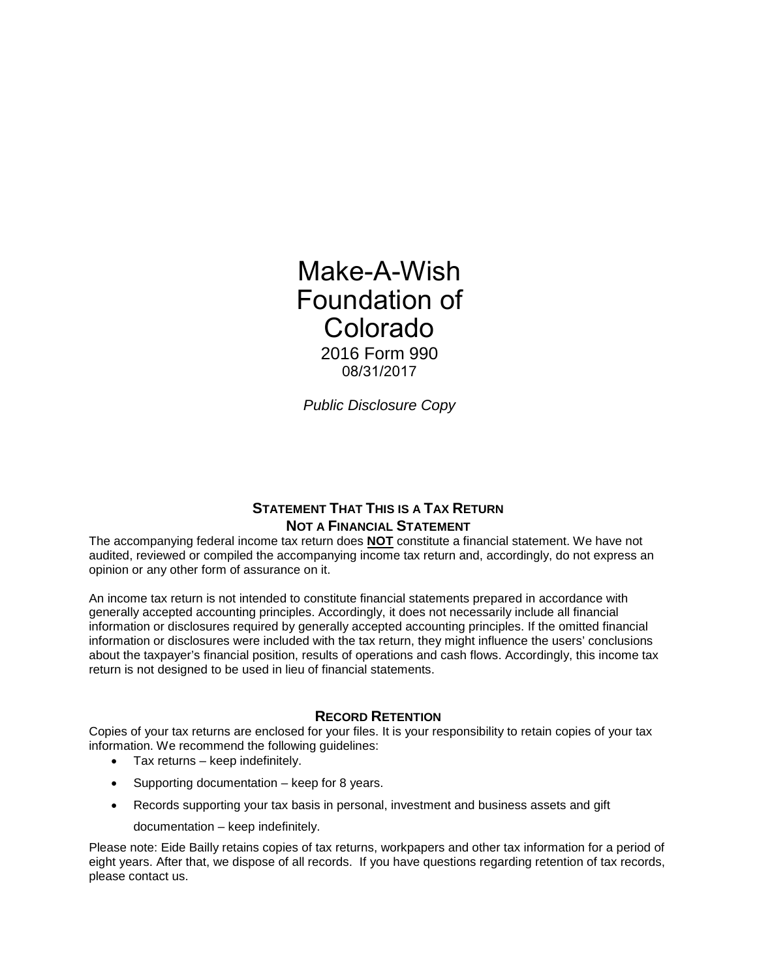Make-A-Wish Foundation of Colorado 2016 Form 990 08/31/2017

*Public Disclosure Copy* 

# **STATEMENT THAT THIS IS A TAX RETURN NOT A FINANCIAL STATEMENT**

The accompanying federal income tax return does **NOT** constitute a financial statement. We have not audited, reviewed or compiled the accompanying income tax return and, accordingly, do not express an opinion or any other form of assurance on it.

An income tax return is not intended to constitute financial statements prepared in accordance with generally accepted accounting principles. Accordingly, it does not necessarily include all financial information or disclosures required by generally accepted accounting principles. If the omitted financial information or disclosures were included with the tax return, they might influence the users' conclusions about the taxpayer's financial position, results of operations and cash flows. Accordingly, this income tax return is not designed to be used in lieu of financial statements.

# **RECORD RETENTION**

Copies of your tax returns are enclosed for your files. It is your responsibility to retain copies of your tax information. We recommend the following guidelines:

- Tax returns keep indefinitely.
- Supporting documentation keep for 8 years.
- Records supporting your tax basis in personal, investment and business assets and gift
	- documentation keep indefinitely.

Please note: Eide Bailly retains copies of tax returns, workpapers and other tax information for a period of eight years. After that, we dispose of all records. If you have questions regarding retention of tax records, please contact us.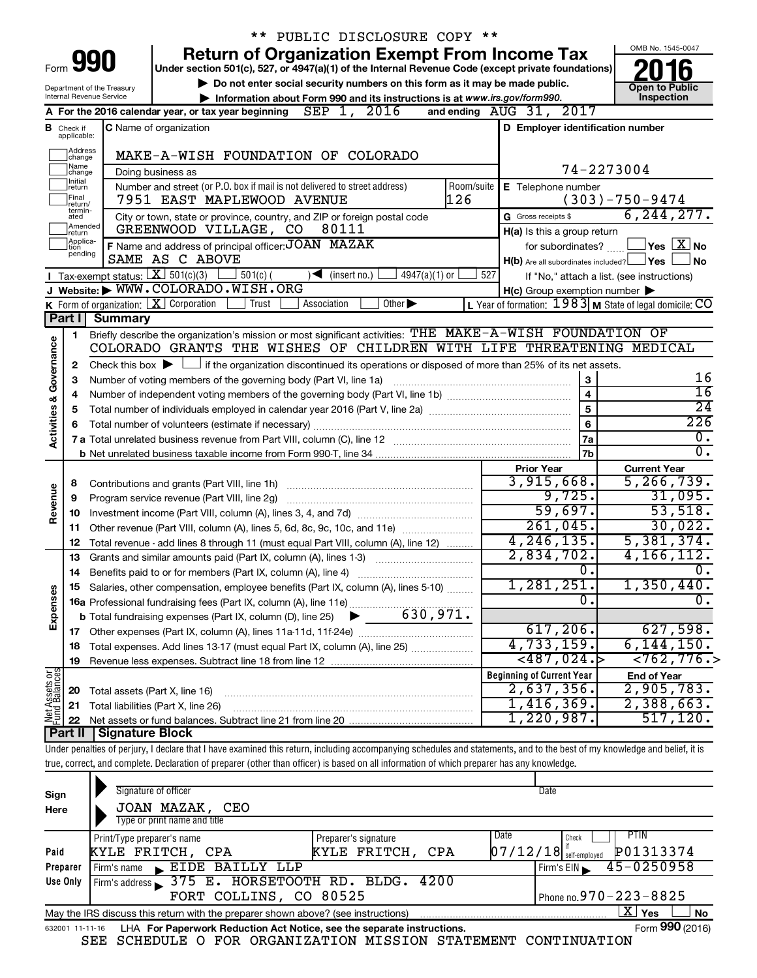|                         |                               |                                | ** PUBLIC DISCLOSURE COPY **                                                                                                                                               |            |                                                     |                                                                    |
|-------------------------|-------------------------------|--------------------------------|----------------------------------------------------------------------------------------------------------------------------------------------------------------------------|------------|-----------------------------------------------------|--------------------------------------------------------------------|
|                         |                               |                                | <b>Return of Organization Exempt From Income Tax</b>                                                                                                                       |            |                                                     | OMB No. 1545-0047                                                  |
|                         |                               | Form <b>990</b>                | Under section 501(c), 527, or 4947(a)(1) of the Internal Revenue Code (except private foundations)                                                                         |            |                                                     |                                                                    |
|                         |                               | Department of the Treasury     | Do not enter social security numbers on this form as it may be made public.                                                                                                |            |                                                     | <b>Open to Public</b>                                              |
|                         |                               | Internal Revenue Service       | Information about Form 990 and its instructions is at www.irs.gov/form990.                                                                                                 |            |                                                     | Inspection                                                         |
|                         |                               |                                | SEP 1, 2016<br>A For the 2016 calendar year, or tax year beginning                                                                                                         |            | and ending AUG 31, 2017                             |                                                                    |
|                         | <b>B</b> Check if applicable: |                                | <b>C</b> Name of organization                                                                                                                                              |            | D Employer identification number                    |                                                                    |
|                         | ]Address<br>]change           |                                | MAKE-A-WISH FOUNDATION OF COLORADO                                                                                                                                         |            |                                                     |                                                                    |
|                         | ]Name<br>]change              |                                | Doing business as                                                                                                                                                          |            |                                                     | 74-2273004                                                         |
|                         | <b>Initial</b><br>return      |                                | Number and street (or P.O. box if mail is not delivered to street address)                                                                                                 | Room/suite | E Telephone number                                  |                                                                    |
|                         | Final<br>return/              |                                | 126<br>7951 EAST MAPLEWOOD AVENUE                                                                                                                                          |            |                                                     | $(303) - 750 - 9474$                                               |
|                         | termin-<br>ated               |                                | City or town, state or province, country, and ZIP or foreign postal code                                                                                                   |            | G Gross receipts \$                                 | 6, 244, 277.                                                       |
|                         | Amended<br>]return            |                                | GREENWOOD VILLAGE, CO<br>80111                                                                                                                                             |            | H(a) Is this a group return                         |                                                                    |
|                         | Applica-<br>Ition             |                                | F Name and address of principal officer: JOAN MAZAK                                                                                                                        |            | for subordinates?                                   | $\mathsf{\perp}$ Yes $\mathsf{\perp} \mathbf{X} \mathsf{\perp}$ No |
|                         | pending                       |                                | SAME AS C ABOVE                                                                                                                                                            |            | H(b) Are all subordinates included? Ves             | No                                                                 |
|                         |                               |                                | Tax-exempt status: $X \over 301(c)(3)$<br>$501(c)$ (<br>$\sqrt{\bullet}$ (insert no.)<br>$4947(a)(1)$ or                                                                   | 527        |                                                     | If "No," attach a list. (see instructions)                         |
|                         |                               |                                | J Website: WWW.COLORADO.WISH.ORG                                                                                                                                           |            | $H(c)$ Group exemption number $\blacktriangleright$ |                                                                    |
|                         |                               |                                | K Form of organization:   X Corporation<br>Association<br>Other $\blacktriangleright$<br>Trust                                                                             |            |                                                     | L Year of formation: 1983 M State of legal domicile: CO            |
|                         | Part I                        | <b>Summary</b>                 |                                                                                                                                                                            |            |                                                     |                                                                    |
|                         | 1                             |                                | Briefly describe the organization's mission or most significant activities: THE MAKE-A-WISH FOUNDATION OF                                                                  |            |                                                     |                                                                    |
| Governance              |                               |                                | COLORADO GRANTS THE WISHES OF CHILDREN WITH LIFE THREATENING MEDICAL                                                                                                       |            |                                                     |                                                                    |
|                         | 2                             |                                | Check this box $\blacktriangleright \Box$ if the organization discontinued its operations or disposed of more than 25% of its net assets.                                  |            |                                                     |                                                                    |
|                         | 3                             |                                | Number of voting members of the governing body (Part VI, line 1a)                                                                                                          |            | 3                                                   | 16<br>16                                                           |
|                         | 4                             |                                |                                                                                                                                                                            |            | $\overline{\mathbf{4}}$                             | $\overline{24}$                                                    |
|                         | 5                             |                                |                                                                                                                                                                            |            | 5                                                   | 226                                                                |
| <b>Activities &amp;</b> | 6                             |                                | Total number of volunteers (estimate if necessary)                                                                                                                         |            | 6                                                   | 0.                                                                 |
|                         |                               |                                |                                                                                                                                                                            |            | 7a<br>7 <sub>b</sub>                                | $0$ .                                                              |
|                         |                               |                                |                                                                                                                                                                            |            |                                                     |                                                                    |
|                         | 8                             |                                |                                                                                                                                                                            |            | <b>Prior Year</b><br>3,915,668.                     | <b>Current Year</b><br>5, 266, 739.                                |
| Revenue                 | 9                             |                                | Program service revenue (Part VIII, line 2g)                                                                                                                               |            | 9,725.                                              | 31,095.                                                            |
|                         | 10                            |                                |                                                                                                                                                                            |            | 59,697.                                             | 53,518.                                                            |
|                         | 11                            |                                | Other revenue (Part VIII, column (A), lines 5, 6d, 8c, 9c, 10c, and 11e)                                                                                                   |            | 261,045.                                            | 30,022.                                                            |
|                         | 12                            |                                | Total revenue - add lines 8 through 11 (must equal Part VIII, column (A), line 12)                                                                                         |            | 4, 246, 135.                                        | 5,381,374.                                                         |
|                         | 13                            |                                | Grants and similar amounts paid (Part IX, column (A), lines 1-3)                                                                                                           |            | 2,834,702.                                          | 4, 166, 112.                                                       |
|                         | 14                            |                                | Benefits paid to or for members (Part IX, column (A), line 4)                                                                                                              |            | $\overline{0}$ .                                    | $\overline{0}$ .                                                   |
|                         |                               |                                | Salaries, other compensation, employee benefits (Part IX, column (A), lines 5-10)                                                                                          |            | 1,281,251.                                          | 1,350,440.                                                         |
|                         |                               |                                |                                                                                                                                                                            |            | $\overline{0}$ .                                    | σ.                                                                 |
| Expenses                |                               |                                |                                                                                                                                                                            |            |                                                     |                                                                    |
|                         |                               |                                |                                                                                                                                                                            |            | 617,206.                                            | 627,598.                                                           |
|                         | 18                            |                                |                                                                                                                                                                            |            | 4,733,159.                                          | 6, 144, 150.                                                       |
|                         | 19                            |                                |                                                                                                                                                                            |            | $<$ 487,024. $>$                                    | < 762, 776.                                                        |
| Net Assets or           |                               |                                |                                                                                                                                                                            |            | <b>Beginning of Current Year</b>                    | <b>End of Year</b>                                                 |
|                         | 20                            | Total assets (Part X, line 16) |                                                                                                                                                                            |            | 2,637,356.                                          | 2,905,783.                                                         |
|                         | 21                            |                                | Total liabilities (Part X, line 26)                                                                                                                                        |            | 1,416,369.                                          | 2,388,663.                                                         |
|                         | 22                            |                                |                                                                                                                                                                            |            | 1,220,987.                                          | 517, 120.                                                          |
|                         | <b>Part II</b>                | Signature Block                |                                                                                                                                                                            |            |                                                     |                                                                    |
|                         |                               |                                | Under penalties of perjury, I declare that I have examined this return, including accompanying schedules and statements, and to the best of my knowledge and belief, it is |            |                                                     |                                                                    |
|                         |                               |                                | true, correct, and complete. Declaration of preparer (other than officer) is based on all information of which preparer has any knowledge.                                 |            |                                                     |                                                                    |
|                         |                               |                                | Signature of officer                                                                                                                                                       |            | Date                                                |                                                                    |
| Sign                    |                               |                                |                                                                                                                                                                            |            |                                                     |                                                                    |
| Here                    |                               |                                | JOAN MAZAK, CEO<br>Type or print name and title                                                                                                                            |            |                                                     |                                                                    |
|                         |                               |                                |                                                                                                                                                                            |            |                                                     |                                                                    |

|          | Print/Type preparer's name                                                                                   | Preparer's signature | Date<br>PHN<br>Check                                                 |  |  |  |  |  |
|----------|--------------------------------------------------------------------------------------------------------------|----------------------|----------------------------------------------------------------------|--|--|--|--|--|
| Paid     | KYLE FRITCH, CPA                                                                                             | KYLE FRITCH, CPA     | P01313374<br>$07/12/18$ $^{\prime\prime}_{\rm self\text{-}embolved}$ |  |  |  |  |  |
| Preparer | Firm's name EIDE BAILLY LLP                                                                                  |                      | Firm's EIN $\sqrt{45-0250958}$                                       |  |  |  |  |  |
| Use Only | Firm's address 375 E. HORSETOOTH RD. BLDG. 4200                                                              |                      |                                                                      |  |  |  |  |  |
|          | FORT COLLINS, CO 80525                                                                                       |                      | Phone no. $970 - 223 - 8825$                                         |  |  |  |  |  |
|          | May the IRS discuss this return with the preparer shown above? (see instructions)                            |                      | ΧI<br>No<br>Yes                                                      |  |  |  |  |  |
|          | Form 990 (2016)<br>LHA For Paperwork Reduction Act Notice, see the separate instructions.<br>632001 11-11-16 |                      |                                                                      |  |  |  |  |  |

|  |  |  |  | SEE SCHEDULE O FOR ORGANIZATION MISSION STATEMENT CONTINUATION |  |  |  |
|--|--|--|--|----------------------------------------------------------------|--|--|--|
|--|--|--|--|----------------------------------------------------------------|--|--|--|

Form **990** (2016)<br>**N**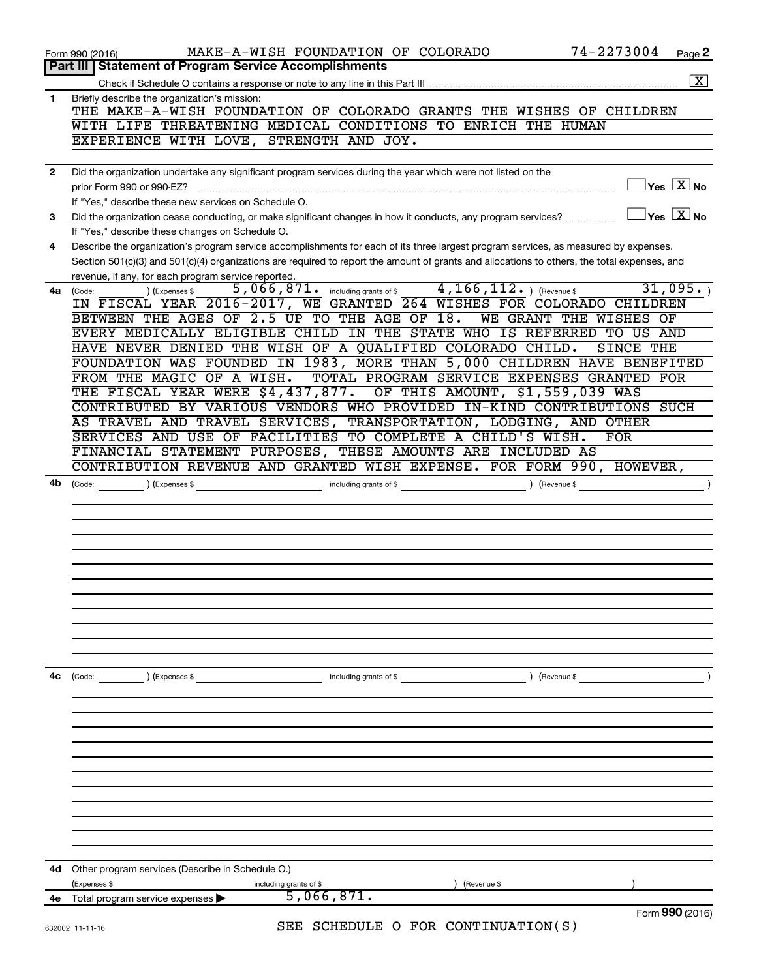|    | 74-2273004<br>MAKE-A-WISH FOUNDATION OF COLORADO<br>Page 2<br>Form 990 (2016)                                                                                                        |
|----|--------------------------------------------------------------------------------------------------------------------------------------------------------------------------------------|
|    | <b>Statement of Program Service Accomplishments</b><br>Part III                                                                                                                      |
|    | $\boxed{\textbf{X}}$                                                                                                                                                                 |
| 1  | Briefly describe the organization's mission:                                                                                                                                         |
|    | THE MAKE-A-WISH FOUNDATION OF COLORADO GRANTS THE WISHES OF CHILDREN                                                                                                                 |
|    | WITH LIFE THREATENING MEDICAL CONDITIONS TO ENRICH THE HUMAN                                                                                                                         |
|    | EXPERIENCE WITH LOVE,<br>STRENGTH AND JOY.                                                                                                                                           |
|    |                                                                                                                                                                                      |
| 2  | Did the organization undertake any significant program services during the year which were not listed on the                                                                         |
|    | $\exists$ Yes $\boxed{\text{X}}$ No<br>prior Form 990 or 990-EZ?                                                                                                                     |
|    | If "Yes," describe these new services on Schedule O.                                                                                                                                 |
| 3  | $\overline{X}$ Yes $\overline{X}$ No<br>Did the organization cease conducting, or make significant changes in how it conducts, any program services?                                 |
|    | If "Yes," describe these changes on Schedule O.                                                                                                                                      |
|    | Describe the organization's program service accomplishments for each of its three largest program services, as measured by expenses.                                                 |
| 4  |                                                                                                                                                                                      |
|    | Section 501(c)(3) and 501(c)(4) organizations are required to report the amount of grants and allocations to others, the total expenses, and                                         |
|    | revenue, if any, for each program service reported.<br>31,095.                                                                                                                       |
| 4a | $4, 166, 112.$ (Revenue \$<br>$\overline{5}$ , 066, 871. including grants of \$<br>) (Expenses \$<br>(Code:<br>IN FISCAL YEAR 2016-2017, WE GRANTED 264 WISHES FOR COLORADO CHILDREN |
|    |                                                                                                                                                                                      |
|    | BETWEEN THE AGES OF 2.5 UP TO THE AGE OF<br>18.<br><b>WE GRANT</b><br>THE<br>WISHES<br>OF                                                                                            |
|    | EVERY MEDICALLY ELIGIBLE CHILD IN THE STATE WHO IS REFERRED TO US<br>AND                                                                                                             |
|    | HAVE NEVER DENIED THE WISH OF A QUALIFIED COLORADO CHILD.<br>SINCE THE                                                                                                               |
|    | FOUNDATION WAS FOUNDED IN 1983, MORE THAN 5,000 CHILDREN HAVE BENEFITED                                                                                                              |
|    | TOTAL PROGRAM SERVICE EXPENSES GRANTED FOR<br>FROM THE MAGIC<br>OF A WISH.                                                                                                           |
|    | THE FISCAL YEAR WERE \$4,437,877. OF THIS AMOUNT, \$1,559,039 WAS                                                                                                                    |
|    | CONTRIBUTED BY VARIOUS VENDORS WHO PROVIDED IN-KIND CONTRIBUTIONS SUCH                                                                                                               |
|    | AS TRAVEL AND TRAVEL SERVICES, TRANSPORTATION, LODGING, AND OTHER                                                                                                                    |
|    | SERVICES AND USE OF FACILITIES TO COMPLETE A CHILD'S WISH.<br><b>FOR</b>                                                                                                             |
|    | FINANCIAL STATEMENT PURPOSES, THESE AMOUNTS ARE INCLUDED AS                                                                                                                          |
|    | CONTRIBUTION REVENUE AND GRANTED WISH EXPENSE. FOR FORM 990, HOWEVER,                                                                                                                |
| 4b | $\left(\text{Code:}\right)$ $\left(\text{Expenses $}\right)$<br>including grants of \$<br>(Revenue \$                                                                                |
|    |                                                                                                                                                                                      |
|    |                                                                                                                                                                                      |
|    |                                                                                                                                                                                      |
|    |                                                                                                                                                                                      |
|    |                                                                                                                                                                                      |
|    |                                                                                                                                                                                      |
|    |                                                                                                                                                                                      |
|    |                                                                                                                                                                                      |
|    |                                                                                                                                                                                      |
|    |                                                                                                                                                                                      |
|    |                                                                                                                                                                                      |
|    |                                                                                                                                                                                      |
|    |                                                                                                                                                                                      |
| 4с | ) (Revenue \$<br>Code:<br>) (Expenses \$<br>including grants of $$$                                                                                                                  |
|    |                                                                                                                                                                                      |
|    |                                                                                                                                                                                      |
|    |                                                                                                                                                                                      |
|    |                                                                                                                                                                                      |
|    |                                                                                                                                                                                      |
|    |                                                                                                                                                                                      |
|    |                                                                                                                                                                                      |
|    |                                                                                                                                                                                      |
|    |                                                                                                                                                                                      |
|    |                                                                                                                                                                                      |
|    |                                                                                                                                                                                      |
|    |                                                                                                                                                                                      |
|    |                                                                                                                                                                                      |
| 4d | Other program services (Describe in Schedule O.)                                                                                                                                     |
|    | (Expenses \$<br>including grants of \$<br>(Revenue \$<br>5,066,871.                                                                                                                  |
|    | 4e Total program service expenses<br>Form 990 (2016)                                                                                                                                 |
|    | SEE SCHEDULE O FOR CONTINUATION(S)<br>632002 11-11-16                                                                                                                                |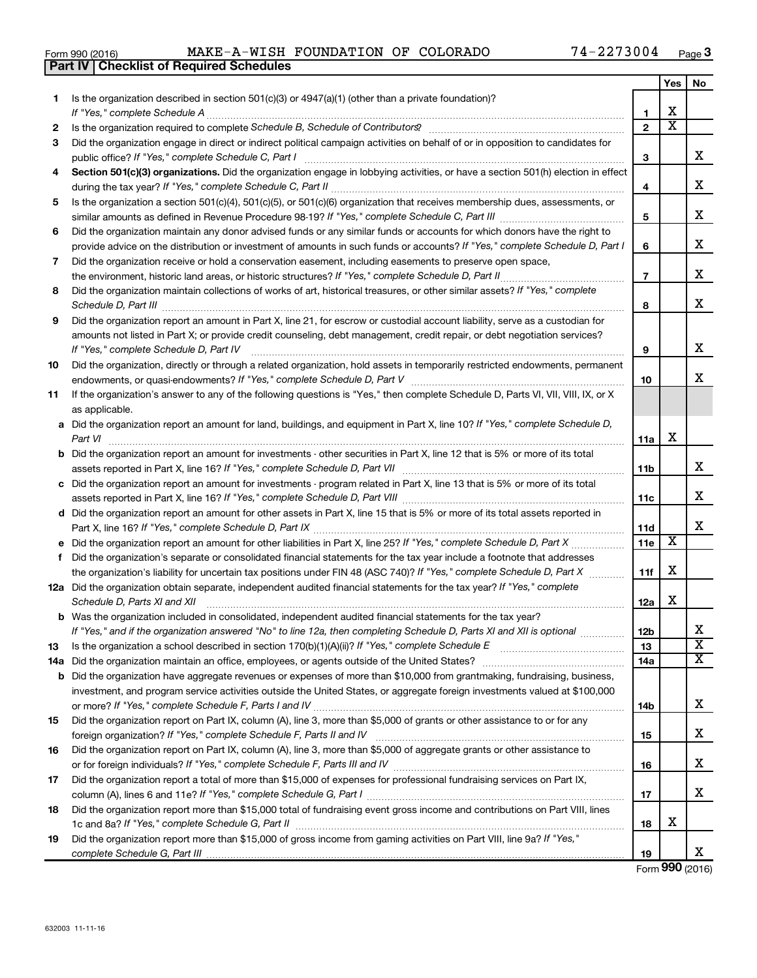| Form 990 (2016) | A-WISH<br>$MAKE - A -$ | FOUNDATION OF COLORADO |  | 2273004<br>74. | Page |
|-----------------|------------------------|------------------------|--|----------------|------|
|                 |                        |                        |  |                |      |

|    | <b>Part IV   Checklist of Required Schedules</b>                                                                                     |                 |                         |                         |
|----|--------------------------------------------------------------------------------------------------------------------------------------|-----------------|-------------------------|-------------------------|
|    |                                                                                                                                      |                 | Yes                     | No.                     |
| 1  | Is the organization described in section 501(c)(3) or $4947(a)(1)$ (other than a private foundation)?                                |                 |                         |                         |
|    | If "Yes," complete Schedule A                                                                                                        | 1               | X                       |                         |
| 2  |                                                                                                                                      | $\overline{2}$  | $\overline{\text{x}}$   |                         |
| 3  | Did the organization engage in direct or indirect political campaign activities on behalf of or in opposition to candidates for      |                 |                         |                         |
|    |                                                                                                                                      | 3               |                         | x                       |
| 4  | Section 501(c)(3) organizations. Did the organization engage in lobbying activities, or have a section 501(h) election in effect     |                 |                         |                         |
|    |                                                                                                                                      | 4               |                         | x                       |
| 5  | Is the organization a section 501(c)(4), 501(c)(5), or 501(c)(6) organization that receives membership dues, assessments, or         |                 |                         |                         |
|    |                                                                                                                                      | 5               |                         | x                       |
| 6  | Did the organization maintain any donor advised funds or any similar funds or accounts for which donors have the right to            |                 |                         |                         |
|    | provide advice on the distribution or investment of amounts in such funds or accounts? If "Yes," complete Schedule D, Part I         | 6               |                         | x                       |
| 7  |                                                                                                                                      |                 |                         |                         |
|    | Did the organization receive or hold a conservation easement, including easements to preserve open space,                            | $\overline{7}$  |                         | x                       |
|    | the environment, historic land areas, or historic structures? If "Yes," complete Schedule D, Part II                                 |                 |                         |                         |
| 8  | Did the organization maintain collections of works of art, historical treasures, or other similar assets? If "Yes," complete         |                 |                         | x                       |
|    |                                                                                                                                      | 8               |                         |                         |
| 9  | Did the organization report an amount in Part X, line 21, for escrow or custodial account liability, serve as a custodian for        |                 |                         |                         |
|    | amounts not listed in Part X; or provide credit counseling, debt management, credit repair, or debt negotiation services?            |                 |                         |                         |
|    | If "Yes," complete Schedule D, Part IV                                                                                               | 9               |                         | х                       |
| 10 | Did the organization, directly or through a related organization, hold assets in temporarily restricted endowments, permanent        |                 |                         |                         |
|    |                                                                                                                                      | 10              |                         | x                       |
| 11 | If the organization's answer to any of the following questions is "Yes," then complete Schedule D, Parts VI, VII, VIII, IX, or X     |                 |                         |                         |
|    | as applicable.                                                                                                                       |                 |                         |                         |
|    | a Did the organization report an amount for land, buildings, and equipment in Part X, line 10? If "Yes," complete Schedule D,        |                 |                         |                         |
|    | Part VI                                                                                                                              | 11a             | X                       |                         |
|    | <b>b</b> Did the organization report an amount for investments - other securities in Part X, line 12 that is 5% or more of its total |                 |                         |                         |
|    |                                                                                                                                      | 11b             |                         | x                       |
|    | c Did the organization report an amount for investments - program related in Part X, line 13 that is 5% or more of its total         |                 |                         |                         |
|    |                                                                                                                                      | 11c             |                         | x                       |
|    | d Did the organization report an amount for other assets in Part X, line 15 that is 5% or more of its total assets reported in       |                 |                         |                         |
|    |                                                                                                                                      | 11d             |                         | x                       |
|    | e Did the organization report an amount for other liabilities in Part X, line 25? If "Yes," complete Schedule D, Part X              | 11e             | $\overline{\mathbf{X}}$ |                         |
| f. | Did the organization's separate or consolidated financial statements for the tax year include a footnote that addresses              |                 |                         |                         |
|    | the organization's liability for uncertain tax positions under FIN 48 (ASC 740)? If "Yes," complete Schedule D, Part X               | 11f             | X                       |                         |
|    | 12a Did the organization obtain separate, independent audited financial statements for the tax year? If "Yes," complete              |                 |                         |                         |
|    | Schedule D, Parts XI and XII                                                                                                         | 12a             | X                       |                         |
|    | b Was the organization included in consolidated, independent audited financial statements for the tax year?                          |                 |                         |                         |
|    | If "Yes," and if the organization answered "No" to line 12a, then completing Schedule D, Parts XI and XII is optional                | 12 <sub>b</sub> |                         | х                       |
| 13 | Is the organization a school described in section 170(b)(1)(A)(ii)? If "Yes," complete Schedule E [[[[[[[[[[[                        | 13              |                         | $\overline{\mathtt{x}}$ |
|    |                                                                                                                                      | 14a             |                         | $\overline{\mathbf{X}}$ |
|    | <b>b</b> Did the organization have aggregate revenues or expenses of more than \$10,000 from grantmaking, fundraising, business,     |                 |                         |                         |
|    | investment, and program service activities outside the United States, or aggregate foreign investments valued at \$100,000           |                 |                         |                         |
|    |                                                                                                                                      | 14b             |                         | X                       |
| 15 | Did the organization report on Part IX, column (A), line 3, more than \$5,000 of grants or other assistance to or for any            |                 |                         |                         |
|    |                                                                                                                                      | 15              |                         | x                       |
| 16 | Did the organization report on Part IX, column (A), line 3, more than \$5,000 of aggregate grants or other assistance to             |                 |                         |                         |
|    |                                                                                                                                      | 16              |                         | x                       |
| 17 | Did the organization report a total of more than \$15,000 of expenses for professional fundraising services on Part IX,              |                 |                         |                         |
|    |                                                                                                                                      | 17              |                         | X                       |
| 18 | Did the organization report more than \$15,000 total of fundraising event gross income and contributions on Part VIII, lines         |                 |                         |                         |
|    |                                                                                                                                      | 18              | х                       |                         |
| 19 | Did the organization report more than \$15,000 of gross income from gaming activities on Part VIII, line 9a? If "Yes,"               |                 |                         |                         |
|    |                                                                                                                                      | 19              |                         | x                       |
|    |                                                                                                                                      |                 |                         |                         |

Form (2016) **990**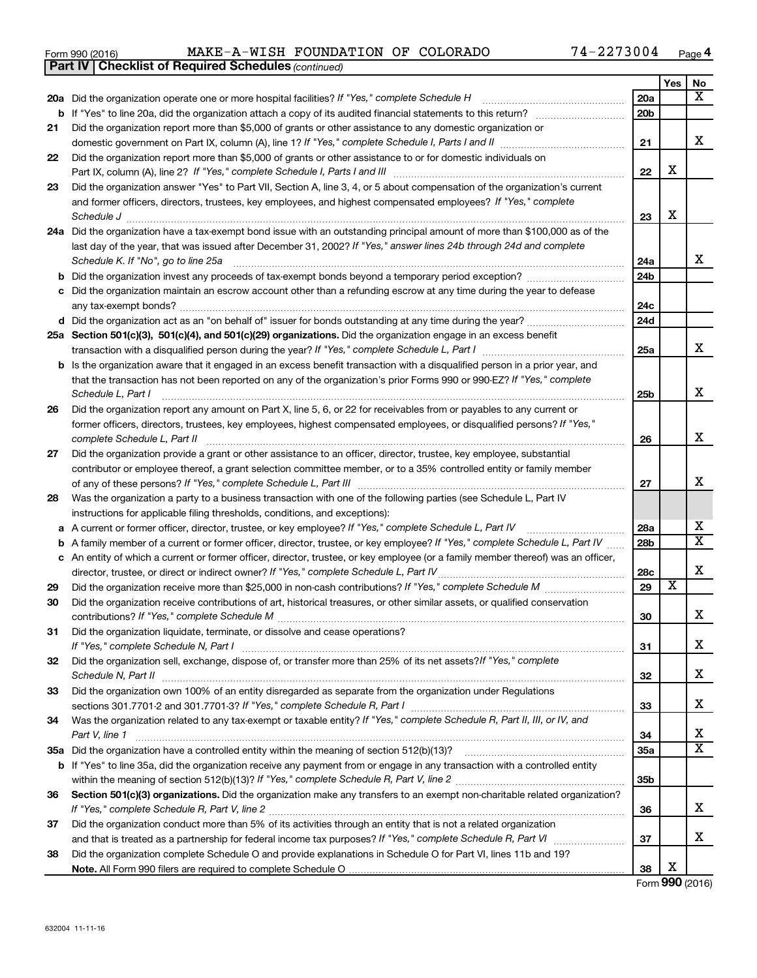| Form 990 (2016) |  | MAKE-A-WISH FOUNDATION OF COLORADO |  |  | 74-2273004 | Page |  |
|-----------------|--|------------------------------------|--|--|------------|------|--|
|-----------------|--|------------------------------------|--|--|------------|------|--|

**Part IV Checklist of Required Schedules**

*(continued)*

|    |                                                                                                                                                                                                                                 |                 | Yes                     | No                    |
|----|---------------------------------------------------------------------------------------------------------------------------------------------------------------------------------------------------------------------------------|-----------------|-------------------------|-----------------------|
|    | 20a Did the organization operate one or more hospital facilities? If "Yes," complete Schedule H                                                                                                                                 | 20a             |                         | x                     |
|    |                                                                                                                                                                                                                                 | 20 <sub>b</sub> |                         |                       |
| 21 | Did the organization report more than \$5,000 of grants or other assistance to any domestic organization or                                                                                                                     |                 |                         |                       |
|    |                                                                                                                                                                                                                                 | 21              |                         | х                     |
| 22 | Did the organization report more than \$5,000 of grants or other assistance to or for domestic individuals on<br>Part IX, column (A), line 2? If "Yes," complete Schedule I, Parts I and III [11]] [11]] [11] [11] [11] [11] [1 | 22              | X                       |                       |
| 23 | Did the organization answer "Yes" to Part VII, Section A, line 3, 4, or 5 about compensation of the organization's current                                                                                                      |                 |                         |                       |
|    | and former officers, directors, trustees, key employees, and highest compensated employees? If "Yes," complete                                                                                                                  |                 |                         |                       |
|    | Schedule J                                                                                                                                                                                                                      | 23              | X                       |                       |
|    | 24a Did the organization have a tax-exempt bond issue with an outstanding principal amount of more than \$100,000 as of the                                                                                                     |                 |                         |                       |
|    | last day of the year, that was issued after December 31, 2002? If "Yes," answer lines 24b through 24d and complete                                                                                                              |                 |                         |                       |
|    | Schedule K. If "No", go to line 25a                                                                                                                                                                                             | 24a             |                         | x                     |
| b  |                                                                                                                                                                                                                                 | 24 <sub>b</sub> |                         |                       |
|    | Did the organization maintain an escrow account other than a refunding escrow at any time during the year to defease                                                                                                            |                 |                         |                       |
|    |                                                                                                                                                                                                                                 | 24c             |                         |                       |
|    |                                                                                                                                                                                                                                 | 24d             |                         |                       |
|    | 25a Section 501(c)(3), 501(c)(4), and 501(c)(29) organizations. Did the organization engage in an excess benefit                                                                                                                |                 |                         |                       |
|    |                                                                                                                                                                                                                                 | 25a             |                         | x                     |
|    | b Is the organization aware that it engaged in an excess benefit transaction with a disqualified person in a prior year, and                                                                                                    |                 |                         |                       |
|    | that the transaction has not been reported on any of the organization's prior Forms 990 or 990-EZ? If "Yes," complete                                                                                                           |                 |                         | х                     |
|    | Schedule L, Part I<br>Did the organization report any amount on Part X, line 5, 6, or 22 for receivables from or payables to any current or                                                                                     | 25b             |                         |                       |
| 26 | former officers, directors, trustees, key employees, highest compensated employees, or disqualified persons? If "Yes,"                                                                                                          |                 |                         |                       |
|    | complete Schedule L, Part II                                                                                                                                                                                                    | 26              |                         | х                     |
| 27 | Did the organization provide a grant or other assistance to an officer, director, trustee, key employee, substantial                                                                                                            |                 |                         |                       |
|    | contributor or employee thereof, a grant selection committee member, or to a 35% controlled entity or family member                                                                                                             |                 |                         |                       |
|    |                                                                                                                                                                                                                                 | 27              |                         | х                     |
| 28 | Was the organization a party to a business transaction with one of the following parties (see Schedule L, Part IV                                                                                                               |                 |                         |                       |
|    | instructions for applicable filing thresholds, conditions, and exceptions):                                                                                                                                                     |                 |                         |                       |
| а  | A current or former officer, director, trustee, or key employee? If "Yes," complete Schedule L, Part IV                                                                                                                         | 28a             |                         | х                     |
| b  | A family member of a current or former officer, director, trustee, or key employee? If "Yes," complete Schedule L, Part IV                                                                                                      | 28b             |                         | $\overline{\text{X}}$ |
|    | c An entity of which a current or former officer, director, trustee, or key employee (or a family member thereof) was an officer,                                                                                               |                 |                         |                       |
|    | director, trustee, or direct or indirect owner? If "Yes," complete Schedule L, Part IV                                                                                                                                          | 28c             |                         | X                     |
| 29 |                                                                                                                                                                                                                                 | 29              | $\overline{\textbf{x}}$ |                       |
| 30 | Did the organization receive contributions of art, historical treasures, or other similar assets, or qualified conservation                                                                                                     |                 |                         |                       |
|    |                                                                                                                                                                                                                                 | 30              |                         | x                     |
| 31 | Did the organization liquidate, terminate, or dissolve and cease operations?                                                                                                                                                    | 31              |                         | х                     |
| 32 | Did the organization sell, exchange, dispose of, or transfer more than 25% of its net assets? If "Yes," complete                                                                                                                |                 |                         |                       |
|    |                                                                                                                                                                                                                                 | 32              |                         | х                     |
| 33 | Did the organization own 100% of an entity disregarded as separate from the organization under Regulations                                                                                                                      |                 |                         |                       |
|    |                                                                                                                                                                                                                                 | 33              |                         | х                     |
| 34 | Was the organization related to any tax-exempt or taxable entity? If "Yes," complete Schedule R, Part II, III, or IV, and                                                                                                       |                 |                         |                       |
|    | Part V, line 1                                                                                                                                                                                                                  | 34              |                         | х                     |
|    |                                                                                                                                                                                                                                 | 35a             |                         | X                     |
|    | b If "Yes" to line 35a, did the organization receive any payment from or engage in any transaction with a controlled entity                                                                                                     |                 |                         |                       |
|    |                                                                                                                                                                                                                                 | 35b             |                         |                       |
| 36 | Section 501(c)(3) organizations. Did the organization make any transfers to an exempt non-charitable related organization?                                                                                                      |                 |                         |                       |
|    |                                                                                                                                                                                                                                 | 36              |                         | x                     |
| 37 | Did the organization conduct more than 5% of its activities through an entity that is not a related organization                                                                                                                |                 |                         | x                     |
|    |                                                                                                                                                                                                                                 | 37              |                         |                       |
| 38 | Did the organization complete Schedule O and provide explanations in Schedule O for Part VI, lines 11b and 19?                                                                                                                  | 38              | х                       |                       |
|    |                                                                                                                                                                                                                                 |                 |                         |                       |

Form (2016) **990**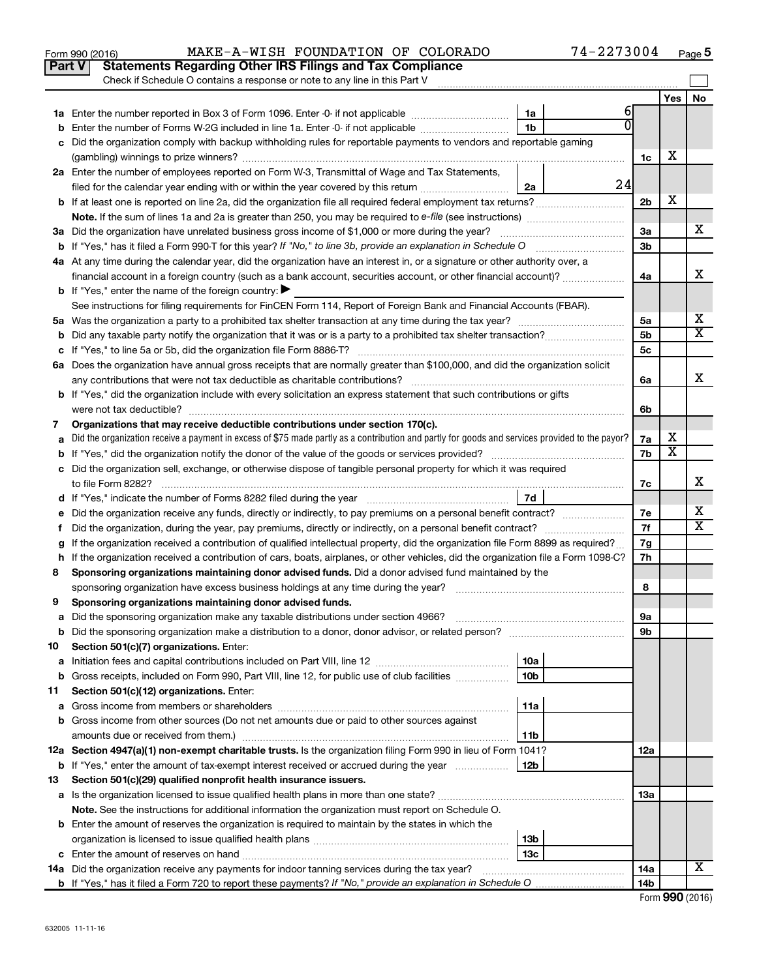|    | Part V<br><b>Statements Regarding Other IRS Filings and Tax Compliance</b>                                                                                                                            |                      |    |                |                         |                         |
|----|-------------------------------------------------------------------------------------------------------------------------------------------------------------------------------------------------------|----------------------|----|----------------|-------------------------|-------------------------|
|    | Check if Schedule O contains a response or note to any line in this Part V                                                                                                                            |                      |    |                |                         |                         |
|    |                                                                                                                                                                                                       |                      | 6  |                | Yes                     | <b>No</b>               |
|    |                                                                                                                                                                                                       | 1a<br>1 <sub>b</sub> |    |                |                         |                         |
|    | Enter the number of Forms W-2G included in line 1a. Enter -0- if not applicable<br>Did the organization comply with backup withholding rules for reportable payments to vendors and reportable gaming |                      |    |                |                         |                         |
|    |                                                                                                                                                                                                       |                      |    | 1c             | х                       |                         |
|    | 2a Enter the number of employees reported on Form W-3, Transmittal of Wage and Tax Statements,                                                                                                        |                      |    |                |                         |                         |
|    | filed for the calendar year ending with or within the year covered by this return                                                                                                                     | 2a                   | 24 |                |                         |                         |
|    |                                                                                                                                                                                                       |                      |    | 2 <sub>b</sub> | х                       |                         |
|    |                                                                                                                                                                                                       |                      |    |                |                         |                         |
|    | 3a Did the organization have unrelated business gross income of \$1,000 or more during the year?                                                                                                      |                      |    | За             |                         | x                       |
|    |                                                                                                                                                                                                       |                      |    | 3b             |                         |                         |
|    | 4a At any time during the calendar year, did the organization have an interest in, or a signature or other authority over, a                                                                          |                      |    |                |                         |                         |
|    | financial account in a foreign country (such as a bank account, securities account, or other financial account)?                                                                                      |                      |    | 4a             |                         | х                       |
|    | <b>b</b> If "Yes," enter the name of the foreign country: $\blacktriangleright$                                                                                                                       |                      |    |                |                         |                         |
|    | See instructions for filing requirements for FinCEN Form 114, Report of Foreign Bank and Financial Accounts (FBAR).                                                                                   |                      |    |                |                         |                         |
|    |                                                                                                                                                                                                       |                      |    | 5a             |                         | х                       |
|    |                                                                                                                                                                                                       |                      |    | 5 <sub>b</sub> |                         | $\overline{\texttt{x}}$ |
|    |                                                                                                                                                                                                       |                      |    | 5c             |                         |                         |
|    | 6a Does the organization have annual gross receipts that are normally greater than \$100,000, and did the organization solicit                                                                        |                      |    |                |                         |                         |
|    |                                                                                                                                                                                                       |                      |    | 6a             |                         | х                       |
|    | <b>b</b> If "Yes," did the organization include with every solicitation an express statement that such contributions or gifts                                                                         |                      |    |                |                         |                         |
|    |                                                                                                                                                                                                       |                      |    | 6b             |                         |                         |
| 7  | Organizations that may receive deductible contributions under section 170(c).                                                                                                                         |                      |    |                | х                       |                         |
|    | Did the organization receive a payment in excess of \$75 made partly as a contribution and partly for goods and services provided to the payor?                                                       |                      |    | 7a<br>7b       | $\overline{\textbf{x}}$ |                         |
|    | c Did the organization sell, exchange, or otherwise dispose of tangible personal property for which it was required                                                                                   |                      |    |                |                         |                         |
|    |                                                                                                                                                                                                       |                      |    | 7c             |                         | х                       |
|    |                                                                                                                                                                                                       | 7d                   |    |                |                         |                         |
|    | Did the organization receive any funds, directly or indirectly, to pay premiums on a personal benefit contract?                                                                                       |                      |    | 7е             |                         | х                       |
| f. | Did the organization, during the year, pay premiums, directly or indirectly, on a personal benefit contract?                                                                                          |                      |    | 7f             |                         | $\overline{\mathbf{x}}$ |
|    | If the organization received a contribution of qualified intellectual property, did the organization file Form 8899 as required?                                                                      |                      |    | 7g             |                         |                         |
|    | h If the organization received a contribution of cars, boats, airplanes, or other vehicles, did the organization file a Form 1098-C?                                                                  |                      |    | 7h             |                         |                         |
| 8  | Sponsoring organizations maintaining donor advised funds. Did a donor advised fund maintained by the                                                                                                  |                      |    |                |                         |                         |
|    |                                                                                                                                                                                                       |                      |    | 8              |                         |                         |
| 9  | Sponsoring organizations maintaining donor advised funds.                                                                                                                                             |                      |    |                |                         |                         |
|    |                                                                                                                                                                                                       |                      |    | эа             |                         |                         |
|    | <b>b</b> Did the sponsoring organization make a distribution to a donor, donor advisor, or related person?                                                                                            |                      |    | 9b             |                         |                         |
| 10 | Section 501(c)(7) organizations. Enter:                                                                                                                                                               |                      |    |                |                         |                         |
| а  |                                                                                                                                                                                                       | 10a                  |    |                |                         |                         |
| b  | Gross receipts, included on Form 990, Part VIII, line 12, for public use of club facilities                                                                                                           | 10 <sub>b</sub>      |    |                |                         |                         |
| 11 | Section 501(c)(12) organizations. Enter:                                                                                                                                                              |                      |    |                |                         |                         |
| а  | b Gross income from other sources (Do not net amounts due or paid to other sources against                                                                                                            | 11a                  |    |                |                         |                         |
|    |                                                                                                                                                                                                       | 11b                  |    |                |                         |                         |
|    | 12a Section 4947(a)(1) non-exempt charitable trusts. Is the organization filing Form 990 in lieu of Form 1041?                                                                                        |                      |    | 12a            |                         |                         |
|    | <b>b</b> If "Yes," enter the amount of tax-exempt interest received or accrued during the year                                                                                                        | 12b                  |    |                |                         |                         |
| 13 | Section 501(c)(29) qualified nonprofit health insurance issuers.                                                                                                                                      |                      |    |                |                         |                         |
|    | a Is the organization licensed to issue qualified health plans in more than one state?                                                                                                                |                      |    | 1За            |                         |                         |
|    | Note. See the instructions for additional information the organization must report on Schedule O.                                                                                                     |                      |    |                |                         |                         |
|    | <b>b</b> Enter the amount of reserves the organization is required to maintain by the states in which the                                                                                             |                      |    |                |                         |                         |
|    |                                                                                                                                                                                                       | 13b                  |    |                |                         |                         |
|    |                                                                                                                                                                                                       | 13c                  |    |                |                         |                         |
|    | 14a Did the organization receive any payments for indoor tanning services during the tax year?                                                                                                        |                      |    | 14a            |                         | X                       |
|    |                                                                                                                                                                                                       |                      |    | 14b            |                         |                         |

Form 990 (2016) MAKE-A-WISH FOUNDATION OF COLORADO 74-2273004 <sub>Page</sub>

**5**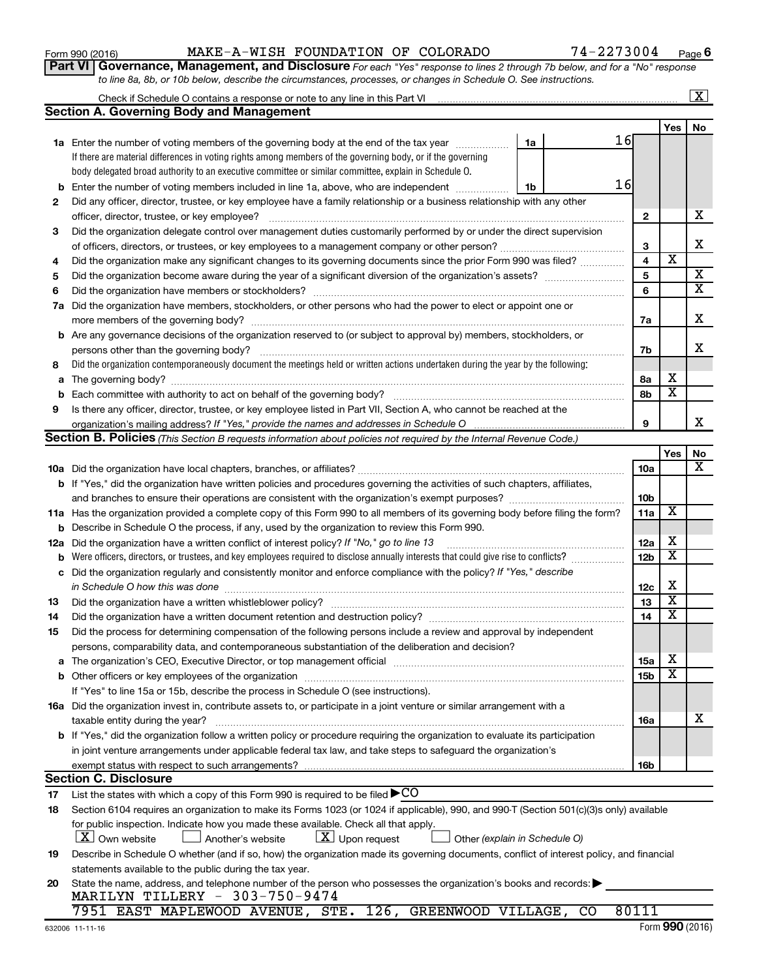| Form 990 (2016) |
|-----------------|
|-----------------|

### Form 990 (2016) MAKE-A-WISH FOUNDATION OF COLORADO 74-2273004 <sub>Page</sub>

**Part VI** Governance, Management, and Disclosure For each "Yes" response to lines 2 through 7b below, and for a "No" response *to line 8a, 8b, or 10b below, describe the circumstances, processes, or changes in Schedule O. See instructions.*

|     | Check if Schedule O contains a response or note to any line in this Part VI                                                                                                                                              |                 |                         | $\overline{\text{X}}$   |
|-----|--------------------------------------------------------------------------------------------------------------------------------------------------------------------------------------------------------------------------|-----------------|-------------------------|-------------------------|
|     | <b>Section A. Governing Body and Management</b>                                                                                                                                                                          |                 |                         |                         |
|     |                                                                                                                                                                                                                          |                 | Yes                     | No.                     |
|     | 16<br>1a Enter the number of voting members of the governing body at the end of the tax year<br>1a                                                                                                                       |                 |                         |                         |
|     | If there are material differences in voting rights among members of the governing body, or if the governing                                                                                                              |                 |                         |                         |
|     | body delegated broad authority to an executive committee or similar committee, explain in Schedule O.                                                                                                                    |                 |                         |                         |
| b   | 16<br>Enter the number of voting members included in line 1a, above, who are independent<br>1b                                                                                                                           |                 |                         |                         |
| 2   | Did any officer, director, trustee, or key employee have a family relationship or a business relationship with any other                                                                                                 |                 |                         |                         |
|     | officer, director, trustee, or key employee?                                                                                                                                                                             | $\mathbf{2}$    |                         | х                       |
| 3   | Did the organization delegate control over management duties customarily performed by or under the direct supervision                                                                                                    |                 |                         |                         |
|     |                                                                                                                                                                                                                          | 3               |                         | X                       |
| 4   | Did the organization make any significant changes to its governing documents since the prior Form 990 was filed?                                                                                                         | 4               | $\overline{\mathbf{x}}$ |                         |
| 5   |                                                                                                                                                                                                                          | 5               |                         | $\overline{\mathbf{X}}$ |
| 6   |                                                                                                                                                                                                                          | 6               |                         | $\overline{\textbf{X}}$ |
| 7a  | Did the organization have members, stockholders, or other persons who had the power to elect or appoint one or                                                                                                           |                 |                         |                         |
|     |                                                                                                                                                                                                                          | 7a              |                         | X                       |
| b   | Are any governance decisions of the organization reserved to (or subject to approval by) members, stockholders, or                                                                                                       |                 |                         |                         |
|     | persons other than the governing body?                                                                                                                                                                                   | 7b              |                         | x                       |
| 8   | Did the organization contemporaneously document the meetings held or written actions undertaken during the year by the following:                                                                                        |                 |                         |                         |
| а   |                                                                                                                                                                                                                          | 8а              | х                       |                         |
| b   | Each committee with authority to act on behalf of the governing body?                                                                                                                                                    | 8b              | $\overline{\mathbf{x}}$ |                         |
| 9   | Is there any officer, director, trustee, or key employee listed in Part VII, Section A, who cannot be reached at the                                                                                                     |                 |                         |                         |
|     |                                                                                                                                                                                                                          | 9               |                         | х                       |
|     | Section B. Policies (This Section B requests information about policies not required by the Internal Revenue Code.)                                                                                                      |                 |                         |                         |
|     |                                                                                                                                                                                                                          |                 | Yes                     | No                      |
|     |                                                                                                                                                                                                                          | 10a             |                         | x                       |
|     | <b>b</b> If "Yes," did the organization have written policies and procedures governing the activities of such chapters, affiliates,                                                                                      |                 |                         |                         |
|     |                                                                                                                                                                                                                          | 10b             |                         |                         |
|     | 11a Has the organization provided a complete copy of this Form 990 to all members of its governing body before filing the form?                                                                                          | 11a             | X                       |                         |
| b   | Describe in Schedule O the process, if any, used by the organization to review this Form 990.                                                                                                                            |                 |                         |                         |
| 12a | Did the organization have a written conflict of interest policy? If "No," go to line 13                                                                                                                                  | 12a             | х                       |                         |
| b   | Were officers, directors, or trustees, and key employees required to disclose annually interests that could give rise to conflicts?                                                                                      | 12 <sub>b</sub> | $\overline{\textbf{x}}$ |                         |
| с   | Did the organization regularly and consistently monitor and enforce compliance with the policy? If "Yes," describe                                                                                                       |                 |                         |                         |
|     | in Schedule O how this was done                                                                                                                                                                                          | 12c             | х                       |                         |
| 13  | Did the organization have a written whistleblower policy?                                                                                                                                                                | 13              | $\overline{\textbf{x}}$ |                         |
| 14  |                                                                                                                                                                                                                          | 14              | $\overline{\textbf{x}}$ |                         |
| 15  | Did the process for determining compensation of the following persons include a review and approval by independent                                                                                                       |                 |                         |                         |
|     | persons, comparability data, and contemporaneous substantiation of the deliberation and decision?                                                                                                                        |                 |                         |                         |
|     | The organization's CEO, Executive Director, or top management official manufactured content content of the organization's CEO, Executive Director, or top management official manufactured content of the organization's | 15a             | х                       |                         |
|     |                                                                                                                                                                                                                          | <b>15b</b>      | х                       |                         |
|     | If "Yes" to line 15a or 15b, describe the process in Schedule O (see instructions).                                                                                                                                      |                 |                         |                         |
|     | 16a Did the organization invest in, contribute assets to, or participate in a joint venture or similar arrangement with a                                                                                                |                 |                         |                         |
|     | taxable entity during the year?                                                                                                                                                                                          | 16a             |                         | х                       |
|     | b If "Yes," did the organization follow a written policy or procedure requiring the organization to evaluate its participation                                                                                           |                 |                         |                         |
|     | in joint venture arrangements under applicable federal tax law, and take steps to safeguard the organization's                                                                                                           |                 |                         |                         |
|     | exempt status with respect to such arrangements?                                                                                                                                                                         | 16b             |                         |                         |
|     | <b>Section C. Disclosure</b>                                                                                                                                                                                             |                 |                         |                         |
| 17  | List the states with which a copy of this Form 990 is required to be filed $\blacktriangleright$ CO                                                                                                                      |                 |                         |                         |
| 18  | Section 6104 requires an organization to make its Forms 1023 (or 1024 if applicable), 990, and 990-T (Section 501(c)(3)s only) available                                                                                 |                 |                         |                         |
|     | for public inspection. Indicate how you made these available. Check all that apply.                                                                                                                                      |                 |                         |                         |
|     | $\lfloor X \rfloor$ Own website<br>$\lfloor \underline{X} \rfloor$ Upon request<br>Another's website<br>Other (explain in Schedule O)                                                                                    |                 |                         |                         |
| 19  | Describe in Schedule O whether (and if so, how) the organization made its governing documents, conflict of interest policy, and financial                                                                                |                 |                         |                         |
|     | statements available to the public during the tax year.                                                                                                                                                                  |                 |                         |                         |
| 20  | State the name, address, and telephone number of the person who possesses the organization's books and records:                                                                                                          |                 |                         |                         |
|     | MARILYN TILLERY - 303-750-9474                                                                                                                                                                                           |                 |                         |                         |
|     | 7951 EAST MAPLEWOOD AVENUE, STE. 126, GREENWOOD VILLAGE, CO                                                                                                                                                              | 80111           |                         |                         |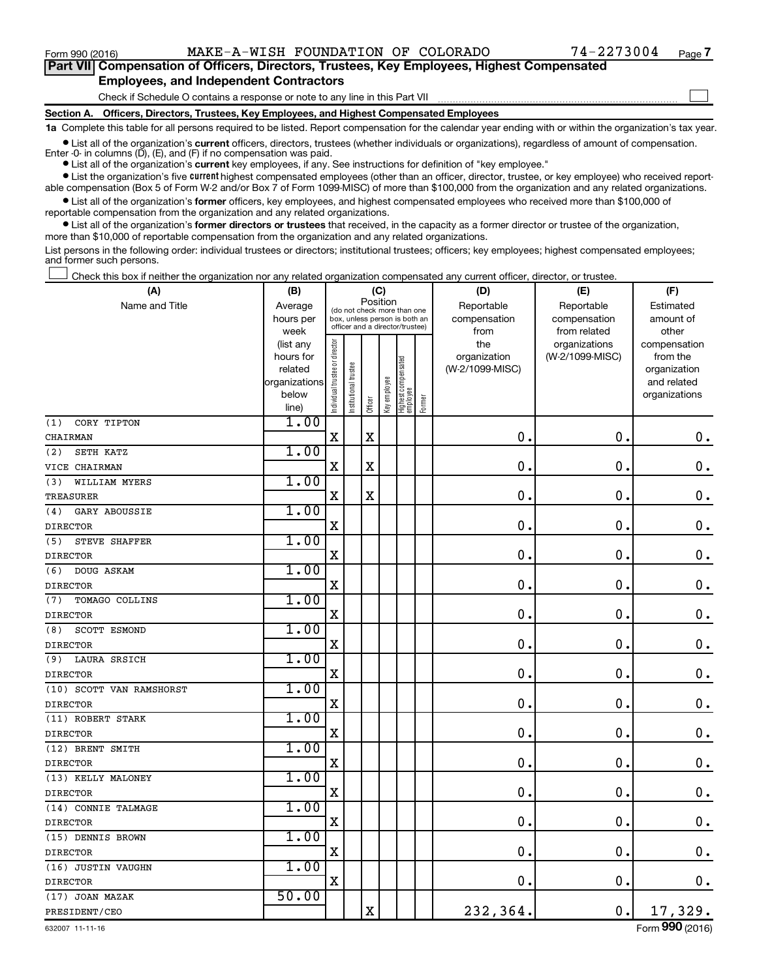$\Box$ 

| Part VII Compensation of Officers, Directors, Trustees, Key Employees, Highest Compensated |
|--------------------------------------------------------------------------------------------|
| <b>Employees, and Independent Contractors</b>                                              |

Check if Schedule O contains a response or note to any line in this Part VII

**Section A. Officers, Directors, Trustees, Key Employees, and Highest Compensated Employees**

**1a**  Complete this table for all persons required to be listed. Report compensation for the calendar year ending with or within the organization's tax year.

**•** List all of the organization's current officers, directors, trustees (whether individuals or organizations), regardless of amount of compensation. Enter -0- in columns  $(D)$ ,  $(E)$ , and  $(F)$  if no compensation was paid.

**•** List all of the organization's **current** key employees, if any. See instructions for definition of "key employee."

**•** List the organization's five current highest compensated employees (other than an officer, director, trustee, or key employee) who received reportable compensation (Box 5 of Form W-2 and/or Box 7 of Form 1099-MISC) of more than \$100,000 from the organization and any related organizations.

**•** List all of the organization's former officers, key employees, and highest compensated employees who received more than \$100,000 of reportable compensation from the organization and any related organizations.

**•** List all of the organization's former directors or trustees that received, in the capacity as a former director or trustee of the organization, more than \$10,000 of reportable compensation from the organization and any related organizations.

List persons in the following order: individual trustees or directors; institutional trustees; officers; key employees; highest compensated employees; and former such persons.

Check this box if neither the organization nor any related organization compensated any current officer, director, or trustee.  $\Box$ 

| (A)                         | (B)                    |                                |                                                                  | (C)                     |              |                                 |        | (D)             | (E)                              | (F)                      |
|-----------------------------|------------------------|--------------------------------|------------------------------------------------------------------|-------------------------|--------------|---------------------------------|--------|-----------------|----------------------------------|--------------------------|
| Name and Title              | Average                |                                | (do not check more than one                                      | Position                |              |                                 |        | Reportable      | Reportable                       | Estimated                |
|                             | hours per              |                                | box, unless person is both an<br>officer and a director/trustee) |                         |              |                                 |        | compensation    | compensation                     | amount of                |
|                             | week                   |                                |                                                                  |                         |              |                                 |        | from<br>the     | from related                     | other                    |
|                             | (list any<br>hours for |                                |                                                                  |                         |              |                                 |        | organization    | organizations<br>(W-2/1099-MISC) | compensation<br>from the |
|                             | related                |                                |                                                                  |                         |              |                                 |        | (W-2/1099-MISC) |                                  | organization             |
|                             | organizations          |                                |                                                                  |                         |              |                                 |        |                 |                                  | and related              |
|                             | below                  | Individual trustee or director | Institutional trustee                                            |                         | Key employee | Highest compensated<br>employee |        |                 |                                  | organizations            |
|                             | line)                  |                                |                                                                  | Officer                 |              |                                 | Former |                 |                                  |                          |
| (1)<br>CORY TIPTON          | 1.00                   |                                |                                                                  |                         |              |                                 |        |                 |                                  |                          |
| CHAIRMAN                    |                        | $\mathbf X$                    |                                                                  | $\mathbf X$             |              |                                 |        | 0.              | 0.                               | $\mathbf 0$ .            |
| (2)<br>SETH KATZ            | 1.00                   |                                |                                                                  |                         |              |                                 |        |                 |                                  |                          |
| VICE CHAIRMAN               |                        | $\mathbf X$                    |                                                                  | $\rm X$                 |              |                                 |        | $\mathbf 0$ .   | $\mathbf 0$ .                    | $\mathbf 0$ .            |
| WILLIAM MYERS<br>(3)        | 1.00                   |                                |                                                                  |                         |              |                                 |        |                 |                                  |                          |
| <b>TREASURER</b>            |                        | X                              |                                                                  | $\mathbf X$             |              |                                 |        | $\mathbf 0$ .   | $\mathbf 0$ .                    | $\mathbf 0$ .            |
| <b>GARY ABOUSSIE</b><br>(4) | 1.00                   |                                |                                                                  |                         |              |                                 |        |                 |                                  |                          |
| <b>DIRECTOR</b>             |                        | $\mathbf X$                    |                                                                  |                         |              |                                 |        | $\mathbf 0$ .   | $\mathbf 0$ .                    | $\mathbf 0$ .            |
| STEVE SHAFFER<br>(5)        | 1.00                   |                                |                                                                  |                         |              |                                 |        |                 |                                  |                          |
| <b>DIRECTOR</b>             |                        | X                              |                                                                  |                         |              |                                 |        | $\mathbf 0$     | $\mathbf 0$ .                    | $\mathbf 0$ .            |
| (6)<br>DOUG ASKAM           | 1.00                   |                                |                                                                  |                         |              |                                 |        |                 |                                  |                          |
| <b>DIRECTOR</b>             |                        | $\mathbf X$                    |                                                                  |                         |              |                                 |        | $\mathbf 0$     | $\mathbf 0$ .                    | $0$ .                    |
| (7)<br>TOMAGO COLLINS       | 1.00                   |                                |                                                                  |                         |              |                                 |        |                 |                                  |                          |
| <b>DIRECTOR</b>             |                        | X                              |                                                                  |                         |              |                                 |        | $\mathbf 0$     | $\mathbf 0$ .                    | $\mathbf 0$ .            |
| (8)<br>SCOTT ESMOND         | 1.00                   |                                |                                                                  |                         |              |                                 |        |                 |                                  |                          |
| <b>DIRECTOR</b>             |                        | $\mathbf X$                    |                                                                  |                         |              |                                 |        | $\mathbf 0$     | $\mathbf 0$ .                    | $\mathbf 0$ .            |
| (9)<br><b>LAURA SRSICH</b>  | 1.00                   |                                |                                                                  |                         |              |                                 |        |                 |                                  |                          |
| <b>DIRECTOR</b>             |                        | $\mathbf X$                    |                                                                  |                         |              |                                 |        | 0               | $\mathbf 0$ .                    | $\mathbf 0$ .            |
| (10) SCOTT VAN RAMSHORST    | 1.00                   |                                |                                                                  |                         |              |                                 |        |                 |                                  |                          |
| <b>DIRECTOR</b>             |                        | $\rm X$                        |                                                                  |                         |              |                                 |        | $\mathbf 0$     | $\mathbf 0$ .                    | $\mathbf 0$ .            |
| (11) ROBERT STARK           | 1.00                   |                                |                                                                  |                         |              |                                 |        |                 |                                  |                          |
| <b>DIRECTOR</b>             |                        | X                              |                                                                  |                         |              |                                 |        | 0               | 0.                               | $\mathbf 0$ .            |
| (12) BRENT SMITH            | 1.00                   |                                |                                                                  |                         |              |                                 |        |                 |                                  |                          |
| <b>DIRECTOR</b>             |                        | $\mathbf X$                    |                                                                  |                         |              |                                 |        | $\mathbf 0$     | $\mathbf 0$ .                    | $\mathbf 0$ .            |
| (13) KELLY MALONEY          | 1.00                   |                                |                                                                  |                         |              |                                 |        |                 |                                  |                          |
| <b>DIRECTOR</b>             |                        | X                              |                                                                  |                         |              |                                 |        | $\mathbf 0$     | $\mathbf 0$ .                    | $\mathbf 0$ .            |
| (14) CONNIE TALMAGE         | 1.00                   |                                |                                                                  |                         |              |                                 |        |                 |                                  |                          |
| <b>DIRECTOR</b>             |                        | $\mathbf X$                    |                                                                  |                         |              |                                 |        | $\mathbf 0$     | $\mathbf 0$ .                    | 0.                       |
| (15) DENNIS BROWN           | 1.00                   |                                |                                                                  |                         |              |                                 |        |                 |                                  |                          |
| <b>DIRECTOR</b>             |                        | $\mathbf X$                    |                                                                  |                         |              |                                 |        | $\mathbf 0$ .   | $\mathbf 0$ .                    | 0.                       |
| (16) JUSTIN VAUGHN          | 1.00                   |                                |                                                                  |                         |              |                                 |        |                 |                                  |                          |
| <b>DIRECTOR</b>             |                        | $\mathbf X$                    |                                                                  |                         |              |                                 |        | 0.              | $\mathbf 0$ .                    | 0.                       |
| (17) JOAN MAZAK             | 50.00                  |                                |                                                                  |                         |              |                                 |        |                 |                                  |                          |
| PRESIDENT/CEO               |                        |                                |                                                                  | $\overline{\mathbf{X}}$ |              |                                 |        | 232,364.        | 0.                               | 17,329.                  |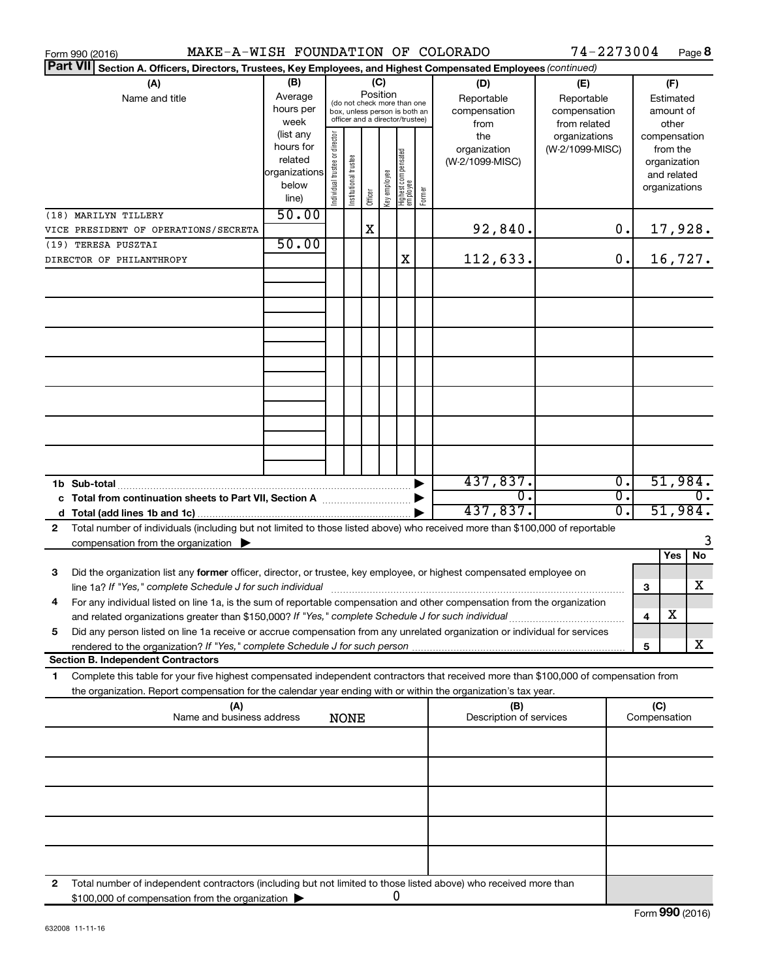| MAKE-A-WISH FOUNDATION OF COLORADO<br>Form 990 (2016)                                                                                        |                          |                                                                                              |                                 |         |              |                                  |           |                                | 74-2273004      |                  |                     |          | Page 8           |
|----------------------------------------------------------------------------------------------------------------------------------------------|--------------------------|----------------------------------------------------------------------------------------------|---------------------------------|---------|--------------|----------------------------------|-----------|--------------------------------|-----------------|------------------|---------------------|----------|------------------|
| <b>Part VII</b><br>Section A. Officers, Directors, Trustees, Key Employees, and Highest Compensated Employees (continued)                    |                          |                                                                                              |                                 |         |              |                                  |           |                                |                 |                  |                     |          |                  |
| (A)                                                                                                                                          | (B)<br>(C)<br>(D)<br>(E) |                                                                                              |                                 |         |              |                                  |           |                                |                 |                  |                     | (F)      |                  |
| Name and title                                                                                                                               | Average                  | Position<br>Reportable                                                                       |                                 |         |              |                                  |           | Reportable                     | Estimated       |                  |                     |          |                  |
|                                                                                                                                              | hours per                | (do not check more than one<br>compensation<br>compensation<br>box, unless person is both an |                                 |         |              |                                  | amount of |                                |                 |                  |                     |          |                  |
|                                                                                                                                              | week                     |                                                                                              | officer and a director/trustee) |         |              |                                  |           | from                           | from related    |                  |                     | other    |                  |
|                                                                                                                                              | (list any                |                                                                                              |                                 |         |              |                                  |           | the                            | organizations   |                  | compensation        |          |                  |
|                                                                                                                                              | hours for                |                                                                                              |                                 |         |              |                                  |           | organization                   | (W-2/1099-MISC) |                  |                     | from the |                  |
|                                                                                                                                              | related                  |                                                                                              |                                 |         |              |                                  |           | (W-2/1099-MISC)                |                 |                  | organization        |          |                  |
|                                                                                                                                              | organizations            |                                                                                              |                                 |         |              |                                  |           |                                |                 |                  | and related         |          |                  |
|                                                                                                                                              | below                    | Individual trustee or director                                                               | Institutional trustee           |         | Key employee |                                  |           |                                |                 |                  | organizations       |          |                  |
|                                                                                                                                              | line)                    |                                                                                              |                                 | Officer |              | Highest compensated<br> employee | Former    |                                |                 |                  |                     |          |                  |
| (18) MARILYN TILLERY                                                                                                                         | 50.00                    |                                                                                              |                                 |         |              |                                  |           |                                |                 |                  |                     |          |                  |
| VICE PRESIDENT OF OPERATIONS/SECRETA                                                                                                         |                          |                                                                                              |                                 | X       |              |                                  |           | 92,840.                        |                 | 0.               |                     |          | 17,928.          |
| (19) TERESA PUSZTAI                                                                                                                          | 50.00                    |                                                                                              |                                 |         |              |                                  |           |                                |                 |                  |                     |          |                  |
| DIRECTOR OF PHILANTHROPY                                                                                                                     |                          |                                                                                              |                                 |         |              | Χ                                |           | 112,633.                       |                 | 0.               |                     |          | 16,727.          |
|                                                                                                                                              |                          |                                                                                              |                                 |         |              |                                  |           |                                |                 |                  |                     |          |                  |
|                                                                                                                                              |                          |                                                                                              |                                 |         |              |                                  |           |                                |                 |                  |                     |          |                  |
|                                                                                                                                              |                          |                                                                                              |                                 |         |              |                                  |           |                                |                 |                  |                     |          |                  |
|                                                                                                                                              |                          |                                                                                              |                                 |         |              |                                  |           |                                |                 |                  |                     |          |                  |
|                                                                                                                                              |                          |                                                                                              |                                 |         |              |                                  |           |                                |                 |                  |                     |          |                  |
|                                                                                                                                              |                          |                                                                                              |                                 |         |              |                                  |           |                                |                 |                  |                     |          |                  |
|                                                                                                                                              |                          |                                                                                              |                                 |         |              |                                  |           |                                |                 |                  |                     |          |                  |
|                                                                                                                                              |                          |                                                                                              |                                 |         |              |                                  |           |                                |                 |                  |                     |          |                  |
|                                                                                                                                              |                          |                                                                                              |                                 |         |              |                                  |           |                                |                 |                  |                     |          |                  |
|                                                                                                                                              |                          |                                                                                              |                                 |         |              |                                  |           |                                |                 |                  |                     |          |                  |
|                                                                                                                                              |                          |                                                                                              |                                 |         |              |                                  |           |                                |                 |                  |                     |          |                  |
|                                                                                                                                              |                          |                                                                                              |                                 |         |              |                                  |           |                                |                 |                  |                     |          |                  |
|                                                                                                                                              |                          |                                                                                              |                                 |         |              |                                  |           |                                |                 |                  |                     |          |                  |
|                                                                                                                                              |                          |                                                                                              |                                 |         |              |                                  |           |                                |                 |                  |                     |          |                  |
|                                                                                                                                              |                          |                                                                                              |                                 |         |              |                                  |           |                                |                 |                  |                     |          |                  |
|                                                                                                                                              |                          |                                                                                              |                                 |         |              |                                  |           |                                |                 |                  |                     |          |                  |
| 1b Sub-total                                                                                                                                 |                          |                                                                                              |                                 |         |              |                                  |           | 437,837.                       |                 | $\overline{0}$ . |                     |          | 51,984.          |
| Total from continuation sheets to Part VII, Section A [111] [12] Total from continuation sheets to Part VII, Section A                       |                          |                                                                                              |                                 |         |              |                                  |           | 0.                             |                 | σ.               |                     |          | $\overline{0}$ . |
| d                                                                                                                                            |                          |                                                                                              |                                 |         |              |                                  |           | 437,837.                       |                 | σ.               |                     |          | 51,984.          |
| Total number of individuals (including but not limited to those listed above) who received more than \$100,000 of reportable<br>$\mathbf{2}$ |                          |                                                                                              |                                 |         |              |                                  |           |                                |                 |                  |                     |          |                  |
| compensation from the organization $\blacktriangleright$                                                                                     |                          |                                                                                              |                                 |         |              |                                  |           |                                |                 |                  |                     |          | 3                |
|                                                                                                                                              |                          |                                                                                              |                                 |         |              |                                  |           |                                |                 |                  |                     | Yes      | No               |
|                                                                                                                                              |                          |                                                                                              |                                 |         |              |                                  |           |                                |                 |                  |                     |          |                  |
| 3<br>Did the organization list any former officer, director, or trustee, key employee, or highest compensated employee on                    |                          |                                                                                              |                                 |         |              |                                  |           |                                |                 |                  |                     |          |                  |
|                                                                                                                                              |                          |                                                                                              |                                 |         |              |                                  |           |                                |                 |                  | 3                   |          | x                |
| For any individual listed on line 1a, is the sum of reportable compensation and other compensation from the organization                     |                          |                                                                                              |                                 |         |              |                                  |           |                                |                 |                  |                     |          |                  |
| and related organizations greater than \$150,000? If "Yes," complete Schedule J for such individual                                          |                          |                                                                                              |                                 |         |              |                                  |           |                                |                 |                  | 4                   | X        |                  |
| Did any person listed on line 1a receive or accrue compensation from any unrelated organization or individual for services<br>5              |                          |                                                                                              |                                 |         |              |                                  |           |                                |                 |                  |                     |          |                  |
|                                                                                                                                              |                          |                                                                                              |                                 |         |              |                                  |           |                                |                 |                  | 5                   |          | x                |
| <b>Section B. Independent Contractors</b>                                                                                                    |                          |                                                                                              |                                 |         |              |                                  |           |                                |                 |                  |                     |          |                  |
| Complete this table for your five highest compensated independent contractors that received more than \$100,000 of compensation from<br>1.   |                          |                                                                                              |                                 |         |              |                                  |           |                                |                 |                  |                     |          |                  |
| the organization. Report compensation for the calendar year ending with or within the organization's tax year.                               |                          |                                                                                              |                                 |         |              |                                  |           |                                |                 |                  |                     |          |                  |
|                                                                                                                                              |                          |                                                                                              |                                 |         |              |                                  |           |                                |                 |                  |                     |          |                  |
| (A)<br>Name and business address                                                                                                             |                          |                                                                                              |                                 |         |              |                                  |           | (B)<br>Description of services |                 |                  | (C)<br>Compensation |          |                  |
|                                                                                                                                              |                          |                                                                                              | <b>NONE</b>                     |         |              |                                  |           |                                |                 |                  |                     |          |                  |
|                                                                                                                                              |                          |                                                                                              |                                 |         |              |                                  |           |                                |                 |                  |                     |          |                  |
|                                                                                                                                              |                          |                                                                                              |                                 |         |              |                                  |           |                                |                 |                  |                     |          |                  |
|                                                                                                                                              |                          |                                                                                              |                                 |         |              |                                  |           |                                |                 |                  |                     |          |                  |
|                                                                                                                                              |                          |                                                                                              |                                 |         |              |                                  |           |                                |                 |                  |                     |          |                  |
|                                                                                                                                              |                          |                                                                                              |                                 |         |              |                                  |           |                                |                 |                  |                     |          |                  |
|                                                                                                                                              |                          |                                                                                              |                                 |         |              |                                  |           |                                |                 |                  |                     |          |                  |
|                                                                                                                                              |                          |                                                                                              |                                 |         |              |                                  |           |                                |                 |                  |                     |          |                  |
|                                                                                                                                              |                          |                                                                                              |                                 |         |              |                                  |           |                                |                 |                  |                     |          |                  |
|                                                                                                                                              |                          |                                                                                              |                                 |         |              |                                  |           |                                |                 |                  |                     |          |                  |
|                                                                                                                                              |                          |                                                                                              |                                 |         |              |                                  |           |                                |                 |                  |                     |          |                  |
|                                                                                                                                              |                          |                                                                                              |                                 |         |              |                                  |           |                                |                 |                  |                     |          |                  |
| Total number of independent contractors (including but not limited to those listed above) who received more than<br>2                        |                          |                                                                                              |                                 |         |              |                                  |           |                                |                 |                  |                     |          |                  |
| \$100,000 of compensation from the organization                                                                                              |                          |                                                                                              |                                 |         |              | 0                                |           |                                |                 |                  |                     |          |                  |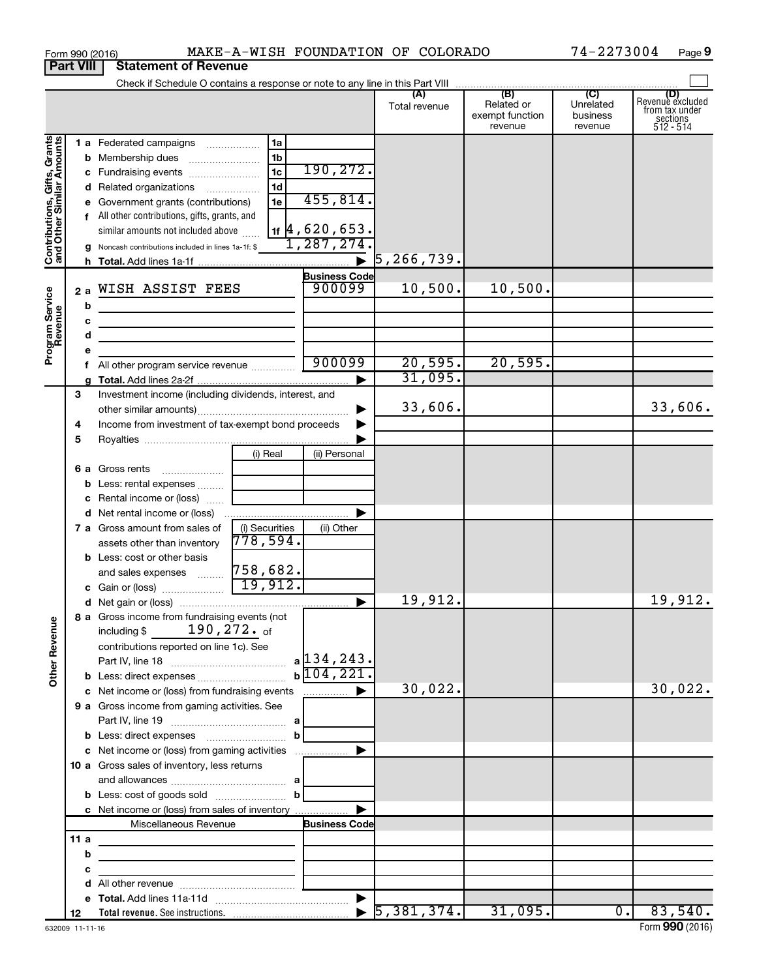|                                                           |                  | MAKE-A-WISH FOUNDATION OF COLORADO<br>Form 990 (2016)                                                                     |                      |                                  |                                                 | 74-2273004                              | Page 9                                                               |
|-----------------------------------------------------------|------------------|---------------------------------------------------------------------------------------------------------------------------|----------------------|----------------------------------|-------------------------------------------------|-----------------------------------------|----------------------------------------------------------------------|
|                                                           | <b>Part VIII</b> | <b>Statement of Revenue</b>                                                                                               |                      |                                  |                                                 |                                         |                                                                      |
|                                                           |                  | Check if Schedule O contains a response or note to any line in this Part VIII                                             |                      |                                  |                                                 |                                         |                                                                      |
|                                                           |                  |                                                                                                                           |                      | (A)<br>Total revenue             | (B)<br>Related or<br>exempt function<br>revenue | (C)<br>Unrelated<br>business<br>revenue | (D)<br>Revenue excluded<br>from tax under<br>sections<br>$512 - 514$ |
|                                                           |                  | 1 a Federated campaigns<br>1a                                                                                             |                      |                                  |                                                 |                                         |                                                                      |
| Contributions, Gifts, Grants<br>and Other Similar Amounts |                  | 1 <sub>b</sub><br><b>b</b> Membership dues                                                                                |                      |                                  |                                                 |                                         |                                                                      |
|                                                           |                  | 1 <sub>c</sub><br>c Fundraising events                                                                                    | 190, 272.            |                                  |                                                 |                                         |                                                                      |
|                                                           |                  | 1 <sub>d</sub><br>d Related organizations                                                                                 |                      |                                  |                                                 |                                         |                                                                      |
|                                                           |                  | 1e<br>e Government grants (contributions)                                                                                 | 455,814.             |                                  |                                                 |                                         |                                                                      |
|                                                           |                  | f All other contributions, gifts, grants, and                                                                             |                      |                                  |                                                 |                                         |                                                                      |
|                                                           |                  | similar amounts not included above                                                                                        | $_{1f}$  4,620,653.  |                                  |                                                 |                                         |                                                                      |
|                                                           |                  | g Noncash contributions included in lines 1a-1f: \$                                                                       | 1,287,274.           |                                  |                                                 |                                         |                                                                      |
|                                                           |                  |                                                                                                                           |                      | $\blacktriangleright$ 5,266,739. |                                                 |                                         |                                                                      |
|                                                           |                  |                                                                                                                           | <b>Business Code</b> |                                  |                                                 |                                         |                                                                      |
|                                                           | 2a               | WISH ASSIST FEES                                                                                                          | 900099               | 10,500.                          | 10,500.                                         |                                         |                                                                      |
|                                                           | b                |                                                                                                                           |                      |                                  |                                                 |                                         |                                                                      |
|                                                           | с                | <u> 1989 - Johann Barbara, martxa alemaniar arg</u>                                                                       |                      |                                  |                                                 |                                         |                                                                      |
|                                                           |                  | d<br>the control of the control of the control of the control of the control of the control of                            |                      |                                  |                                                 |                                         |                                                                      |
| Program Service<br>Revenue                                |                  |                                                                                                                           | 900099               | 20,595.                          | 20,595.                                         |                                         |                                                                      |
|                                                           |                  | All other program service revenue<br>f.                                                                                   |                      | 31,095.                          |                                                 |                                         |                                                                      |
|                                                           | 3                | Investment income (including dividends, interest, and                                                                     |                      |                                  |                                                 |                                         |                                                                      |
|                                                           |                  |                                                                                                                           |                      | 33,606.                          |                                                 |                                         | 33,606.                                                              |
|                                                           | 4                | Income from investment of tax-exempt bond proceeds                                                                        | ▶                    |                                  |                                                 |                                         |                                                                      |
|                                                           | 5                |                                                                                                                           |                      |                                  |                                                 |                                         |                                                                      |
|                                                           |                  | (i) Real                                                                                                                  | (ii) Personal        |                                  |                                                 |                                         |                                                                      |
|                                                           |                  | 6 a Gross rents                                                                                                           |                      |                                  |                                                 |                                         |                                                                      |
|                                                           |                  | <b>b</b> Less: rental expenses                                                                                            |                      |                                  |                                                 |                                         |                                                                      |
|                                                           |                  | c Rental income or (loss)                                                                                                 |                      |                                  |                                                 |                                         |                                                                      |
|                                                           |                  | d Net rental income or (loss)                                                                                             |                      |                                  |                                                 |                                         |                                                                      |
|                                                           |                  | 7 a Gross amount from sales of<br>(i) Securities                                                                          | (ii) Other           |                                  |                                                 |                                         |                                                                      |
|                                                           |                  | 778,594.<br>assets other than inventory                                                                                   |                      |                                  |                                                 |                                         |                                                                      |
|                                                           |                  | <b>b</b> Less: cost or other basis<br>758,682.                                                                            |                      |                                  |                                                 |                                         |                                                                      |
|                                                           |                  | and sales expenses<br>19,912.<br>c Gain or (loss)                                                                         |                      |                                  |                                                 |                                         |                                                                      |
|                                                           |                  |                                                                                                                           |                      | 19,912.                          |                                                 |                                         | 19,912.                                                              |
|                                                           |                  | 8 a Gross income from fundraising events (not                                                                             |                      |                                  |                                                 |                                         |                                                                      |
|                                                           |                  | including \$ $190, 272$ . of                                                                                              |                      |                                  |                                                 |                                         |                                                                      |
|                                                           |                  | contributions reported on line 1c). See                                                                                   |                      |                                  |                                                 |                                         |                                                                      |
|                                                           |                  |                                                                                                                           |                      |                                  |                                                 |                                         |                                                                      |
| <b>Other Revenue</b>                                      |                  |                                                                                                                           | $b\sqrt{104,221}$ .  |                                  |                                                 |                                         |                                                                      |
|                                                           |                  | c Net income or (loss) from fundraising events                                                                            | .                    | 30,022.                          |                                                 |                                         | 30,022.                                                              |
|                                                           |                  | 9 a Gross income from gaming activities. See                                                                              |                      |                                  |                                                 |                                         |                                                                      |
|                                                           |                  |                                                                                                                           |                      |                                  |                                                 |                                         |                                                                      |
|                                                           |                  | $\mathbf b$                                                                                                               |                      |                                  |                                                 |                                         |                                                                      |
|                                                           |                  | c Net income or (loss) from gaming activities                                                                             |                      |                                  |                                                 |                                         |                                                                      |
|                                                           |                  | 10 a Gross sales of inventory, less returns                                                                               |                      |                                  |                                                 |                                         |                                                                      |
|                                                           |                  | $\mathbf{b}$                                                                                                              |                      |                                  |                                                 |                                         |                                                                      |
|                                                           |                  | c Net income or (loss) from sales of inventory                                                                            |                      |                                  |                                                 |                                         |                                                                      |
|                                                           |                  | Miscellaneous Revenue                                                                                                     | <b>Business Code</b> |                                  |                                                 |                                         |                                                                      |
|                                                           | 11 a             |                                                                                                                           |                      |                                  |                                                 |                                         |                                                                      |
|                                                           |                  | b<br><u> 1989 - Johann Barbara, martin amerikan basal dan berasal dan berasal dalam basal dan berasal dan berasal dan</u> |                      |                                  |                                                 |                                         |                                                                      |
|                                                           | с                | the control of the control of the control of the control of the control of                                                |                      |                                  |                                                 |                                         |                                                                      |
|                                                           |                  |                                                                                                                           |                      |                                  |                                                 |                                         |                                                                      |
|                                                           |                  |                                                                                                                           |                      |                                  |                                                 |                                         |                                                                      |
|                                                           | 12               |                                                                                                                           |                      |                                  | 31,095.                                         | $\overline{0}$ .                        | 83,540.                                                              |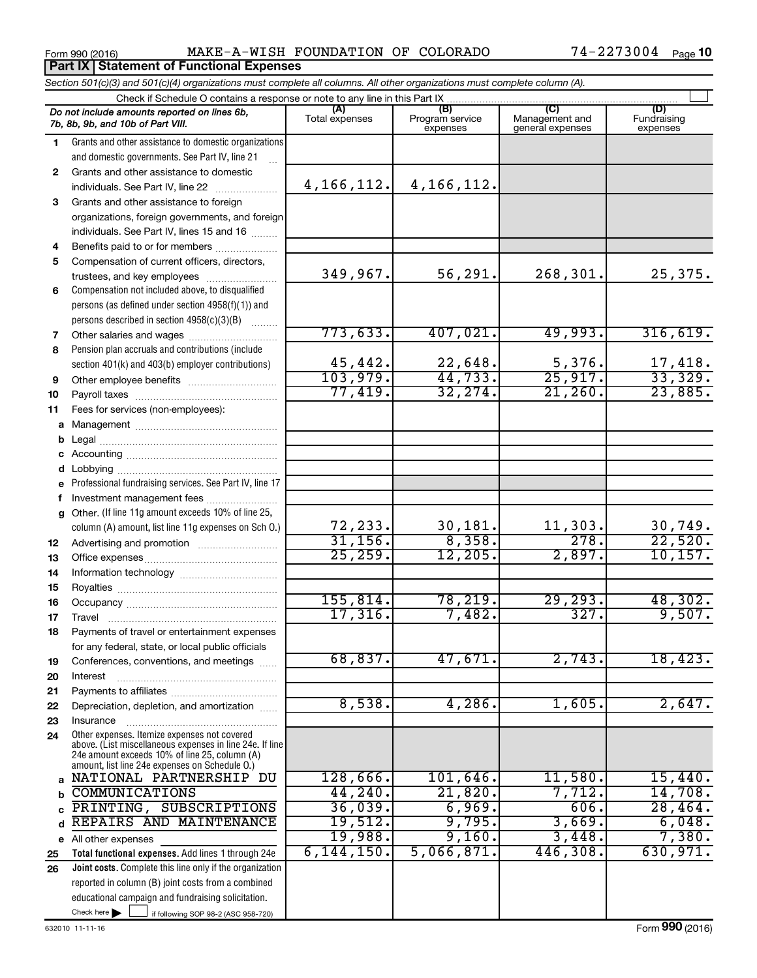#### Form 990 (2016) MAKE-A-WISH FOUNDATION OF COLORADO 74-2273004 Page

|              | Section 501(c)(3) and 501(c)(4) organizations must complete all columns. All other organizations must complete column (A).                                                                                  |                |                             |                                    |                                |
|--------------|-------------------------------------------------------------------------------------------------------------------------------------------------------------------------------------------------------------|----------------|-----------------------------|------------------------------------|--------------------------------|
|              | Check if Schedule O contains a response or note to any line in this Part IX                                                                                                                                 | (A)            | (B)                         | (C)                                |                                |
|              | Do not include amounts reported on lines 6b,<br>7b, 8b, 9b, and 10b of Part VIII.                                                                                                                           | Total expenses | Program service<br>expenses | Management and<br>general expenses | (D)<br>Fundraising<br>expenses |
| $\mathbf{1}$ | Grants and other assistance to domestic organizations                                                                                                                                                       |                |                             |                                    |                                |
|              | and domestic governments. See Part IV, line 21                                                                                                                                                              |                |                             |                                    |                                |
| 2            | Grants and other assistance to domestic                                                                                                                                                                     |                |                             |                                    |                                |
|              | individuals. See Part IV, line 22                                                                                                                                                                           | 4, 166, 112.   | 4, 166, 112.                |                                    |                                |
| 3            | Grants and other assistance to foreign                                                                                                                                                                      |                |                             |                                    |                                |
|              | organizations, foreign governments, and foreign                                                                                                                                                             |                |                             |                                    |                                |
|              | individuals. See Part IV, lines 15 and 16                                                                                                                                                                   |                |                             |                                    |                                |
| 4            | Benefits paid to or for members                                                                                                                                                                             |                |                             |                                    |                                |
| 5            | Compensation of current officers, directors,                                                                                                                                                                |                |                             |                                    |                                |
|              | trustees, and key employees                                                                                                                                                                                 | 349,967.       | 56, 291.                    | 268,301.                           | 25,375.                        |
| 6            | Compensation not included above, to disqualified                                                                                                                                                            |                |                             |                                    |                                |
|              | persons (as defined under section 4958(f)(1)) and                                                                                                                                                           |                |                             |                                    |                                |
|              | persons described in section 4958(c)(3)(B)<br>1.1.1.1.1.1.1                                                                                                                                                 | 773,633.       | 407,021.                    | 49,993.                            | 316,619.                       |
| 7            |                                                                                                                                                                                                             |                |                             |                                    |                                |
| 8            | Pension plan accruals and contributions (include                                                                                                                                                            | 45,442.        | 22,648.                     | 5,376.                             | 17,418.                        |
|              | section 401(k) and 403(b) employer contributions)                                                                                                                                                           | 103,979.       | 44, 733.                    | 25,917.                            | 33,329.                        |
| 9            |                                                                                                                                                                                                             | 77,419.        | 32, 274.                    | 21, 260.                           | 23,885.                        |
| 10           |                                                                                                                                                                                                             |                |                             |                                    |                                |
| 11           | Fees for services (non-employees):                                                                                                                                                                          |                |                             |                                    |                                |
|              |                                                                                                                                                                                                             |                |                             |                                    |                                |
| b            |                                                                                                                                                                                                             |                |                             |                                    |                                |
| С<br>d       |                                                                                                                                                                                                             |                |                             |                                    |                                |
| е            | Professional fundraising services. See Part IV, line 17                                                                                                                                                     |                |                             |                                    |                                |
| f.           | Investment management fees                                                                                                                                                                                  |                |                             |                                    |                                |
| g            | Other. (If line 11g amount exceeds 10% of line 25,                                                                                                                                                          |                |                             |                                    |                                |
|              | column (A) amount, list line 11g expenses on Sch O.)                                                                                                                                                        | 72,233.        | 30, 181.                    | 11,303.                            | 30,749.                        |
| 12           |                                                                                                                                                                                                             | 31, 156.       | 8,358.                      | 278.                               | 22,520.                        |
| 13           |                                                                                                                                                                                                             | 25, 259.       | 12, 205.                    | 2,897.                             | 10, 157.                       |
| 14           |                                                                                                                                                                                                             |                |                             |                                    |                                |
| 15           |                                                                                                                                                                                                             |                |                             |                                    |                                |
| 16           |                                                                                                                                                                                                             | 155,814.       | 78,219.                     | 29, 293.                           | 48,302.                        |
| 17           |                                                                                                                                                                                                             | $17,316$ .     | 7,482.                      | 327.                               | 9,507.                         |
| 18           | Payments of travel or entertainment expenses                                                                                                                                                                |                |                             |                                    |                                |
|              | for any federal, state, or local public officials                                                                                                                                                           |                |                             |                                    |                                |
| 19           | Conferences, conventions, and meetings                                                                                                                                                                      | 68,837.        | 47,671.                     | 2,743.                             | 18,423.                        |
| 20           | Interest                                                                                                                                                                                                    |                |                             |                                    |                                |
| 21           |                                                                                                                                                                                                             |                |                             |                                    |                                |
| 22           | Depreciation, depletion, and amortization                                                                                                                                                                   | 8,538.         | 4,286.                      | 1,605.                             | 2,647.                         |
| 23           | Insurance                                                                                                                                                                                                   |                |                             |                                    |                                |
| 24           | Other expenses. Itemize expenses not covered<br>above. (List miscellaneous expenses in line 24e. If line<br>24e amount exceeds 10% of line 25, column (A)<br>amount, list line 24e expenses on Schedule O.) |                |                             |                                    |                                |
| a            | NATIONAL PARTNERSHIP DU                                                                                                                                                                                     | 128,666.       | 101,646.                    | 11,580.                            | 15,440.                        |
| b            | <b>COMMUNICATIONS</b>                                                                                                                                                                                       | 44,240.        | 21,820.                     | 7,712.                             | 14,708.                        |
| C            | PRINTING,<br>SUBSCRIPTIONS                                                                                                                                                                                  | 36,039.        | 6,969.                      | 606.                               | 28,464.                        |
| d            | REPAIRS AND MAINTENANCE                                                                                                                                                                                     | 19,512.        | 9,795.                      | 3,669.                             | 6,048.                         |
|              | e All other expenses                                                                                                                                                                                        | 19,988.        | 9,160.                      | 3,448.                             | 7,380.                         |
| 25           | Total functional expenses. Add lines 1 through 24e                                                                                                                                                          | 6, 144, 150.   | 5,066,871.                  | 446,308.                           | 630,971.                       |
| 26           | Joint costs. Complete this line only if the organization                                                                                                                                                    |                |                             |                                    |                                |
|              | reported in column (B) joint costs from a combined                                                                                                                                                          |                |                             |                                    |                                |
|              | educational campaign and fundraising solicitation.                                                                                                                                                          |                |                             |                                    |                                |
|              | Check here $\blacktriangleright$<br>if following SOP 98-2 (ASC 958-720)                                                                                                                                     |                |                             |                                    |                                |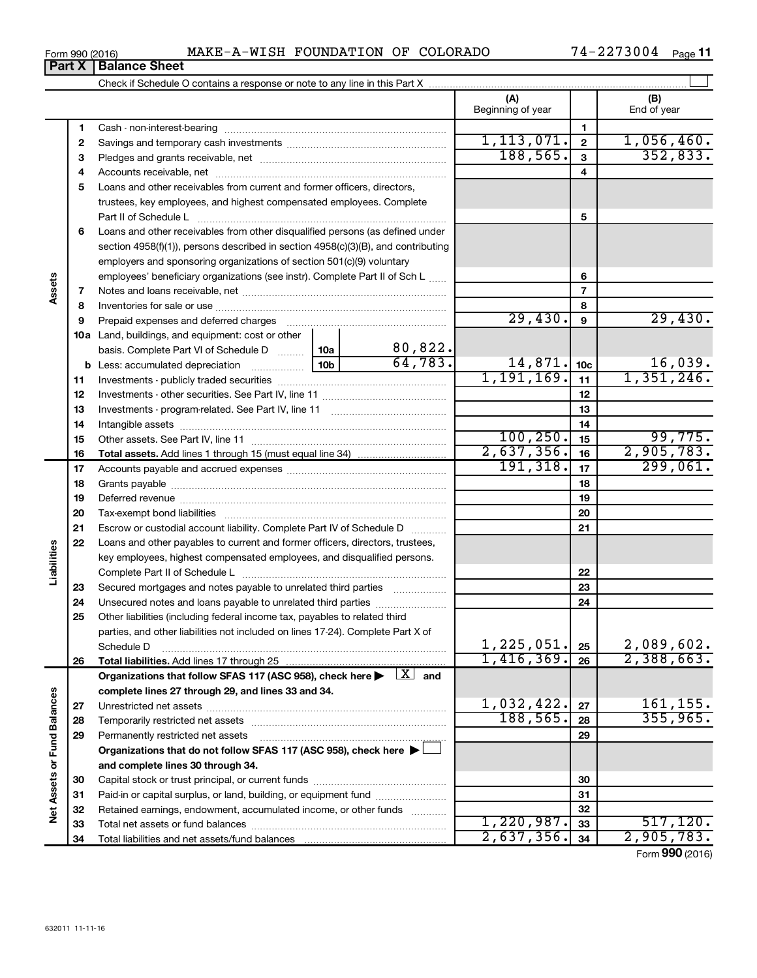| 3273004<br>COLORADO<br>OF<br>FOUNDATION<br><b>MAKE-A-WISH</b><br>74–.<br>Form 990 (2016) | Page |
|------------------------------------------------------------------------------------------|------|
|------------------------------------------------------------------------------------------|------|

|                             |    |                                                                                                                           |                 |              | (A)<br>Beginning of year |                | (B)<br>End of year |
|-----------------------------|----|---------------------------------------------------------------------------------------------------------------------------|-----------------|--------------|--------------------------|----------------|--------------------|
|                             | 1  |                                                                                                                           |                 |              |                          | 1              |                    |
|                             | 2  |                                                                                                                           | 1, 113, 071.    | $\mathbf{2}$ | 1,056,460.               |                |                    |
|                             | 3  |                                                                                                                           | 188, 565.       | 3            | 352,833.                 |                |                    |
|                             | 4  |                                                                                                                           |                 |              | 4                        |                |                    |
|                             | 5  | Loans and other receivables from current and former officers, directors,                                                  |                 |              |                          |                |                    |
|                             |    | trustees, key employees, and highest compensated employees. Complete                                                      |                 |              |                          |                |                    |
|                             |    | Part II of Schedule L                                                                                                     |                 |              |                          | 5              |                    |
|                             | 6  | Loans and other receivables from other disqualified persons (as defined under                                             |                 |              |                          |                |                    |
|                             |    | section 4958(f)(1)), persons described in section 4958(c)(3)(B), and contributing                                         |                 |              |                          |                |                    |
|                             |    | employers and sponsoring organizations of section 501(c)(9) voluntary                                                     |                 |              |                          |                |                    |
|                             |    | employees' beneficiary organizations (see instr). Complete Part II of Sch L                                               |                 |              |                          | 6              |                    |
| Assets                      | 7  |                                                                                                                           |                 |              |                          | $\overline{7}$ |                    |
|                             | 8  |                                                                                                                           |                 |              |                          | 8              |                    |
|                             | 9  |                                                                                                                           |                 |              | 29,430.                  | 9              | 29,430.            |
|                             |    | 10a Land, buildings, and equipment: cost or other                                                                         |                 |              |                          |                |                    |
|                             |    | basis. Complete Part VI of Schedule D                                                                                     | 10a             | 80,822.      |                          |                |                    |
|                             |    | <b>b</b> Less: accumulated depreciation                                                                                   | 10 <sub>b</sub> | 64.783.      | $14,871$ . 10c           |                | 16,039.            |
|                             | 11 |                                                                                                                           |                 |              | 1,191,169.               | 11             | 1,351,246.         |
|                             | 12 |                                                                                                                           |                 |              |                          | 12             |                    |
|                             | 13 |                                                                                                                           |                 |              |                          | 13             |                    |
|                             | 14 |                                                                                                                           |                 |              |                          | 14             |                    |
|                             | 15 |                                                                                                                           |                 |              | 100, 250.                | 15             | 99,775.            |
|                             | 16 |                                                                                                                           |                 |              | 2,637,356.               | 16             | 2,905,783.         |
|                             | 17 |                                                                                                                           |                 |              | 191,318.                 | 17             | 299,061.           |
|                             | 18 |                                                                                                                           |                 |              | 18                       |                |                    |
|                             | 19 |                                                                                                                           |                 |              |                          | 19             |                    |
|                             | 20 |                                                                                                                           |                 |              |                          | 20             |                    |
|                             | 21 | Escrow or custodial account liability. Complete Part IV of Schedule D                                                     |                 |              |                          | 21             |                    |
|                             | 22 | Loans and other payables to current and former officers, directors, trustees,                                             |                 |              |                          |                |                    |
| Liabilities                 |    | key employees, highest compensated employees, and disqualified persons.                                                   |                 |              |                          |                |                    |
|                             |    |                                                                                                                           |                 |              |                          | 22             |                    |
|                             | 23 | Secured mortgages and notes payable to unrelated third parties                                                            |                 |              |                          | 23             |                    |
|                             | 24 | Unsecured notes and loans payable to unrelated third parties                                                              |                 |              |                          | 24             |                    |
|                             | 25 | Other liabilities (including federal income tax, payables to related third                                                |                 |              |                          |                |                    |
|                             |    | parties, and other liabilities not included on lines 17-24). Complete Part X of                                           |                 |              |                          |                |                    |
|                             |    | Schedule D                                                                                                                |                 |              | 1, 225, 051.             | 25             | 2,089,602.         |
|                             | 26 |                                                                                                                           |                 |              | 1,416,369.               | 26             | 2,388,663.         |
|                             |    | Organizations that follow SFAS 117 (ASC 958), check here $\blacktriangleright \begin{array}{c} \boxed{X} \end{array}$ and |                 |              |                          |                |                    |
|                             |    | complete lines 27 through 29, and lines 33 and 34.                                                                        |                 |              |                          |                |                    |
|                             | 27 |                                                                                                                           |                 |              | 1,032,422.               | 27             | 161, 155.          |
|                             | 28 |                                                                                                                           |                 |              | 188, 565.                | 28             | 355, 965.          |
|                             | 29 | Permanently restricted net assets                                                                                         |                 |              |                          | 29             |                    |
|                             |    | Organizations that do not follow SFAS 117 (ASC 958), check here $\blacktriangleright$                                     |                 |              |                          |                |                    |
|                             |    | and complete lines 30 through 34.                                                                                         |                 |              |                          |                |                    |
|                             | 30 |                                                                                                                           |                 |              |                          | 30             |                    |
|                             | 31 | Paid-in or capital surplus, or land, building, or equipment fund                                                          |                 |              |                          | 31             |                    |
| Net Assets or Fund Balances | 32 | Retained earnings, endowment, accumulated income, or other funds                                                          |                 |              |                          | 32             |                    |
|                             | 33 |                                                                                                                           |                 |              | 1,220,987.               | 33             | 517, 120.          |
|                             | 34 |                                                                                                                           |                 |              | 2,637,356.               | 34             | 2,905,783.         |

Form (2016) **990**

# **Part X Balance Sheet**

|  | Form 990 (2016) |
|--|-----------------|
|  |                 |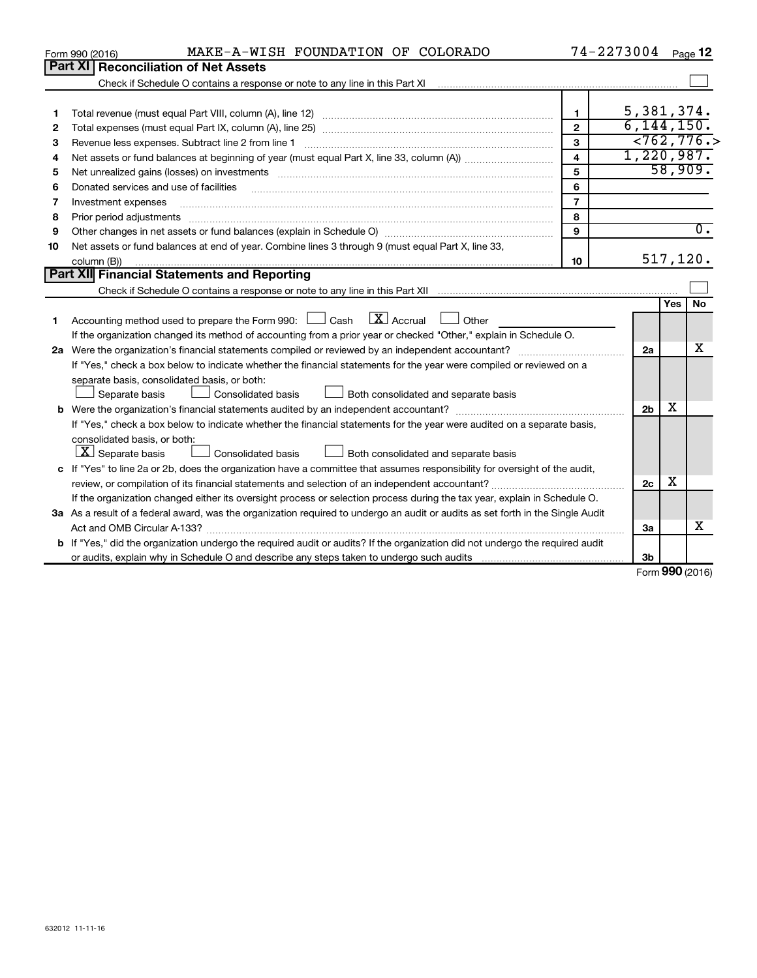|    | MAKE-A-WISH FOUNDATION OF COLORADO<br>Form 990 (2016)                                                                           | 74-2273004              |                |                 | Page 12          |
|----|---------------------------------------------------------------------------------------------------------------------------------|-------------------------|----------------|-----------------|------------------|
|    | Part XI   Reconciliation of Net Assets                                                                                          |                         |                |                 |                  |
|    |                                                                                                                                 |                         |                |                 |                  |
|    |                                                                                                                                 |                         |                |                 |                  |
| 1  |                                                                                                                                 | $\mathbf{1}$            | 5, 381, 374.   |                 |                  |
| 2  |                                                                                                                                 | $\mathbf{2}$            | 6, 144, 150.   |                 |                  |
| З  | Revenue less expenses. Subtract line 2 from line 1                                                                              | 3                       |                |                 | < 762, 776.      |
| 4  |                                                                                                                                 | $\overline{\mathbf{4}}$ | 1,220,987.     |                 |                  |
| 5  |                                                                                                                                 | 5                       |                | 58,909.         |                  |
| 6  | Donated services and use of facilities                                                                                          | 6                       |                |                 |                  |
| 7  | Investment expenses                                                                                                             | $\overline{7}$          |                |                 |                  |
| 8  | Prior period adjustments                                                                                                        | 8                       |                |                 |                  |
| 9  |                                                                                                                                 | 9                       |                |                 | $\overline{0}$ . |
| 10 | Net assets or fund balances at end of year. Combine lines 3 through 9 (must equal Part X, line 33,                              |                         |                |                 |                  |
|    | column (B))                                                                                                                     | 10                      |                | 517, 120.       |                  |
|    | <b>Part XII</b> Financial Statements and Reporting                                                                              |                         |                |                 |                  |
|    |                                                                                                                                 |                         |                |                 |                  |
|    |                                                                                                                                 |                         |                | <b>Yes</b>      | No               |
| 1. | $\boxed{\text{X}}$ Accrual<br>Accounting method used to prepare the Form 990: $\Box$ Cash<br>Other                              |                         |                |                 |                  |
|    | If the organization changed its method of accounting from a prior year or checked "Other," explain in Schedule O.               |                         |                |                 |                  |
|    |                                                                                                                                 |                         | 2a             |                 | x                |
|    | If "Yes," check a box below to indicate whether the financial statements for the year were compiled or reviewed on a            |                         |                |                 |                  |
|    | separate basis, consolidated basis, or both:                                                                                    |                         |                |                 |                  |
|    | Separate basis<br>Consolidated basis<br>$\perp$ Both consolidated and separate basis                                            |                         |                |                 |                  |
|    |                                                                                                                                 |                         | 2 <sub>b</sub> | x               |                  |
|    | If "Yes," check a box below to indicate whether the financial statements for the year were audited on a separate basis,         |                         |                |                 |                  |
|    | consolidated basis, or both:                                                                                                    |                         |                |                 |                  |
|    | $ \mathbf{X} $ Separate basis<br>Both consolidated and separate basis<br>Consolidated basis                                     |                         |                |                 |                  |
|    | c If "Yes" to line 2a or 2b, does the organization have a committee that assumes responsibility for oversight of the audit,     |                         |                |                 |                  |
|    |                                                                                                                                 |                         | 2c             | х               |                  |
|    | If the organization changed either its oversight process or selection process during the tax year, explain in Schedule O.       |                         |                |                 |                  |
|    | 3a As a result of a federal award, was the organization required to undergo an audit or audits as set forth in the Single Audit |                         |                |                 |                  |
|    | Act and OMB Circular A-133?                                                                                                     |                         | 3a             |                 | X                |
|    | b If "Yes," did the organization undergo the required audit or audits? If the organization did not undergo the required audit   |                         |                |                 |                  |
|    |                                                                                                                                 |                         | 3b             |                 |                  |
|    |                                                                                                                                 |                         |                | Form 990 (2016) |                  |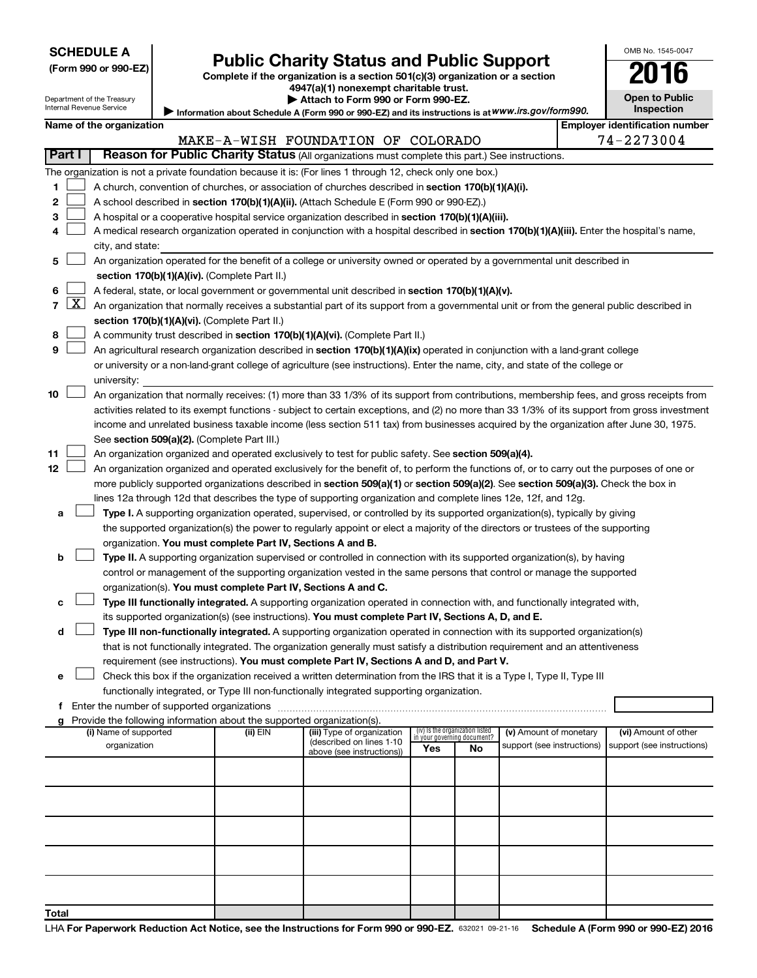| <b>SCHEDULE A</b> |  |
|-------------------|--|
|-------------------|--|

# Form 990 or 990-EZ) **Public Charity Status and Public Support**<br>
Complete if the organization is a section 501(c)(3) organization or a section<br> **2016**

**4947(a)(1) nonexempt charitable trust. | Attach to Form 990 or Form 990-EZ.** 

| LU.               | IU |
|-------------------|----|
| Open to Public    |    |
| <b>Inspection</b> |    |

OMB No. 1545-0047

| Department of the Treasury |
|----------------------------|
| Internal Revenue Service   |

Information about Schedule A (Form 990 or 990-EZ) and its instructions is at WWW.irs.gov/form990.

|                |                                    | Name of the organization                                                                                                                      |          |                            |                                                                       |    |                            |  | <b>Employer identification number</b> |  |  |  |
|----------------|------------------------------------|-----------------------------------------------------------------------------------------------------------------------------------------------|----------|----------------------------|-----------------------------------------------------------------------|----|----------------------------|--|---------------------------------------|--|--|--|
|                | MAKE-A-WISH FOUNDATION OF COLORADO |                                                                                                                                               |          |                            |                                                                       |    |                            |  | 74-2273004                            |  |  |  |
| Part I         |                                    | Reason for Public Charity Status (All organizations must complete this part.) See instructions.                                               |          |                            |                                                                       |    |                            |  |                                       |  |  |  |
|                |                                    | The organization is not a private foundation because it is: (For lines 1 through 12, check only one box.)                                     |          |                            |                                                                       |    |                            |  |                                       |  |  |  |
| 1              |                                    | A church, convention of churches, or association of churches described in section 170(b)(1)(A)(i).                                            |          |                            |                                                                       |    |                            |  |                                       |  |  |  |
| 2              |                                    | A school described in section 170(b)(1)(A)(ii). (Attach Schedule E (Form 990 or 990-EZ).)                                                     |          |                            |                                                                       |    |                            |  |                                       |  |  |  |
| 3              |                                    | A hospital or a cooperative hospital service organization described in section 170(b)(1)(A)(iii).                                             |          |                            |                                                                       |    |                            |  |                                       |  |  |  |
| 4              |                                    | A medical research organization operated in conjunction with a hospital described in section 170(b)(1)(A)(iii). Enter the hospital's name,    |          |                            |                                                                       |    |                            |  |                                       |  |  |  |
|                |                                    | city, and state:                                                                                                                              |          |                            |                                                                       |    |                            |  |                                       |  |  |  |
| 5              |                                    | An organization operated for the benefit of a college or university owned or operated by a governmental unit described in                     |          |                            |                                                                       |    |                            |  |                                       |  |  |  |
|                |                                    | section 170(b)(1)(A)(iv). (Complete Part II.)                                                                                                 |          |                            |                                                                       |    |                            |  |                                       |  |  |  |
| 6              |                                    | A federal, state, or local government or governmental unit described in section 170(b)(1)(A)(v).                                              |          |                            |                                                                       |    |                            |  |                                       |  |  |  |
| $\overline{7}$ | $\lfloor x \rfloor$                | An organization that normally receives a substantial part of its support from a governmental unit or from the general public described in     |          |                            |                                                                       |    |                            |  |                                       |  |  |  |
|                |                                    | section 170(b)(1)(A)(vi). (Complete Part II.)                                                                                                 |          |                            |                                                                       |    |                            |  |                                       |  |  |  |
| 8              |                                    | A community trust described in section 170(b)(1)(A)(vi). (Complete Part II.)                                                                  |          |                            |                                                                       |    |                            |  |                                       |  |  |  |
| 9              |                                    | An agricultural research organization described in section 170(b)(1)(A)(ix) operated in conjunction with a land-grant college                 |          |                            |                                                                       |    |                            |  |                                       |  |  |  |
|                |                                    | or university or a non-land-grant college of agriculture (see instructions). Enter the name, city, and state of the college or                |          |                            |                                                                       |    |                            |  |                                       |  |  |  |
|                |                                    | university:                                                                                                                                   |          |                            |                                                                       |    |                            |  |                                       |  |  |  |
| 10             |                                    | An organization that normally receives: (1) more than 33 1/3% of its support from contributions, membership fees, and gross receipts from     |          |                            |                                                                       |    |                            |  |                                       |  |  |  |
|                |                                    | activities related to its exempt functions - subject to certain exceptions, and (2) no more than 33 1/3% of its support from gross investment |          |                            |                                                                       |    |                            |  |                                       |  |  |  |
|                |                                    | income and unrelated business taxable income (less section 511 tax) from businesses acquired by the organization after June 30, 1975.         |          |                            |                                                                       |    |                            |  |                                       |  |  |  |
|                |                                    | See section 509(a)(2). (Complete Part III.)                                                                                                   |          |                            |                                                                       |    |                            |  |                                       |  |  |  |
| 11             |                                    | An organization organized and operated exclusively to test for public safety. See section 509(a)(4).                                          |          |                            |                                                                       |    |                            |  |                                       |  |  |  |
| 12             |                                    | An organization organized and operated exclusively for the benefit of, to perform the functions of, or to carry out the purposes of one or    |          |                            |                                                                       |    |                            |  |                                       |  |  |  |
|                |                                    | more publicly supported organizations described in section 509(a)(1) or section 509(a)(2). See section 509(a)(3). Check the box in            |          |                            |                                                                       |    |                            |  |                                       |  |  |  |
|                |                                    | lines 12a through 12d that describes the type of supporting organization and complete lines 12e, 12f, and 12g.                                |          |                            |                                                                       |    |                            |  |                                       |  |  |  |
| а              |                                    | Type I. A supporting organization operated, supervised, or controlled by its supported organization(s), typically by giving                   |          |                            |                                                                       |    |                            |  |                                       |  |  |  |
|                |                                    | the supported organization(s) the power to regularly appoint or elect a majority of the directors or trustees of the supporting               |          |                            |                                                                       |    |                            |  |                                       |  |  |  |
|                |                                    | organization. You must complete Part IV, Sections A and B.                                                                                    |          |                            |                                                                       |    |                            |  |                                       |  |  |  |
| b              |                                    | Type II. A supporting organization supervised or controlled in connection with its supported organization(s), by having                       |          |                            |                                                                       |    |                            |  |                                       |  |  |  |
|                |                                    | control or management of the supporting organization vested in the same persons that control or manage the supported                          |          |                            |                                                                       |    |                            |  |                                       |  |  |  |
|                |                                    | organization(s). You must complete Part IV, Sections A and C.                                                                                 |          |                            |                                                                       |    |                            |  |                                       |  |  |  |
| с              |                                    | Type III functionally integrated. A supporting organization operated in connection with, and functionally integrated with,                    |          |                            |                                                                       |    |                            |  |                                       |  |  |  |
|                |                                    | its supported organization(s) (see instructions). You must complete Part IV, Sections A, D, and E.                                            |          |                            |                                                                       |    |                            |  |                                       |  |  |  |
| d              |                                    | Type III non-functionally integrated. A supporting organization operated in connection with its supported organization(s)                     |          |                            |                                                                       |    |                            |  |                                       |  |  |  |
|                |                                    | that is not functionally integrated. The organization generally must satisfy a distribution requirement and an attentiveness                  |          |                            |                                                                       |    |                            |  |                                       |  |  |  |
|                |                                    | requirement (see instructions). You must complete Part IV, Sections A and D, and Part V.                                                      |          |                            |                                                                       |    |                            |  |                                       |  |  |  |
| е              |                                    | Check this box if the organization received a written determination from the IRS that it is a Type I, Type II, Type III                       |          |                            |                                                                       |    |                            |  |                                       |  |  |  |
|                |                                    | functionally integrated, or Type III non-functionally integrated supporting organization.                                                     |          |                            |                                                                       |    |                            |  |                                       |  |  |  |
|                |                                    | f Enter the number of supported organizations                                                                                                 |          |                            |                                                                       |    |                            |  |                                       |  |  |  |
|                |                                    | Provide the following information about the supported organization(s).<br>(i) Name of supported                                               | (ii) EIN | (iii) Type of organization |                                                                       |    | (v) Amount of monetary     |  | (vi) Amount of other                  |  |  |  |
|                |                                    | organization                                                                                                                                  |          | (described on lines 1-10   | (iv) Is the organization listed<br>in your governing document?<br>Yes | No | support (see instructions) |  | support (see instructions)            |  |  |  |
|                |                                    |                                                                                                                                               |          | above (see instructions))  |                                                                       |    |                            |  |                                       |  |  |  |
|                |                                    |                                                                                                                                               |          |                            |                                                                       |    |                            |  |                                       |  |  |  |
|                |                                    |                                                                                                                                               |          |                            |                                                                       |    |                            |  |                                       |  |  |  |
|                |                                    |                                                                                                                                               |          |                            |                                                                       |    |                            |  |                                       |  |  |  |
|                |                                    |                                                                                                                                               |          |                            |                                                                       |    |                            |  |                                       |  |  |  |
|                |                                    |                                                                                                                                               |          |                            |                                                                       |    |                            |  |                                       |  |  |  |
|                |                                    |                                                                                                                                               |          |                            |                                                                       |    |                            |  |                                       |  |  |  |
|                |                                    |                                                                                                                                               |          |                            |                                                                       |    |                            |  |                                       |  |  |  |
|                |                                    |                                                                                                                                               |          |                            |                                                                       |    |                            |  |                                       |  |  |  |
|                |                                    |                                                                                                                                               |          |                            |                                                                       |    |                            |  |                                       |  |  |  |
| Total          |                                    |                                                                                                                                               |          |                            |                                                                       |    |                            |  |                                       |  |  |  |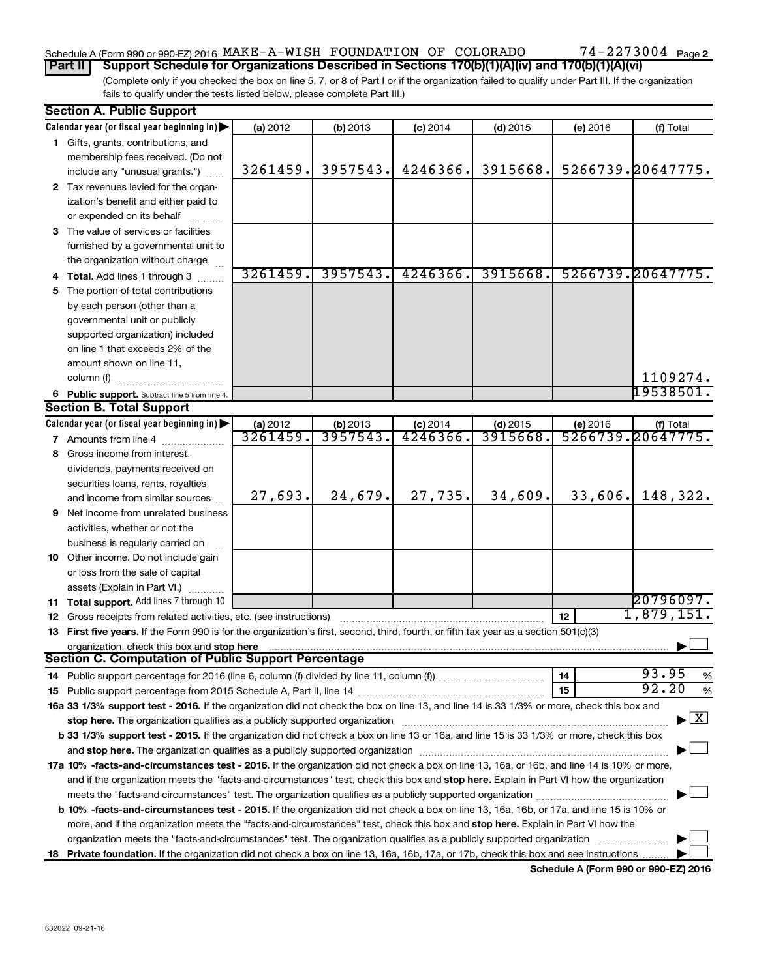# Schedule A (Form 990 or 990-EZ) 2016 MAKE-A-WISH FOUNDATION OF COLORADO 74-2273004 Page

(Complete only if you checked the box on line 5, 7, or 8 of Part I or if the organization failed to qualify under Part III. If the organization fails to qualify under the tests listed below, please complete Part III.) **Part II Support Schedule for Organizations Described in Sections 170(b)(1)(A)(iv) and 170(b)(1)(A)(vi)**

| <b>Section A. Public Support</b> |                                                                                                                                                                                                                                |                      |                     |                       |                       |          |                                    |
|----------------------------------|--------------------------------------------------------------------------------------------------------------------------------------------------------------------------------------------------------------------------------|----------------------|---------------------|-----------------------|-----------------------|----------|------------------------------------|
|                                  | Calendar year (or fiscal year beginning in)                                                                                                                                                                                    | (a) 2012             | (b) 2013            | $(c)$ 2014            | $(d)$ 2015            | (e) 2016 | (f) Total                          |
|                                  | 1 Gifts, grants, contributions, and                                                                                                                                                                                            |                      |                     |                       |                       |          |                                    |
|                                  | membership fees received. (Do not                                                                                                                                                                                              |                      |                     |                       |                       |          |                                    |
|                                  | include any "unusual grants.")                                                                                                                                                                                                 | 3261459.             | 3957543.            | 4246366.              | 3915668.              |          | 5266739.20647775.                  |
|                                  | 2 Tax revenues levied for the organ-                                                                                                                                                                                           |                      |                     |                       |                       |          |                                    |
|                                  | ization's benefit and either paid to                                                                                                                                                                                           |                      |                     |                       |                       |          |                                    |
|                                  | or expended on its behalf                                                                                                                                                                                                      |                      |                     |                       |                       |          |                                    |
|                                  | 3 The value of services or facilities                                                                                                                                                                                          |                      |                     |                       |                       |          |                                    |
|                                  | furnished by a governmental unit to                                                                                                                                                                                            |                      |                     |                       |                       |          |                                    |
|                                  | the organization without charge                                                                                                                                                                                                |                      |                     |                       |                       |          |                                    |
|                                  | 4 Total. Add lines 1 through 3                                                                                                                                                                                                 | 3261459.             | 3957543.            | 4246366.              | 3915668.              |          | 5266739.20647775.                  |
| 5.                               | The portion of total contributions                                                                                                                                                                                             |                      |                     |                       |                       |          |                                    |
|                                  | by each person (other than a                                                                                                                                                                                                   |                      |                     |                       |                       |          |                                    |
|                                  | governmental unit or publicly                                                                                                                                                                                                  |                      |                     |                       |                       |          |                                    |
|                                  | supported organization) included                                                                                                                                                                                               |                      |                     |                       |                       |          |                                    |
|                                  | on line 1 that exceeds 2% of the                                                                                                                                                                                               |                      |                     |                       |                       |          |                                    |
|                                  | amount shown on line 11,                                                                                                                                                                                                       |                      |                     |                       |                       |          |                                    |
|                                  | column (f)                                                                                                                                                                                                                     |                      |                     |                       |                       |          | 1109274.                           |
|                                  |                                                                                                                                                                                                                                |                      |                     |                       |                       |          | 19538501                           |
|                                  | 6 Public support. Subtract line 5 from line 4.<br><b>Section B. Total Support</b>                                                                                                                                              |                      |                     |                       |                       |          |                                    |
|                                  |                                                                                                                                                                                                                                |                      |                     |                       |                       |          |                                    |
|                                  | Calendar year (or fiscal year beginning in)                                                                                                                                                                                    | (a) 2012<br>3261459. | (b) 2013<br>3957543 | $(c)$ 2014<br>4246366 | $(d)$ 2015<br>3915668 | (e) 2016 | (f) Total<br>5266739.20647775.     |
|                                  | <b>7</b> Amounts from line 4                                                                                                                                                                                                   |                      |                     |                       |                       |          |                                    |
| 8                                | Gross income from interest,                                                                                                                                                                                                    |                      |                     |                       |                       |          |                                    |
|                                  | dividends, payments received on                                                                                                                                                                                                |                      |                     |                       |                       |          |                                    |
|                                  | securities loans, rents, royalties                                                                                                                                                                                             |                      |                     |                       |                       |          |                                    |
|                                  | and income from similar sources                                                                                                                                                                                                | 27,693.              | 24,679.             | 27,735.               | 34,609.               | 33,606.  | 148,322.                           |
| 9                                | Net income from unrelated business                                                                                                                                                                                             |                      |                     |                       |                       |          |                                    |
|                                  | activities, whether or not the                                                                                                                                                                                                 |                      |                     |                       |                       |          |                                    |
|                                  | business is regularly carried on                                                                                                                                                                                               |                      |                     |                       |                       |          |                                    |
|                                  | 10 Other income. Do not include gain                                                                                                                                                                                           |                      |                     |                       |                       |          |                                    |
|                                  | or loss from the sale of capital                                                                                                                                                                                               |                      |                     |                       |                       |          |                                    |
|                                  | assets (Explain in Part VI.)                                                                                                                                                                                                   |                      |                     |                       |                       |          |                                    |
|                                  | 11 Total support. Add lines 7 through 10                                                                                                                                                                                       |                      |                     |                       |                       |          | 20796097.                          |
|                                  | 12 Gross receipts from related activities, etc. (see instructions)                                                                                                                                                             |                      |                     |                       |                       | 12       | 1,879,151.                         |
|                                  | 13 First five years. If the Form 990 is for the organization's first, second, third, fourth, or fifth tax year as a section 501(c)(3)                                                                                          |                      |                     |                       |                       |          |                                    |
|                                  | organization, check this box and stop here                                                                                                                                                                                     |                      |                     |                       |                       |          |                                    |
|                                  | <b>Section C. Computation of Public Support Percentage</b>                                                                                                                                                                     |                      |                     |                       |                       |          |                                    |
|                                  |                                                                                                                                                                                                                                |                      |                     |                       |                       | 14       | 93.95<br>%                         |
|                                  |                                                                                                                                                                                                                                |                      |                     |                       |                       | 15       | 92.20<br>%                         |
|                                  | 16a 33 1/3% support test - 2016. If the organization did not check the box on line 13, and line 14 is 33 1/3% or more, check this box and                                                                                      |                      |                     |                       |                       |          |                                    |
|                                  | stop here. The organization qualifies as a publicly supported organization manufaction manufacture or the organization manufacture or the organization manufacture or the organization manufacture or the state of the state o |                      |                     |                       |                       |          | $\blacktriangleright$ $\mathbf{X}$ |
|                                  | b 33 1/3% support test - 2015. If the organization did not check a box on line 13 or 16a, and line 15 is 33 1/3% or more, check this box                                                                                       |                      |                     |                       |                       |          |                                    |
|                                  |                                                                                                                                                                                                                                |                      |                     |                       |                       |          |                                    |
|                                  | 17a 10% -facts-and-circumstances test - 2016. If the organization did not check a box on line 13, 16a, or 16b, and line 14 is 10% or more,                                                                                     |                      |                     |                       |                       |          |                                    |
|                                  | and if the organization meets the "facts-and-circumstances" test, check this box and stop here. Explain in Part VI how the organization                                                                                        |                      |                     |                       |                       |          |                                    |
|                                  |                                                                                                                                                                                                                                |                      |                     |                       |                       |          |                                    |
|                                  | b 10% -facts-and-circumstances test - 2015. If the organization did not check a box on line 13, 16a, 16b, or 17a, and line 15 is 10% or                                                                                        |                      |                     |                       |                       |          |                                    |
|                                  | more, and if the organization meets the "facts-and-circumstances" test, check this box and stop here. Explain in Part VI how the                                                                                               |                      |                     |                       |                       |          |                                    |
|                                  | organization meets the "facts-and-circumstances" test. The organization qualifies as a publicly supported organization                                                                                                         |                      |                     |                       |                       |          |                                    |
| 18.                              | Private foundation. If the organization did not check a box on line 13, 16a, 16b, 17a, or 17b, check this box and see instructions                                                                                             |                      |                     |                       |                       |          |                                    |
|                                  |                                                                                                                                                                                                                                |                      |                     |                       |                       |          |                                    |

**Schedule A (Form 990 or 990-EZ) 2016**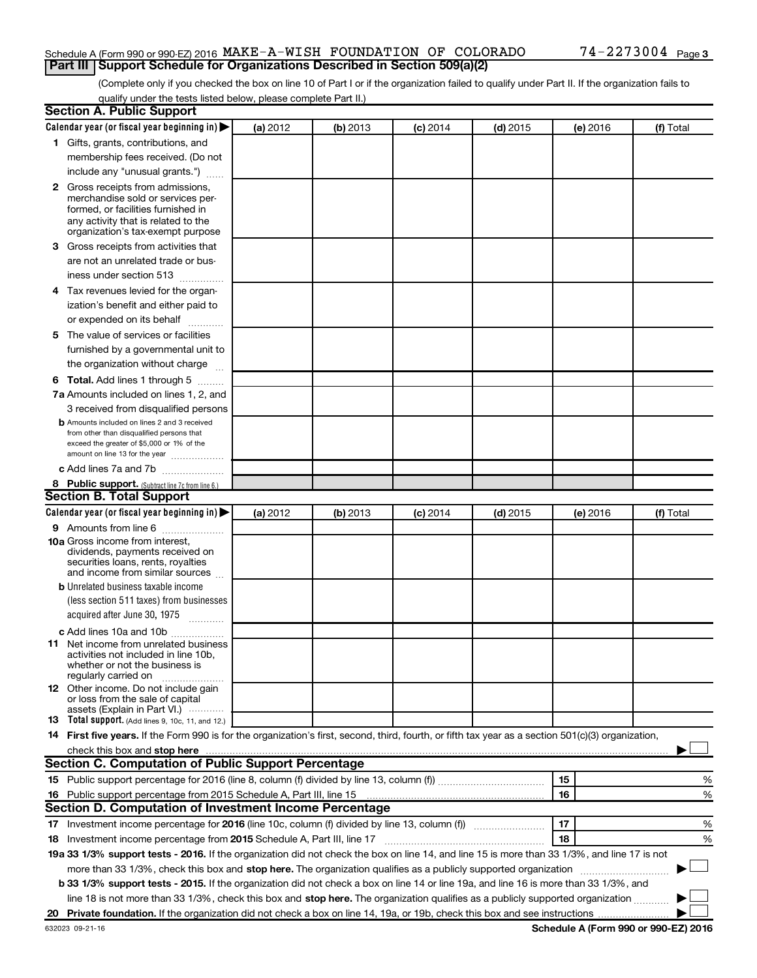#### Schedule A (Form 990 or 990-EZ) 2016 MAKE-A-WISH FOUNDATION OF COLORADO 74-2273004 Page **Part III Support Schedule for Organizations Described in Section 509(a)(2)**

(Complete only if you checked the box on line 10 of Part I or if the organization failed to qualify under Part II. If the organization fails to qualify under the tests listed below, please complete Part II.)

| <b>Section A. Public Support</b>                                                                                                                    |          |          |                 |            |          |           |
|-----------------------------------------------------------------------------------------------------------------------------------------------------|----------|----------|-----------------|------------|----------|-----------|
| Calendar year (or fiscal year beginning in)                                                                                                         | (a) 2012 | (b) 2013 | $(c)$ 2014      | $(d)$ 2015 | (e) 2016 | (f) Total |
| 1 Gifts, grants, contributions, and                                                                                                                 |          |          |                 |            |          |           |
| membership fees received. (Do not                                                                                                                   |          |          |                 |            |          |           |
| include any "unusual grants.")                                                                                                                      |          |          |                 |            |          |           |
| 2 Gross receipts from admissions,                                                                                                                   |          |          |                 |            |          |           |
| merchandise sold or services per-                                                                                                                   |          |          |                 |            |          |           |
| formed, or facilities furnished in                                                                                                                  |          |          |                 |            |          |           |
| any activity that is related to the<br>organization's tax-exempt purpose                                                                            |          |          |                 |            |          |           |
| 3 Gross receipts from activities that                                                                                                               |          |          |                 |            |          |           |
| are not an unrelated trade or bus-                                                                                                                  |          |          |                 |            |          |           |
| iness under section 513                                                                                                                             |          |          |                 |            |          |           |
| 4 Tax revenues levied for the organ-                                                                                                                |          |          |                 |            |          |           |
| ization's benefit and either paid to                                                                                                                |          |          |                 |            |          |           |
| or expended on its behalf                                                                                                                           |          |          |                 |            |          |           |
| 5 The value of services or facilities                                                                                                               |          |          |                 |            |          |           |
| furnished by a governmental unit to                                                                                                                 |          |          |                 |            |          |           |
| the organization without charge                                                                                                                     |          |          |                 |            |          |           |
| <b>6 Total.</b> Add lines 1 through 5                                                                                                               |          |          |                 |            |          |           |
| 7a Amounts included on lines 1, 2, and                                                                                                              |          |          |                 |            |          |           |
| 3 received from disqualified persons                                                                                                                |          |          |                 |            |          |           |
| <b>b</b> Amounts included on lines 2 and 3 received                                                                                                 |          |          |                 |            |          |           |
| from other than disqualified persons that                                                                                                           |          |          |                 |            |          |           |
| exceed the greater of \$5,000 or 1% of the                                                                                                          |          |          |                 |            |          |           |
| amount on line 13 for the year                                                                                                                      |          |          |                 |            |          |           |
| c Add lines 7a and 7b                                                                                                                               |          |          |                 |            |          |           |
| 8 Public support. (Subtract line 7c from line 6.)<br><b>Section B. Total Support</b>                                                                |          |          |                 |            |          |           |
| Calendar year (or fiscal year beginning in)                                                                                                         | (a) 2012 | (b) 2013 |                 | $(d)$ 2015 |          | (f) Total |
| 9 Amounts from line 6                                                                                                                               |          |          | <b>(c)</b> 2014 |            | (e) 2016 |           |
| <b>10a</b> Gross income from interest,                                                                                                              |          |          |                 |            |          |           |
| dividends, payments received on                                                                                                                     |          |          |                 |            |          |           |
| securities loans, rents, royalties                                                                                                                  |          |          |                 |            |          |           |
| and income from similar sources                                                                                                                     |          |          |                 |            |          |           |
| <b>b</b> Unrelated business taxable income                                                                                                          |          |          |                 |            |          |           |
| (less section 511 taxes) from businesses                                                                                                            |          |          |                 |            |          |           |
| acquired after June 30, 1975<br>$\frac{1}{2}$                                                                                                       |          |          |                 |            |          |           |
| c Add lines 10a and 10b                                                                                                                             |          |          |                 |            |          |           |
| 11 Net income from unrelated business<br>activities not included in line 10b.                                                                       |          |          |                 |            |          |           |
| whether or not the business is                                                                                                                      |          |          |                 |            |          |           |
| regularly carried on                                                                                                                                |          |          |                 |            |          |           |
| <b>12</b> Other income. Do not include gain<br>or loss from the sale of capital                                                                     |          |          |                 |            |          |           |
| assets (Explain in Part VI.)                                                                                                                        |          |          |                 |            |          |           |
| <b>13</b> Total support. (Add lines 9, 10c, 11, and 12.)                                                                                            |          |          |                 |            |          |           |
| 14 First five years. If the Form 990 is for the organization's first, second, third, fourth, or fifth tax year as a section 501(c)(3) organization, |          |          |                 |            |          |           |
|                                                                                                                                                     |          |          |                 |            |          |           |
| Section C. Computation of Public Support Percentage                                                                                                 |          |          |                 |            |          |           |
|                                                                                                                                                     |          |          |                 |            | 15       | %         |
| 16 Public support percentage from 2015 Schedule A, Part III, line 15                                                                                |          |          |                 |            | 16       | %         |
| Section D. Computation of Investment Income Percentage                                                                                              |          |          |                 |            |          |           |
| 17 Investment income percentage for 2016 (line 10c, column (f) divided by line 13, column (f))                                                      |          |          |                 |            | 17       | %         |
| 18 Investment income percentage from 2015 Schedule A, Part III, line 17                                                                             |          |          |                 |            | 18       | %         |
| 19a 33 1/3% support tests - 2016. If the organization did not check the box on line 14, and line 15 is more than 33 1/3%, and line 17 is not        |          |          |                 |            |          |           |
| more than 33 1/3%, check this box and stop here. The organization qualifies as a publicly supported organization                                    |          |          |                 |            |          |           |
| b 33 1/3% support tests - 2015. If the organization did not check a box on line 14 or line 19a, and line 16 is more than 33 1/3%, and               |          |          |                 |            |          |           |
| line 18 is not more than 33 1/3%, check this box and stop here. The organization qualifies as a publicly supported organization                     |          |          |                 |            |          |           |
|                                                                                                                                                     |          |          |                 |            |          |           |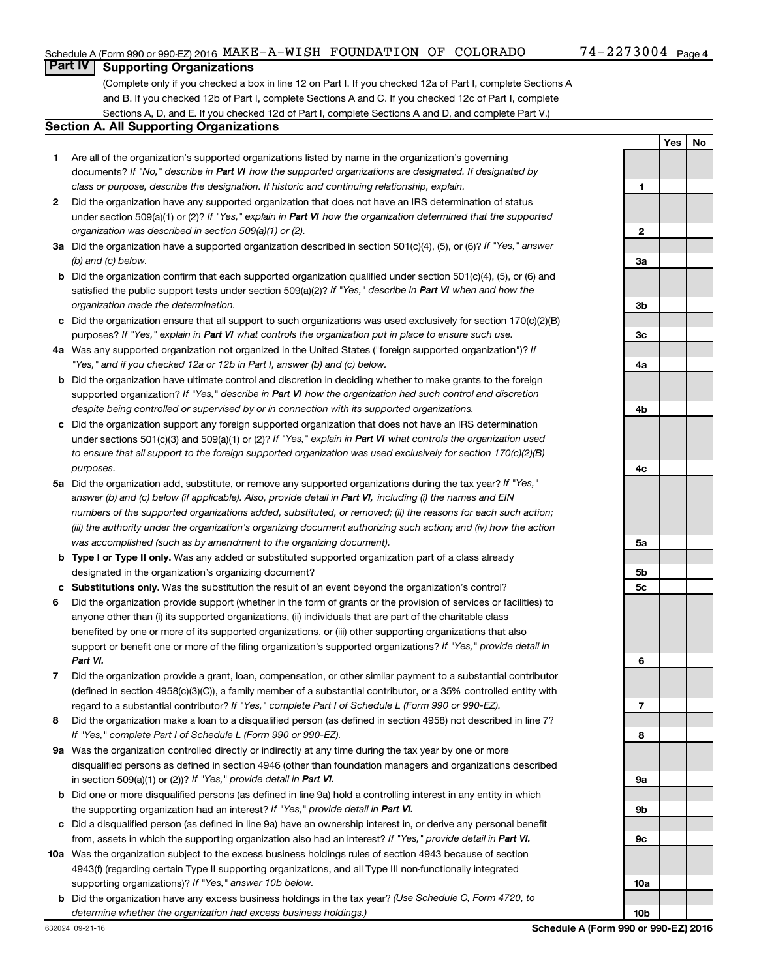**1**

**2**

**Yes No**

### **Part IV Supporting Organizations**

(Complete only if you checked a box in line 12 on Part I. If you checked 12a of Part I, complete Sections A and B. If you checked 12b of Part I, complete Sections A and C. If you checked 12c of Part I, complete Sections A, D, and E. If you checked 12d of Part I, complete Sections A and D, and complete Part V.)

#### **Section A. All Supporting Organizations**

- **1** Are all of the organization's supported organizations listed by name in the organization's governing documents? If "No," describe in Part VI how the supported organizations are designated. If designated by *class or purpose, describe the designation. If historic and continuing relationship, explain.*
- **2** Did the organization have any supported organization that does not have an IRS determination of status under section 509(a)(1) or (2)? If "Yes," explain in Part VI how the organization determined that the supported *organization was described in section 509(a)(1) or (2).*
- **3a** Did the organization have a supported organization described in section 501(c)(4), (5), or (6)? If "Yes," answer *(b) and (c) below.*
- **b** Did the organization confirm that each supported organization qualified under section 501(c)(4), (5), or (6) and satisfied the public support tests under section 509(a)(2)? If "Yes," describe in Part VI when and how the *organization made the determination.*
- **c** Did the organization ensure that all support to such organizations was used exclusively for section 170(c)(2)(B) purposes? If "Yes," explain in Part VI what controls the organization put in place to ensure such use.
- **4 a** *If* Was any supported organization not organized in the United States ("foreign supported organization")? *"Yes," and if you checked 12a or 12b in Part I, answer (b) and (c) below.*
- **b** Did the organization have ultimate control and discretion in deciding whether to make grants to the foreign supported organization? If "Yes," describe in Part VI how the organization had such control and discretion *despite being controlled or supervised by or in connection with its supported organizations.*
- **c** Did the organization support any foreign supported organization that does not have an IRS determination under sections 501(c)(3) and 509(a)(1) or (2)? If "Yes," explain in Part VI what controls the organization used *to ensure that all support to the foreign supported organization was used exclusively for section 170(c)(2)(B) purposes.*
- **5a** Did the organization add, substitute, or remove any supported organizations during the tax year? If "Yes," answer (b) and (c) below (if applicable). Also, provide detail in Part VI, including (i) the names and EIN *numbers of the supported organizations added, substituted, or removed; (ii) the reasons for each such action; (iii) the authority under the organization's organizing document authorizing such action; and (iv) how the action was accomplished (such as by amendment to the organizing document).*
- **b** Type I or Type II only. Was any added or substituted supported organization part of a class already designated in the organization's organizing document?
- **c Substitutions only.**  Was the substitution the result of an event beyond the organization's control?
- **6** Did the organization provide support (whether in the form of grants or the provision of services or facilities) to support or benefit one or more of the filing organization's supported organizations? If "Yes," provide detail in anyone other than (i) its supported organizations, (ii) individuals that are part of the charitable class benefited by one or more of its supported organizations, or (iii) other supporting organizations that also *Part VI.*
- **7** Did the organization provide a grant, loan, compensation, or other similar payment to a substantial contributor regard to a substantial contributor? If "Yes," complete Part I of Schedule L (Form 990 or 990-EZ). (defined in section 4958(c)(3)(C)), a family member of a substantial contributor, or a 35% controlled entity with
- **8** Did the organization make a loan to a disqualified person (as defined in section 4958) not described in line 7? *If "Yes," complete Part I of Schedule L (Form 990 or 990-EZ).*
- **9 a** Was the organization controlled directly or indirectly at any time during the tax year by one or more in section 509(a)(1) or (2))? If "Yes," provide detail in Part VI. disqualified persons as defined in section 4946 (other than foundation managers and organizations described
- **b** Did one or more disqualified persons (as defined in line 9a) hold a controlling interest in any entity in which the supporting organization had an interest? If "Yes," provide detail in Part VI.
- **c** Did a disqualified person (as defined in line 9a) have an ownership interest in, or derive any personal benefit from, assets in which the supporting organization also had an interest? If "Yes," provide detail in Part VI.
- **10 a** Was the organization subject to the excess business holdings rules of section 4943 because of section supporting organizations)? If "Yes," answer 10b below. 4943(f) (regarding certain Type II supporting organizations, and all Type III non-functionally integrated
- **b** Did the organization have any excess business holdings in the tax year? (Use Schedule C, Form 4720, to *determine whether the organization had excess business holdings.)*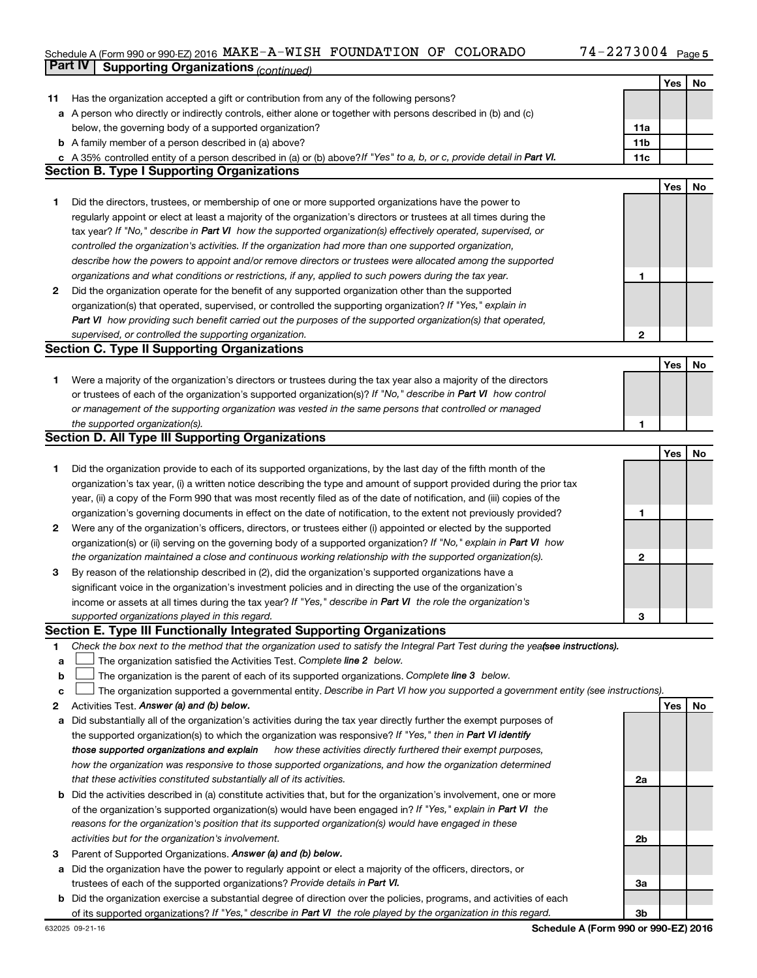## Schedule A (Form 990 or 990-EZ) 2016 MAKE-A-WISH FOUNDATION OF COLORADO 74-2273004 Page **Part IV Supporting Organizations** *(continued)*

|        |                                                                                                                                                                               |     | Yes | No |
|--------|-------------------------------------------------------------------------------------------------------------------------------------------------------------------------------|-----|-----|----|
| 11     | Has the organization accepted a gift or contribution from any of the following persons?                                                                                       |     |     |    |
|        | a A person who directly or indirectly controls, either alone or together with persons described in (b) and (c)                                                                |     |     |    |
|        | below, the governing body of a supported organization?                                                                                                                        | 11a |     |    |
|        | <b>b</b> A family member of a person described in (a) above?                                                                                                                  | 11b |     |    |
|        | c A 35% controlled entity of a person described in (a) or (b) above? If "Yes" to a, b, or c, provide detail in Part VI.                                                       | 11c |     |    |
|        | <b>Section B. Type I Supporting Organizations</b>                                                                                                                             |     |     |    |
|        |                                                                                                                                                                               |     | Yes | No |
| 1      | Did the directors, trustees, or membership of one or more supported organizations have the power to                                                                           |     |     |    |
|        | regularly appoint or elect at least a majority of the organization's directors or trustees at all times during the                                                            |     |     |    |
|        | tax year? If "No," describe in Part VI how the supported organization(s) effectively operated, supervised, or                                                                 |     |     |    |
|        | controlled the organization's activities. If the organization had more than one supported organization,                                                                       |     |     |    |
|        | describe how the powers to appoint and/or remove directors or trustees were allocated among the supported                                                                     |     |     |    |
|        | organizations and what conditions or restrictions, if any, applied to such powers during the tax year.                                                                        | 1   |     |    |
| 2      | Did the organization operate for the benefit of any supported organization other than the supported                                                                           |     |     |    |
|        | organization(s) that operated, supervised, or controlled the supporting organization? If "Yes," explain in                                                                    |     |     |    |
|        | Part VI how providing such benefit carried out the purposes of the supported organization(s) that operated,                                                                   |     |     |    |
|        | supervised, or controlled the supporting organization.                                                                                                                        | 2   |     |    |
|        | <b>Section C. Type II Supporting Organizations</b>                                                                                                                            |     |     |    |
|        |                                                                                                                                                                               |     | Yes | No |
| 1      | Were a majority of the organization's directors or trustees during the tax year also a majority of the directors                                                              |     |     |    |
|        | or trustees of each of the organization's supported organization(s)? If "No," describe in Part VI how control                                                                 |     |     |    |
|        | or management of the supporting organization was vested in the same persons that controlled or managed                                                                        |     |     |    |
|        | the supported organization(s).                                                                                                                                                | 1   |     |    |
|        | <b>Section D. All Type III Supporting Organizations</b>                                                                                                                       |     |     |    |
|        |                                                                                                                                                                               |     | Yes | No |
| 1      | Did the organization provide to each of its supported organizations, by the last day of the fifth month of the                                                                |     |     |    |
|        | organization's tax year, (i) a written notice describing the type and amount of support provided during the prior tax                                                         |     |     |    |
|        | year, (ii) a copy of the Form 990 that was most recently filed as of the date of notification, and (iii) copies of the                                                        |     |     |    |
|        | organization's governing documents in effect on the date of notification, to the extent not previously provided?                                                              | 1   |     |    |
| 2      | Were any of the organization's officers, directors, or trustees either (i) appointed or elected by the supported                                                              |     |     |    |
|        | organization(s) or (ii) serving on the governing body of a supported organization? If "No," explain in Part VI how                                                            |     |     |    |
|        | the organization maintained a close and continuous working relationship with the supported organization(s).                                                                   | 2   |     |    |
| 3      | By reason of the relationship described in (2), did the organization's supported organizations have a                                                                         |     |     |    |
|        | significant voice in the organization's investment policies and in directing the use of the organization's                                                                    |     |     |    |
|        | income or assets at all times during the tax year? If "Yes," describe in Part VI the role the organization's                                                                  |     |     |    |
|        | supported organizations played in this regard.                                                                                                                                | З   |     |    |
|        | Section E. Type III Functionally Integrated Supporting Organizations                                                                                                          |     |     |    |
| 1.     | Check the box next to the method that the organization used to satisfy the Integral Part Test during the yeafsee instructions).                                               |     |     |    |
| a      | The organization satisfied the Activities Test. Complete line 2 below.                                                                                                        |     |     |    |
| b      | The organization is the parent of each of its supported organizations. Complete line 3 below.                                                                                 |     |     |    |
| c<br>2 | The organization supported a governmental entity. Describe in Part VI how you supported a government entity (see instructions).<br>Activities Test. Answer (a) and (b) below. |     | Yes | No |
| a      | Did substantially all of the organization's activities during the tax year directly further the exempt purposes of                                                            |     |     |    |
|        | the supported organization(s) to which the organization was responsive? If "Yes," then in Part VI identify                                                                    |     |     |    |
|        | how these activities directly furthered their exempt purposes,<br>those supported organizations and explain                                                                   |     |     |    |
|        | how the organization was responsive to those supported organizations, and how the organization determined                                                                     |     |     |    |
|        | that these activities constituted substantially all of its activities.                                                                                                        | 2a  |     |    |
|        | <b>b</b> Did the activities described in (a) constitute activities that, but for the organization's involvement, one or more                                                  |     |     |    |
|        | of the organization's supported organization(s) would have been engaged in? If "Yes," explain in Part VI the                                                                  |     |     |    |
|        | reasons for the organization's position that its supported organization(s) would have engaged in these                                                                        |     |     |    |
|        | activities but for the organization's involvement.                                                                                                                            | 2b  |     |    |
| з      | Parent of Supported Organizations. Answer (a) and (b) below.                                                                                                                  |     |     |    |
| а      | Did the organization have the power to regularly appoint or elect a majority of the officers, directors, or                                                                   |     |     |    |
|        | trustees of each of the supported organizations? Provide details in Part VI.                                                                                                  | За  |     |    |
|        | <b>b</b> Did the organization exercise a substantial degree of direction over the policies, programs, and activities of each                                                  |     |     |    |
|        | of its supported organizations? If "Yes," describe in Part VI the role played by the organization in this regard.                                                             | Зb  |     |    |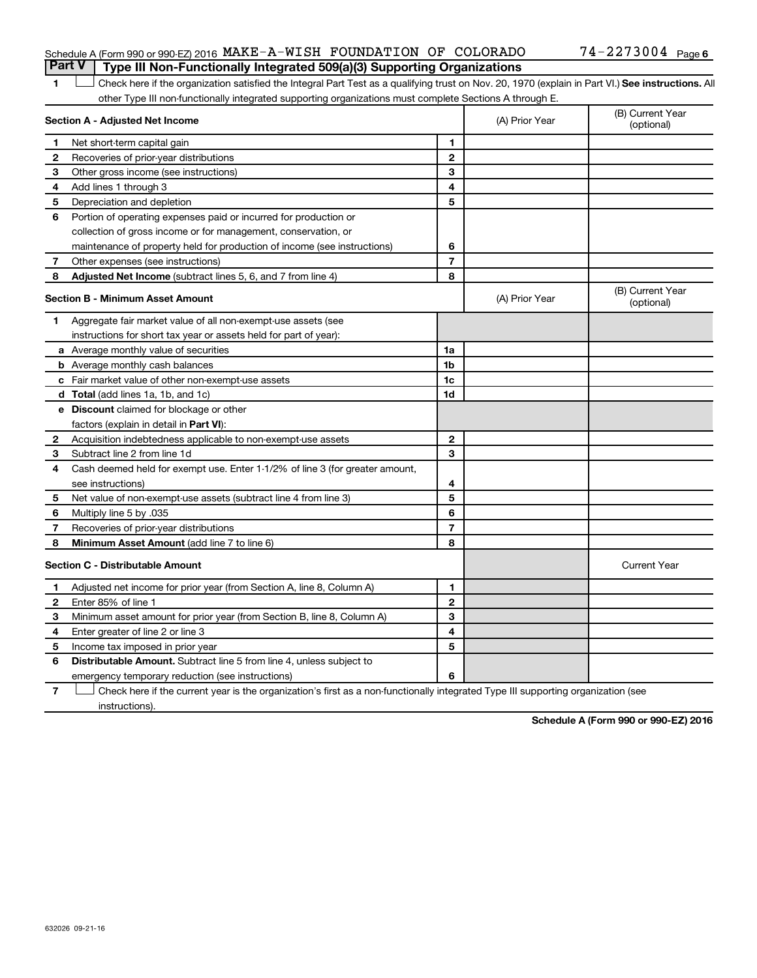#### Schedule A (Form 990 or 990-EZ) 2016 MAKE-A-WISH FOUNDATION OF COLORADO 74-2273004 Page **Part V Type III Non-Functionally Integrated 509(a)(3) Supporting Organizations**

1 **Letter See instructions.** All Check here if the organization satisfied the Integral Part Test as a qualifying trust on Nov. 20, 1970 (explain in Part VI.) See instructions. All other Type III non-functionally integrated supporting organizations must complete Sections A through E.

| Section A - Adjusted Net Income |                                                                              | (A) Prior Year | (B) Current Year<br>(optional) |                                |
|---------------------------------|------------------------------------------------------------------------------|----------------|--------------------------------|--------------------------------|
| 1                               | Net short-term capital gain                                                  | 1              |                                |                                |
| 2                               | Recoveries of prior-year distributions                                       | $\mathbf{2}$   |                                |                                |
| 3                               | Other gross income (see instructions)                                        | 3              |                                |                                |
| 4                               | Add lines 1 through 3                                                        | 4              |                                |                                |
| 5                               | Depreciation and depletion                                                   | 5              |                                |                                |
| 6                               | Portion of operating expenses paid or incurred for production or             |                |                                |                                |
|                                 | collection of gross income or for management, conservation, or               |                |                                |                                |
|                                 | maintenance of property held for production of income (see instructions)     | 6              |                                |                                |
| 7                               | Other expenses (see instructions)                                            | $\overline{7}$ |                                |                                |
| 8                               | Adjusted Net Income (subtract lines 5, 6, and 7 from line 4)                 | 8              |                                |                                |
|                                 | <b>Section B - Minimum Asset Amount</b>                                      |                | (A) Prior Year                 | (B) Current Year<br>(optional) |
| 1.                              | Aggregate fair market value of all non-exempt-use assets (see                |                |                                |                                |
|                                 | instructions for short tax year or assets held for part of year):            |                |                                |                                |
|                                 | a Average monthly value of securities                                        | 1a             |                                |                                |
|                                 | <b>b</b> Average monthly cash balances                                       | 1b             |                                |                                |
|                                 | c Fair market value of other non-exempt-use assets                           | 1c             |                                |                                |
|                                 | d Total (add lines 1a, 1b, and 1c)                                           | 1d             |                                |                                |
|                                 | e Discount claimed for blockage or other                                     |                |                                |                                |
|                                 | factors (explain in detail in Part VI):                                      |                |                                |                                |
| 2                               | Acquisition indebtedness applicable to non-exempt-use assets                 | $\mathbf{2}$   |                                |                                |
| З                               | Subtract line 2 from line 1d                                                 | 3              |                                |                                |
| 4                               | Cash deemed held for exempt use. Enter 1-1/2% of line 3 (for greater amount, |                |                                |                                |
|                                 | see instructions)                                                            | 4              |                                |                                |
| 5                               | Net value of non-exempt-use assets (subtract line 4 from line 3)             | 5              |                                |                                |
| 6                               | Multiply line 5 by .035                                                      | 6              |                                |                                |
| 7                               | Recoveries of prior-year distributions                                       | $\overline{7}$ |                                |                                |
| 8                               | Minimum Asset Amount (add line 7 to line 6)                                  | 8              |                                |                                |
|                                 | <b>Section C - Distributable Amount</b>                                      |                |                                | <b>Current Year</b>            |
| 1                               | Adjusted net income for prior year (from Section A, line 8, Column A)        | 1              |                                |                                |
| $\mathbf{2}$                    | Enter 85% of line 1                                                          | $\mathbf{2}$   |                                |                                |
| 3                               | Minimum asset amount for prior year (from Section B, line 8, Column A)       | 3              |                                |                                |
| 4                               | Enter greater of line 2 or line 3                                            | 4              |                                |                                |
| 5                               | Income tax imposed in prior year                                             | 5              |                                |                                |
| 6                               | <b>Distributable Amount.</b> Subtract line 5 from line 4, unless subject to  |                |                                |                                |
|                                 | emergency temporary reduction (see instructions)                             | 6              |                                |                                |

**7** Let Check here if the current year is the organization's first as a non-functionally integrated Type III supporting organization (see instructions).

**Schedule A (Form 990 or 990-EZ) 2016**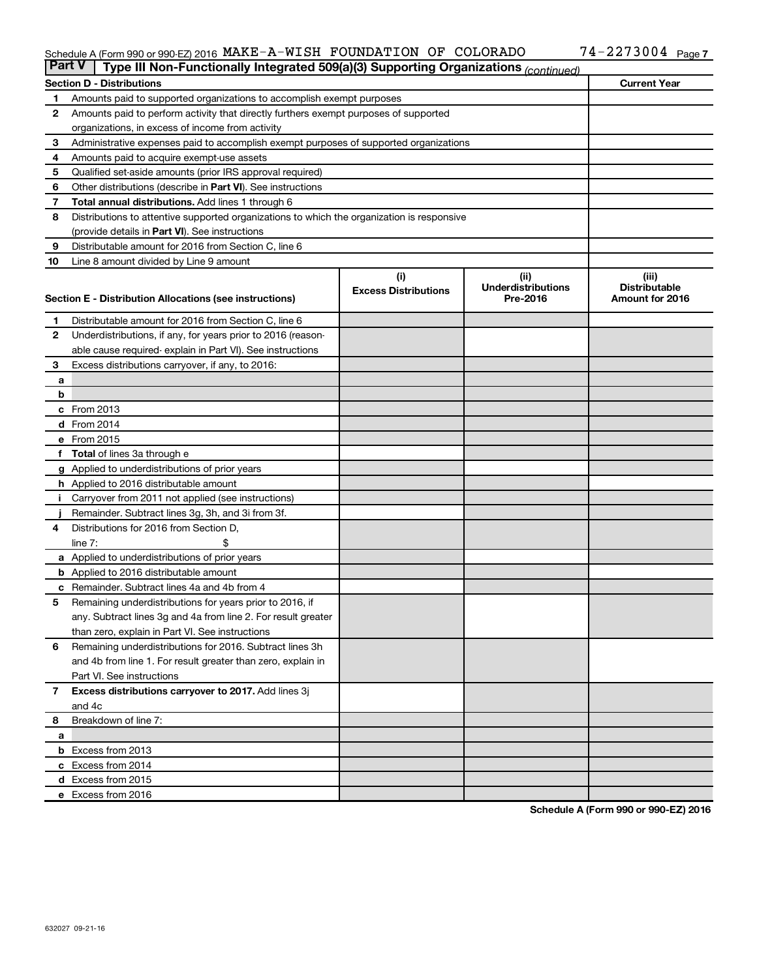#### Schedule A (Form 990 or 990-EZ) 2016 MAKE-A-WISH FOUNDATION OF COLORADO / 4-ZZ 7 3 0 0 4 Page MAKE-A-WISH FOUNDATION OF COLORADO 74-2273004

| <b>Part V</b><br>Type III Non-Functionally Integrated 509(a)(3) Supporting Organizations (continued) |                                                                                            |                             |                                   |                               |  |  |
|------------------------------------------------------------------------------------------------------|--------------------------------------------------------------------------------------------|-----------------------------|-----------------------------------|-------------------------------|--|--|
|                                                                                                      | <b>Section D - Distributions</b>                                                           |                             |                                   | <b>Current Year</b>           |  |  |
| 1                                                                                                    | Amounts paid to supported organizations to accomplish exempt purposes                      |                             |                                   |                               |  |  |
| $\mathbf{2}$                                                                                         | Amounts paid to perform activity that directly furthers exempt purposes of supported       |                             |                                   |                               |  |  |
|                                                                                                      | organizations, in excess of income from activity                                           |                             |                                   |                               |  |  |
| 3                                                                                                    | Administrative expenses paid to accomplish exempt purposes of supported organizations      |                             |                                   |                               |  |  |
| 4                                                                                                    | Amounts paid to acquire exempt-use assets                                                  |                             |                                   |                               |  |  |
| 5                                                                                                    | Qualified set-aside amounts (prior IRS approval required)                                  |                             |                                   |                               |  |  |
| 6                                                                                                    | Other distributions (describe in <b>Part VI</b> ). See instructions                        |                             |                                   |                               |  |  |
| 7                                                                                                    | <b>Total annual distributions.</b> Add lines 1 through 6                                   |                             |                                   |                               |  |  |
| 8                                                                                                    | Distributions to attentive supported organizations to which the organization is responsive |                             |                                   |                               |  |  |
|                                                                                                      | (provide details in Part VI). See instructions                                             |                             |                                   |                               |  |  |
| 9                                                                                                    | Distributable amount for 2016 from Section C, line 6                                       |                             |                                   |                               |  |  |
| 10                                                                                                   | Line 8 amount divided by Line 9 amount                                                     |                             |                                   |                               |  |  |
|                                                                                                      |                                                                                            | (i)                         | (ii)<br><b>Underdistributions</b> | (iii)<br><b>Distributable</b> |  |  |
|                                                                                                      | Section E - Distribution Allocations (see instructions)                                    | <b>Excess Distributions</b> | Pre-2016                          | Amount for 2016               |  |  |
|                                                                                                      |                                                                                            |                             |                                   |                               |  |  |
| 1                                                                                                    | Distributable amount for 2016 from Section C, line 6                                       |                             |                                   |                               |  |  |
| $\mathbf{2}$                                                                                         | Underdistributions, if any, for years prior to 2016 (reason-                               |                             |                                   |                               |  |  |
|                                                                                                      | able cause required-explain in Part VI). See instructions                                  |                             |                                   |                               |  |  |
| 3                                                                                                    | Excess distributions carryover, if any, to 2016:                                           |                             |                                   |                               |  |  |
| а                                                                                                    |                                                                                            |                             |                                   |                               |  |  |
| b                                                                                                    |                                                                                            |                             |                                   |                               |  |  |
|                                                                                                      | c From 2013<br><b>d</b> From 2014                                                          |                             |                                   |                               |  |  |
|                                                                                                      | e From 2015                                                                                |                             |                                   |                               |  |  |
|                                                                                                      | f Total of lines 3a through e                                                              |                             |                                   |                               |  |  |
|                                                                                                      | g Applied to underdistributions of prior years                                             |                             |                                   |                               |  |  |
|                                                                                                      | h Applied to 2016 distributable amount                                                     |                             |                                   |                               |  |  |
| Ť.                                                                                                   | Carryover from 2011 not applied (see instructions)                                         |                             |                                   |                               |  |  |
|                                                                                                      | Remainder. Subtract lines 3g, 3h, and 3i from 3f.                                          |                             |                                   |                               |  |  |
| 4                                                                                                    | Distributions for 2016 from Section D,                                                     |                             |                                   |                               |  |  |
|                                                                                                      | line $7:$                                                                                  |                             |                                   |                               |  |  |
|                                                                                                      | a Applied to underdistributions of prior years                                             |                             |                                   |                               |  |  |
|                                                                                                      | <b>b</b> Applied to 2016 distributable amount                                              |                             |                                   |                               |  |  |
| c                                                                                                    | Remainder. Subtract lines 4a and 4b from 4                                                 |                             |                                   |                               |  |  |
| 5                                                                                                    | Remaining underdistributions for years prior to 2016, if                                   |                             |                                   |                               |  |  |
|                                                                                                      | any. Subtract lines 3g and 4a from line 2. For result greater                              |                             |                                   |                               |  |  |
|                                                                                                      | than zero, explain in Part VI. See instructions                                            |                             |                                   |                               |  |  |
| 6                                                                                                    | Remaining underdistributions for 2016. Subtract lines 3h                                   |                             |                                   |                               |  |  |
|                                                                                                      | and 4b from line 1. For result greater than zero, explain in                               |                             |                                   |                               |  |  |
|                                                                                                      | Part VI. See instructions                                                                  |                             |                                   |                               |  |  |
| $\overline{7}$                                                                                       | Excess distributions carryover to 2017. Add lines 3j                                       |                             |                                   |                               |  |  |
|                                                                                                      | and 4c                                                                                     |                             |                                   |                               |  |  |
| 8                                                                                                    | Breakdown of line 7:                                                                       |                             |                                   |                               |  |  |
| а                                                                                                    |                                                                                            |                             |                                   |                               |  |  |
|                                                                                                      | <b>b</b> Excess from 2013                                                                  |                             |                                   |                               |  |  |
|                                                                                                      | c Excess from 2014                                                                         |                             |                                   |                               |  |  |
|                                                                                                      | d Excess from 2015                                                                         |                             |                                   |                               |  |  |
|                                                                                                      | e Excess from 2016                                                                         |                             |                                   |                               |  |  |

**Schedule A (Form 990 or 990-EZ) 2016**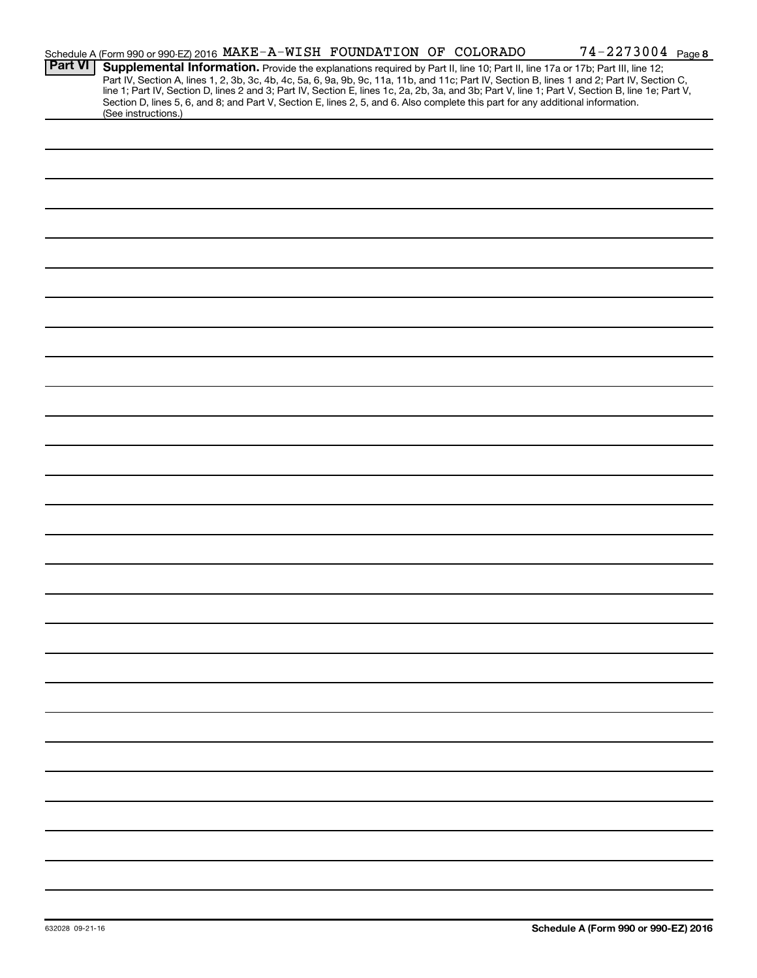|                | Schedule A (Form 990 or 990-EZ) 2016 MAKE-A-WISH FOUNDATION OF COLORADO                                                                                                                                                                                                                                                                                                                                                                                                                                                                                                                     |  |  | 74-2273004 Page 8 |
|----------------|---------------------------------------------------------------------------------------------------------------------------------------------------------------------------------------------------------------------------------------------------------------------------------------------------------------------------------------------------------------------------------------------------------------------------------------------------------------------------------------------------------------------------------------------------------------------------------------------|--|--|-------------------|
| <b>Part VI</b> | Supplemental Information. Provide the explanations required by Part II, line 10; Part II, line 17a or 17b; Part III, line 12;<br>Part IV, Section A, lines 1, 2, 3b, 3c, 4b, 4c, 5a, 6, 9a, 9b, 9c, 11a, 11b, and 11c; Part IV, Section B, lines 1 and 2; Part IV, Section C,<br>line 1; Part IV, Section D, lines 2 and 3; Part IV, Section E, lines 1c, 2a, 2b, 3a, and 3b; Part V, line 1; Part V, Section B, line 1e; Part V,<br>Section D, lines 5, 6, and 8; and Part V, Section E, lines 2, 5, and 6. Also complete this part for any additional information.<br>(See instructions.) |  |  |                   |
|                |                                                                                                                                                                                                                                                                                                                                                                                                                                                                                                                                                                                             |  |  |                   |
|                |                                                                                                                                                                                                                                                                                                                                                                                                                                                                                                                                                                                             |  |  |                   |
|                |                                                                                                                                                                                                                                                                                                                                                                                                                                                                                                                                                                                             |  |  |                   |
|                |                                                                                                                                                                                                                                                                                                                                                                                                                                                                                                                                                                                             |  |  |                   |
|                |                                                                                                                                                                                                                                                                                                                                                                                                                                                                                                                                                                                             |  |  |                   |
|                |                                                                                                                                                                                                                                                                                                                                                                                                                                                                                                                                                                                             |  |  |                   |
|                |                                                                                                                                                                                                                                                                                                                                                                                                                                                                                                                                                                                             |  |  |                   |
|                |                                                                                                                                                                                                                                                                                                                                                                                                                                                                                                                                                                                             |  |  |                   |
|                |                                                                                                                                                                                                                                                                                                                                                                                                                                                                                                                                                                                             |  |  |                   |
|                |                                                                                                                                                                                                                                                                                                                                                                                                                                                                                                                                                                                             |  |  |                   |
|                |                                                                                                                                                                                                                                                                                                                                                                                                                                                                                                                                                                                             |  |  |                   |
|                |                                                                                                                                                                                                                                                                                                                                                                                                                                                                                                                                                                                             |  |  |                   |
|                |                                                                                                                                                                                                                                                                                                                                                                                                                                                                                                                                                                                             |  |  |                   |
|                |                                                                                                                                                                                                                                                                                                                                                                                                                                                                                                                                                                                             |  |  |                   |
|                |                                                                                                                                                                                                                                                                                                                                                                                                                                                                                                                                                                                             |  |  |                   |
|                |                                                                                                                                                                                                                                                                                                                                                                                                                                                                                                                                                                                             |  |  |                   |
|                |                                                                                                                                                                                                                                                                                                                                                                                                                                                                                                                                                                                             |  |  |                   |
|                |                                                                                                                                                                                                                                                                                                                                                                                                                                                                                                                                                                                             |  |  |                   |
|                |                                                                                                                                                                                                                                                                                                                                                                                                                                                                                                                                                                                             |  |  |                   |
|                |                                                                                                                                                                                                                                                                                                                                                                                                                                                                                                                                                                                             |  |  |                   |
|                |                                                                                                                                                                                                                                                                                                                                                                                                                                                                                                                                                                                             |  |  |                   |
|                |                                                                                                                                                                                                                                                                                                                                                                                                                                                                                                                                                                                             |  |  |                   |
|                |                                                                                                                                                                                                                                                                                                                                                                                                                                                                                                                                                                                             |  |  |                   |
|                |                                                                                                                                                                                                                                                                                                                                                                                                                                                                                                                                                                                             |  |  |                   |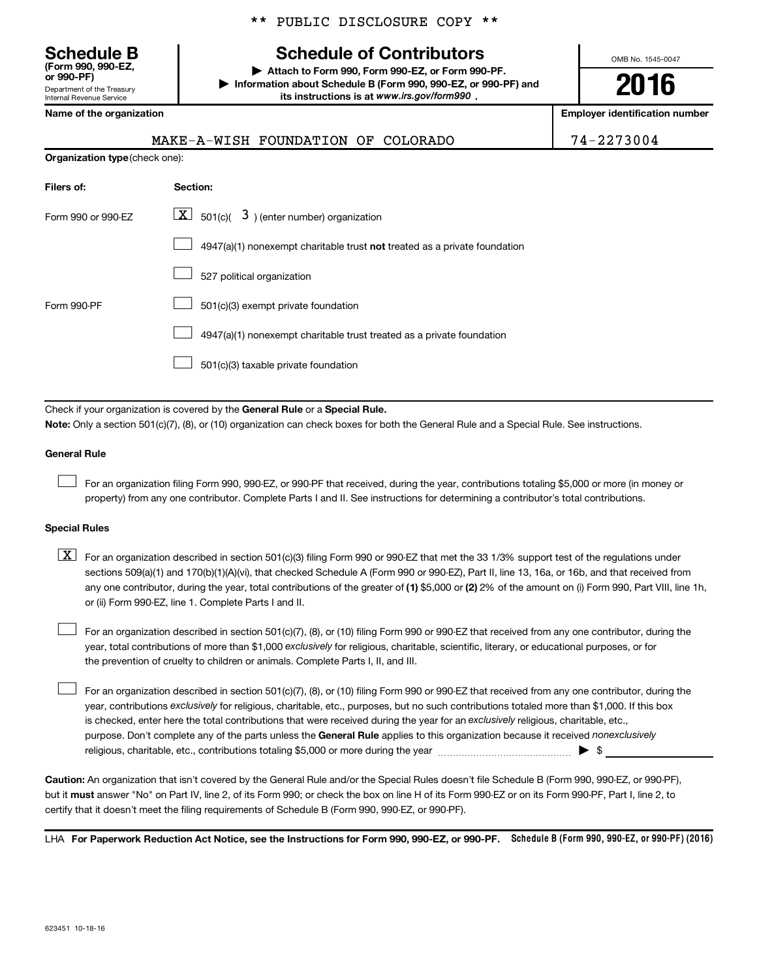Department of the Treasury Internal Revenue Service **(Form 990, 990-EZ,**

#### \*\* PUBLIC DISCLOSURE COPY \*\*

# **Schedule B Schedule of Contributors**

**or 990-PF) | Attach to Form 990, Form 990-EZ, or Form 990-PF. | Information about Schedule B (Form 990, 990-EZ, or 990-PF) and** its instructions is at www.irs.gov/form990.

OMB No. 1545-0047

# **2016**

**Name of the organization Employer identification number**

| (AKE-A-WISH FOUNDATION OF COLORADO |  |  |
|------------------------------------|--|--|
|                                    |  |  |

74-2273004

| <b>Organization type (check one):</b>                                     |  |  |  |  |  |
|---------------------------------------------------------------------------|--|--|--|--|--|
| Section:                                                                  |  |  |  |  |  |
| $\lfloor x \rfloor$ 501(c)( 3) (enter number) organization                |  |  |  |  |  |
| 4947(a)(1) nonexempt charitable trust not treated as a private foundation |  |  |  |  |  |
| 527 political organization                                                |  |  |  |  |  |
| 501(c)(3) exempt private foundation                                       |  |  |  |  |  |
| 4947(a)(1) nonexempt charitable trust treated as a private foundation     |  |  |  |  |  |
| 501(c)(3) taxable private foundation                                      |  |  |  |  |  |
|                                                                           |  |  |  |  |  |

Check if your organization is covered by the General Rule or a Special Rule.

**Note:**  Only a section 501(c)(7), (8), or (10) organization can check boxes for both the General Rule and a Special Rule. See instructions.

#### **General Rule**

 $\Box$ 

For an organization filing Form 990, 990-EZ, or 990-PF that received, during the year, contributions totaling \$5,000 or more (in money or property) from any one contributor. Complete Parts I and II. See instructions for determining a contributor's total contributions.

#### **Special Rules**

any one contributor, during the year, total contributions of the greater of **(1)** \$5,000 or **(2)** 2% of the amount on (i) Form 990, Part VIII, line 1h,  $\boxed{\text{X}}$  For an organization described in section 501(c)(3) filing Form 990 or 990-EZ that met the 33 1/3% support test of the regulations under sections 509(a)(1) and 170(b)(1)(A)(vi), that checked Schedule A (Form 990 or 990-EZ), Part II, line 13, 16a, or 16b, and that received from or (ii) Form 990-EZ, line 1. Complete Parts I and II.

year, total contributions of more than \$1,000 *exclusively* for religious, charitable, scientific, literary, or educational purposes, or for For an organization described in section 501(c)(7), (8), or (10) filing Form 990 or 990-EZ that received from any one contributor, during the the prevention of cruelty to children or animals. Complete Parts I, II, and III.  $\Box$ 

purpose. Don't complete any of the parts unless the General Rule applies to this organization because it received nonexclusively year, contributions exclusively for religious, charitable, etc., purposes, but no such contributions totaled more than \$1,000. If this box is checked, enter here the total contributions that were received during the year for an exclusively religious, charitable, etc., For an organization described in section 501(c)(7), (8), or (10) filing Form 990 or 990-EZ that received from any one contributor, during the religious, charitable, etc., contributions totaling \$5,000 or more during the year  $\ldots$  $\ldots$  $\ldots$  $\ldots$  $\ldots$  $\ldots$  $\Box$ 

**Caution:**  An organization that isn't covered by the General Rule and/or the Special Rules doesn't file Schedule B (Form 990, 990-EZ, or 990-PF),  **must** but it answer "No" on Part IV, line 2, of its Form 990; or check the box on line H of its Form 990-EZ or on its Form 990-PF, Part I, line 2, to certify that it doesn't meet the filing requirements of Schedule B (Form 990, 990-EZ, or 990-PF).

LHA For Paperwork Reduction Act Notice, see the Instructions for Form 990, 990-EZ, or 990-PF. Schedule B (Form 990, 990-EZ, or 990-PF) (2016)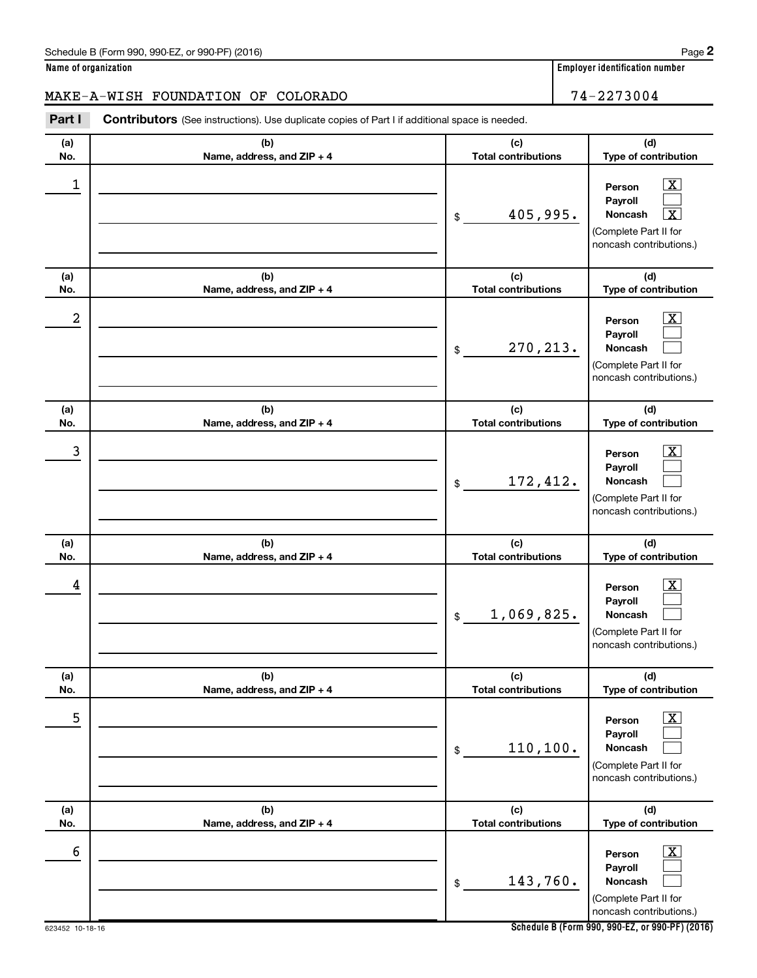#### Schedule B (Form 990, 990-EZ, or 990-PF) (2016)

**Name of organization Employer identification number**

#### MAKE-A-WISH FOUNDATION OF COLORADO 74-2273004

**(a) No. (b) Name, address, and ZIP + 4 (c) Total contributions (d) Type of contribution Person Payroll Noncash (a) No. (b) Name, address, and ZIP + 4 (c) Total contributions (d) Type of contribution Person Payroll Noncash (a) No. (b) Name, address, and ZIP + 4 (c) Total contributions (d) Type of contribution Person Payroll Noncash (a) No. (b) Name, address, and ZIP + 4 (c) Total contributions (d) Type of contribution Person Payroll Noncash (a) No. (b) Name, address, and ZIP + 4 (c) Total contributions (d) Type of contribution Person Payroll Noncash (a) No. (b) Name, address, and ZIP + 4 (c) Total contributions (d) Type of contribution Person Payroll Noncash** Part I Contributors (See instructions). Use duplicate copies of Part I if additional space is needed. \$ (Complete Part II for noncash contributions.) \$ (Complete Part II for noncash contributions.) \$ (Complete Part II for noncash contributions.) \$ (Complete Part II for noncash contributions.) \$ (Complete Part II for noncash contributions.) \$ (Complete Part II for  $\boxed{\textbf{X}}$  $\Box$  $\lceil \texttt{X} \rceil$  $\overline{\mathbf{X}}$  $\Box$  $\Box$  $\boxed{\textbf{X}}$  $\Box$  $\Box$  $\boxed{\text{X}}$  $\Box$  $\Box$  $\boxed{\text{X}}$  $\Box$  $\Box$  $\boxed{\text{X}}$  $\Box$  $\Box$  $\begin{array}{|c|c|c|c|c|}\hline \ \text{1} & \text{Person} & \text{X} \ \hline \end{array}$  $405,995.$  $2$  Person  $\overline{\text{X}}$ 270,213.  $\begin{array}{|c|c|c|c|c|c|}\hline \text{3} & \text{Person} & \text{X} \ \hline \end{array}$ 172,412.  $\begin{array}{|c|c|c|c|c|}\hline \text{4} & \text{Person} & \text{\textbf{X}}\ \hline \end{array}$ 1,069,825. 5 X 110,100.  $\overline{6}$  Person  $\overline{X}$ 143,760.

**Schedule B (Form 990, 990-EZ, or 990-PF) (2016)**

noncash contributions.)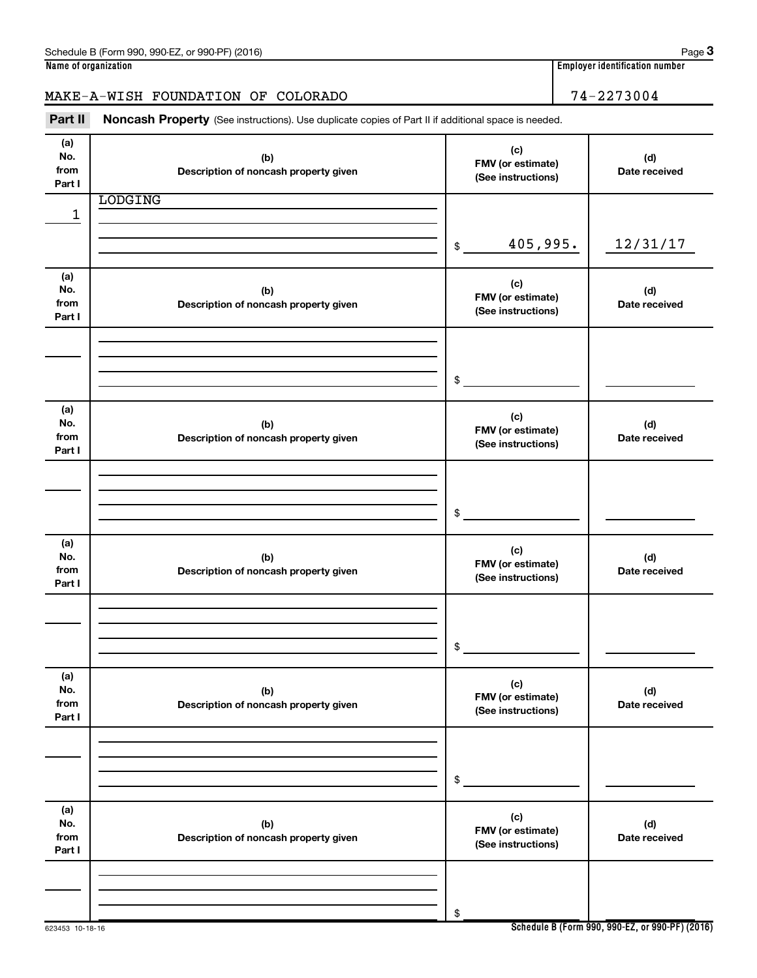## MAKE-A-WISH FOUNDATION OF COLORADO 74-2273004

Part II Noncash Property (See instructions). Use duplicate copies of Part II if additional space is needed.

| (a)<br>No.<br>from<br>Part I | (b)<br>Description of noncash property given | (c)<br>FMV (or estimate)<br>(See instructions) | (d)<br>Date received |
|------------------------------|----------------------------------------------|------------------------------------------------|----------------------|
|                              | <b>LODGING</b>                               |                                                |                      |
| 1                            |                                              |                                                |                      |
|                              |                                              |                                                |                      |
|                              |                                              | 405,995.<br>\$                                 | 12/31/17             |
|                              |                                              |                                                |                      |
|                              |                                              |                                                |                      |
| (a)<br>No.                   |                                              | (c)                                            |                      |
| from                         | (b)<br>Description of noncash property given | FMV (or estimate)                              | (d)<br>Date received |
| Part I                       |                                              | (See instructions)                             |                      |
|                              |                                              |                                                |                      |
|                              |                                              |                                                |                      |
|                              |                                              |                                                |                      |
|                              |                                              |                                                |                      |
|                              |                                              | \$                                             |                      |
|                              |                                              |                                                |                      |
| (a)<br>No.                   |                                              | (c)                                            |                      |
| from                         | (b)                                          | FMV (or estimate)                              | (d)                  |
| Part I                       | Description of noncash property given        | (See instructions)                             | Date received        |
|                              |                                              |                                                |                      |
|                              |                                              |                                                |                      |
|                              |                                              |                                                |                      |
|                              |                                              |                                                |                      |
|                              |                                              | $\frac{1}{2}$                                  |                      |
| (a)                          |                                              |                                                |                      |
| No.                          | (b)                                          | (c)                                            | (d)                  |
| from                         | Description of noncash property given        | FMV (or estimate)                              | Date received        |
| Part I                       |                                              | (See instructions)                             |                      |
|                              |                                              |                                                |                      |
|                              |                                              |                                                |                      |
|                              |                                              |                                                |                      |
|                              |                                              | \$                                             |                      |
|                              |                                              |                                                |                      |
| (a)                          |                                              |                                                |                      |
| No.                          | (b)                                          | (c)                                            | (d)                  |
| from                         | Description of noncash property given        | FMV (or estimate)                              | Date received        |
| Part I                       |                                              | (See instructions)                             |                      |
|                              |                                              |                                                |                      |
|                              |                                              |                                                |                      |
|                              |                                              |                                                |                      |
|                              |                                              | \$                                             |                      |
|                              |                                              |                                                |                      |
| (a)                          |                                              |                                                |                      |
| No.                          | (b)                                          | (c)<br>FMV (or estimate)                       | (d)                  |
| from                         | Description of noncash property given        | (See instructions)                             | Date received        |
| Part I                       |                                              |                                                |                      |
|                              |                                              |                                                |                      |
|                              |                                              |                                                |                      |
|                              |                                              |                                                |                      |
|                              |                                              | \$                                             |                      |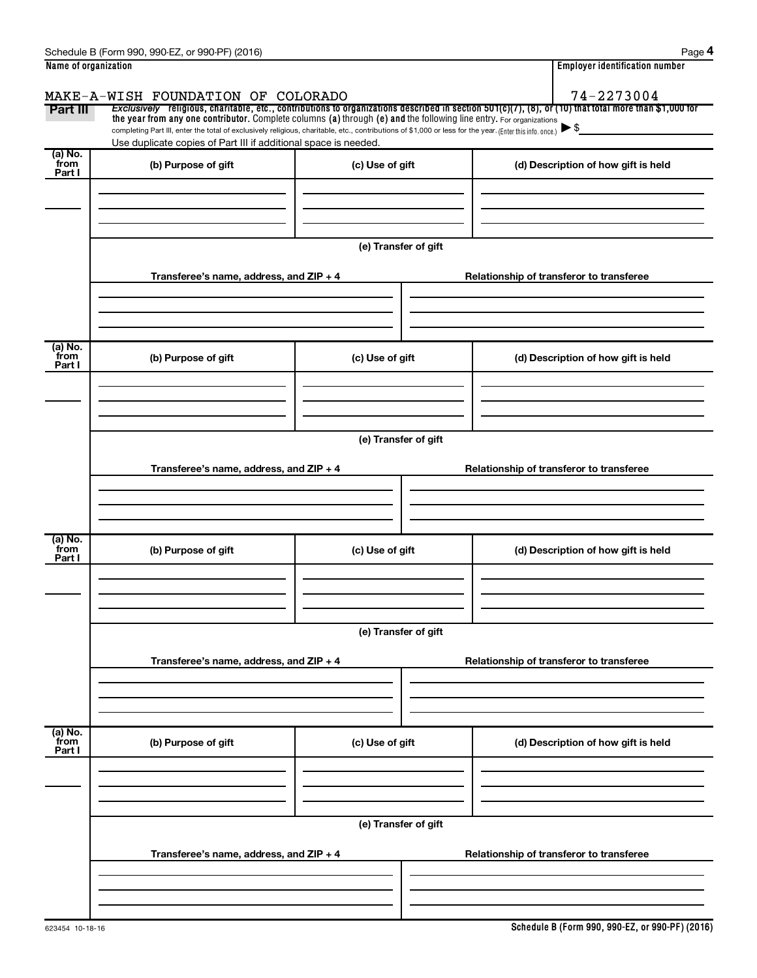|                           | Schedule B (Form 990, 990-EZ, or 990-PF) (2016)                                                                                                                                                                                                                                 |                                          | Page 4                                                                                                                                                   |
|---------------------------|---------------------------------------------------------------------------------------------------------------------------------------------------------------------------------------------------------------------------------------------------------------------------------|------------------------------------------|----------------------------------------------------------------------------------------------------------------------------------------------------------|
| Name of organization      |                                                                                                                                                                                                                                                                                 |                                          | <b>Employer identification number</b>                                                                                                                    |
|                           | MAKE-A-WISH FOUNDATION OF COLORADO                                                                                                                                                                                                                                              |                                          | 74-2273004                                                                                                                                               |
| Part III                  |                                                                                                                                                                                                                                                                                 |                                          | Exclusively religious, charitable, etc., contributions to organizations described in section $501(c)(7)$ , (8), or (10) that total more than \$1,000 for |
|                           | the year from any one contributor. Complete columns (a) through (e) and the following line entry. For organizations<br>completing Part III, enter the total of exclusively religious, charitable, etc., contributions of \$1,000 or less for the year. (Enter this info. once.) |                                          | $\blacktriangleright$ \$                                                                                                                                 |
|                           | Use duplicate copies of Part III if additional space is needed.                                                                                                                                                                                                                 |                                          |                                                                                                                                                          |
| (a) No.<br>from<br>Part I | (b) Purpose of gift                                                                                                                                                                                                                                                             | (c) Use of gift                          | (d) Description of how gift is held                                                                                                                      |
|                           |                                                                                                                                                                                                                                                                                 |                                          |                                                                                                                                                          |
|                           |                                                                                                                                                                                                                                                                                 |                                          |                                                                                                                                                          |
|                           |                                                                                                                                                                                                                                                                                 | (e) Transfer of gift                     |                                                                                                                                                          |
|                           | Transferee's name, address, and ZIP + 4                                                                                                                                                                                                                                         |                                          | Relationship of transferor to transferee                                                                                                                 |
|                           |                                                                                                                                                                                                                                                                                 |                                          |                                                                                                                                                          |
| (a) No.<br>from<br>Part I | (b) Purpose of gift                                                                                                                                                                                                                                                             | (c) Use of gift                          | (d) Description of how gift is held                                                                                                                      |
|                           |                                                                                                                                                                                                                                                                                 |                                          |                                                                                                                                                          |
|                           |                                                                                                                                                                                                                                                                                 | (e) Transfer of gift                     |                                                                                                                                                          |
|                           |                                                                                                                                                                                                                                                                                 |                                          |                                                                                                                                                          |
|                           | Transferee's name, address, and ZIP + 4                                                                                                                                                                                                                                         |                                          | Relationship of transferor to transferee                                                                                                                 |
|                           |                                                                                                                                                                                                                                                                                 |                                          |                                                                                                                                                          |
|                           |                                                                                                                                                                                                                                                                                 |                                          |                                                                                                                                                          |
|                           |                                                                                                                                                                                                                                                                                 |                                          |                                                                                                                                                          |
| (a) No.<br>from<br>Part I | (b) Purpose of gift                                                                                                                                                                                                                                                             | (c) Use of gift                          | (d) Description of how gift is held                                                                                                                      |
|                           |                                                                                                                                                                                                                                                                                 |                                          |                                                                                                                                                          |
|                           |                                                                                                                                                                                                                                                                                 |                                          |                                                                                                                                                          |
|                           |                                                                                                                                                                                                                                                                                 | (e) Transfer of gift                     |                                                                                                                                                          |
|                           |                                                                                                                                                                                                                                                                                 |                                          |                                                                                                                                                          |
|                           | Transferee's name, address, and ZIP + 4                                                                                                                                                                                                                                         | Relationship of transferor to transferee |                                                                                                                                                          |
|                           |                                                                                                                                                                                                                                                                                 |                                          |                                                                                                                                                          |
|                           |                                                                                                                                                                                                                                                                                 |                                          |                                                                                                                                                          |
|                           |                                                                                                                                                                                                                                                                                 |                                          |                                                                                                                                                          |
| (a) No.<br>from<br>Part I | (b) Purpose of gift                                                                                                                                                                                                                                                             | (c) Use of gift                          | (d) Description of how gift is held                                                                                                                      |
|                           |                                                                                                                                                                                                                                                                                 |                                          |                                                                                                                                                          |
|                           |                                                                                                                                                                                                                                                                                 |                                          |                                                                                                                                                          |
|                           |                                                                                                                                                                                                                                                                                 |                                          |                                                                                                                                                          |
|                           |                                                                                                                                                                                                                                                                                 | (e) Transfer of gift                     |                                                                                                                                                          |
|                           | Transferee's name, address, and ZIP + 4                                                                                                                                                                                                                                         |                                          | Relationship of transferor to transferee                                                                                                                 |
|                           |                                                                                                                                                                                                                                                                                 |                                          |                                                                                                                                                          |
|                           |                                                                                                                                                                                                                                                                                 |                                          |                                                                                                                                                          |
|                           |                                                                                                                                                                                                                                                                                 |                                          |                                                                                                                                                          |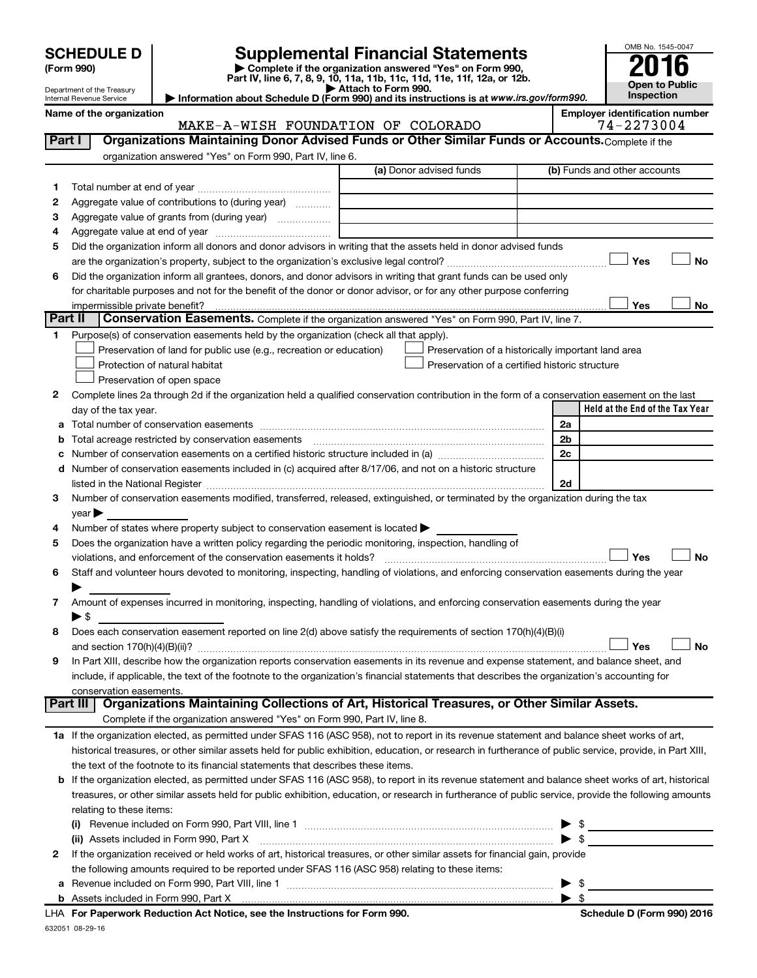# Supplemental Financial Statements<br> **Examplete if the organization answered "Yes" on Form 990,**

**(Form 990) | Complete if the organization answered "Yes" on Form 990, Part IV, line 6, 7, 8, 9, 10, 11a, 11b, 11c, 11d, 11e, 11f, 12a, or 12b.**<br>■ Attach to Form 990.



Department of the Treasury Internal Revenue Service **Held at the End of the Tax Year | Attach to Form 990. | Information about Schedule D (Form 990) and its instructions is at**  *www.irs.gov/form990.* **Name of the organization Employer identification number** (a) Donor advised funds **1 2 3 4 5 6 Yes No Yes No 1 2** Complete lines 2a through 2d if the organization held a qualified conservation contribution in the form of a conservation easement on the last **3 4 5** Does the organization have a written policy regarding the periodic monitoring, inspection, handling of **6 7 8 9 a** Total number of conservation easements ~~~~~~~~~~~~~~~~~~~~~~~~~~~~~~~~ **b** Total acreage restricted by conservation easements ~~~~~~~~~~~~~~~~~~~~~~~~~~ **c** Number of conservation easements on a certified historic structure included in (a)  $\ldots$  $\ldots$  $\ldots$  $\ldots$  $\ldots$  $\ldots$ **d 2a 2b 2c 2d Yes No** † † **Yes No 1 a** If the organization elected, as permitted under SFAS 116 (ASC 958), not to report in its revenue statement and balance sheet works of art, **2 b** If the organization elected, as permitted under SFAS 116 (ASC 958), to report in its revenue statement and balance sheet works of art, historical **(i)** Revenue included on Form 990, Part VIII, line 1 ~~~~~~~~~~~~~~~~~~~~~~~~~~~~ | \$ **(ii)** Assets included in Form 990, Part X ~~~~~~~~~~~~~~~~~~~~~~~~~~~~~~~~~ | \$ **Part I** | Organizations Maintaining Donor Advised Funds or Other Similar Funds or Accounts. Complete if the organization answered "Yes" on Form 990, Part IV, line 6. (b) Funds and other accounts Total number at end of year ~~~~~~~~~~~~~~~ Aggregate value of contributions to (during year)  $\quad \quad \ldots \ldots \ldots$ Aggregate value of grants from (during year) will contain the Aggregate value of grants from (during year) Aggregate value at end of year ~~~~~~~~~~~~~ Did the organization inform all donors and donor advisors in writing that the assets held in donor advised funds are the organization's property, subject to the organization's exclusive legal control?~~~~~~~~~~~~~~~~~~ Did the organization inform all grantees, donors, and donor advisors in writing that grant funds can be used only for charitable purposes and not for the benefit of the donor or donor advisor, or for any other purpose conferring impermissible private benefit? **Part II** Conservation Easements. Complete if the organization answered "Yes" on Form 990, Part IV, line 7. Purpose(s) of conservation easements held by the organization (check all that apply). **Preservation of land for public use (e.g., recreation or education) Example 1** Protection of natural habitat Preservation of open space Preservation of a historically important land area Preservation of a certified historic structure day of the tax year. Number of conservation easements included in (c) acquired after 8/17/06, and not on a historic structure listed in the National Register ~~~~~~~~~~~~~~~~~~~~~~~~~~~~~~~~~~~~~~ Number of conservation easements modified, transferred, released, extinguished, or terminated by the organization during the tax  $\vee$  ear  $\blacktriangleright$ Number of states where property subject to conservation easement is located  $\blacktriangleright$ violations, and enforcement of the conservation easements it holds? ~~~~~~~~~~~~~~~~~~~~~~~~~ Staff and volunteer hours devoted to monitoring, inspecting, handling of violations, and enforcing conservation easements during the year  $\blacktriangleright$ Amount of expenses incurred in monitoring, inspecting, handling of violations, and enforcing conservation easements during the year  $\triangleright$  \$ Does each conservation easement reported on line 2(d) above satisfy the requirements of section 170(h)(4)(B)(i) and section 170(h)(4)(B)(ii)? ~~~~~~~~~~~~~~~~~~~~~~~~~~~~~~~~~~~~~~~~~~~~~~ In Part XIII, describe how the organization reports conservation easements in its revenue and expense statement, and balance sheet, and include, if applicable, the text of the footnote to the organization's financial statements that describes the organization's accounting for conservation easements. Complete if the organization answered "Yes" on Form 990, Part IV, line 8. historical treasures, or other similar assets held for public exhibition, education, or research in furtherance of public service, provide, in Part XIII, the text of the footnote to its financial statements that describes these items. treasures, or other similar assets held for public exhibition, education, or research in furtherance of public service, provide the following amounts relating to these items: If the organization received or held works of art, historical treasures, or other similar assets for financial gain, provide **Part III Organizations Maintaining Collections of Art, Historical Treasures, or Other Similar Assets.** Yes † †  $\Box$  $Y_{\mathsf{P}}$ MAKE-A-WISH FOUNDATION OF COLORADO 74-2273004

| Le Tranc Urganization received of Heid Works of art, mstonical treasures, or other similar assets for milancial gain, provide |      |
|-------------------------------------------------------------------------------------------------------------------------------|------|
| the following amounts required to be reported under SFAS 116 (ASC 958) relating to these items:                               |      |
| a Revenue included on Form 990, Part VIII, line 1                                                                             | - \$ |

| <b>Revenue included on Form 990. Part VIII, line</b> |  |
|------------------------------------------------------|--|
| Assets included in Form 990. Part X                  |  |

632051 08-29-16 **For Paperwork Reduction Act Notice, see the Instructions for Form 990. Schedule D (Form 990) 2016** LHA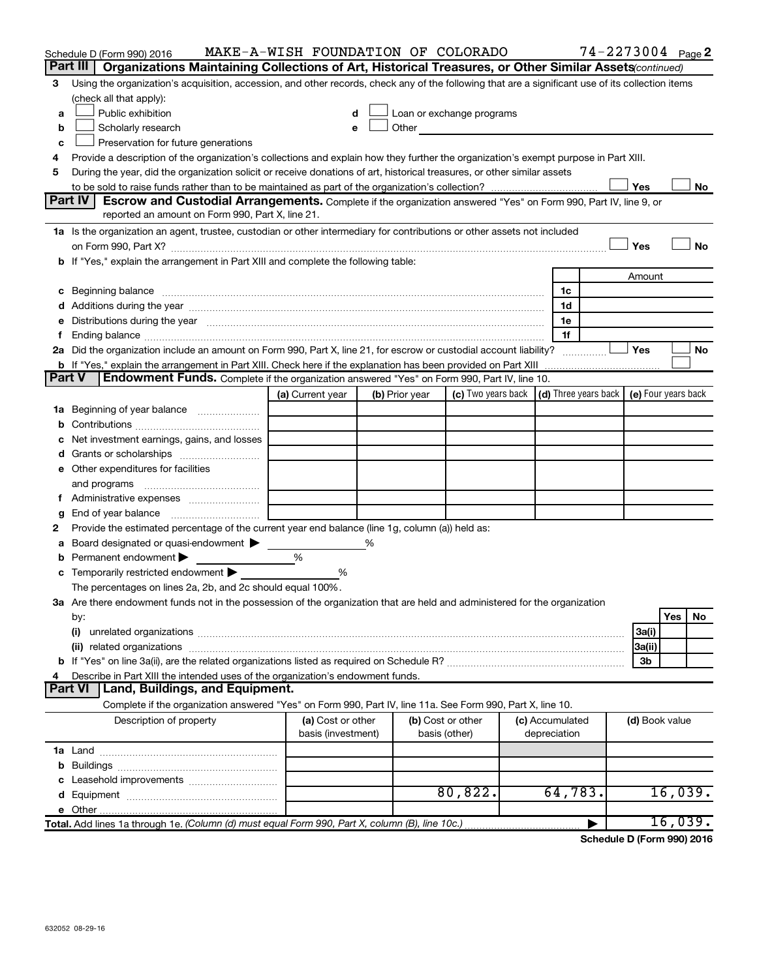|        | Schedule D (Form 990) 2016                                                                                                                                                                                                                                                                                           | MAKE-A-WISH FOUNDATION OF COLORADO      |   |                |                                                                                                                                                                                                                               |  |                                 | 74-2273004 Page 2 |                |         |    |
|--------|----------------------------------------------------------------------------------------------------------------------------------------------------------------------------------------------------------------------------------------------------------------------------------------------------------------------|-----------------------------------------|---|----------------|-------------------------------------------------------------------------------------------------------------------------------------------------------------------------------------------------------------------------------|--|---------------------------------|-------------------|----------------|---------|----|
|        | Part III   Organizations Maintaining Collections of Art, Historical Treasures, or Other Similar Assets (continued)                                                                                                                                                                                                   |                                         |   |                |                                                                                                                                                                                                                               |  |                                 |                   |                |         |    |
| 3      | Using the organization's acquisition, accession, and other records, check any of the following that are a significant use of its collection items                                                                                                                                                                    |                                         |   |                |                                                                                                                                                                                                                               |  |                                 |                   |                |         |    |
|        | (check all that apply):                                                                                                                                                                                                                                                                                              |                                         |   |                |                                                                                                                                                                                                                               |  |                                 |                   |                |         |    |
| a      | Public exhibition                                                                                                                                                                                                                                                                                                    | d                                       |   |                | Loan or exchange programs                                                                                                                                                                                                     |  |                                 |                   |                |         |    |
| b      | Scholarly research                                                                                                                                                                                                                                                                                                   | e                                       |   |                | Other and the contract of the contract of the contract of the contract of the contract of the contract of the contract of the contract of the contract of the contract of the contract of the contract of the contract of the |  |                                 |                   |                |         |    |
| с      | Preservation for future generations                                                                                                                                                                                                                                                                                  |                                         |   |                |                                                                                                                                                                                                                               |  |                                 |                   |                |         |    |
|        | Provide a description of the organization's collections and explain how they further the organization's exempt purpose in Part XIII.                                                                                                                                                                                 |                                         |   |                |                                                                                                                                                                                                                               |  |                                 |                   |                |         |    |
| 5      | During the year, did the organization solicit or receive donations of art, historical treasures, or other similar assets                                                                                                                                                                                             |                                         |   |                |                                                                                                                                                                                                                               |  |                                 |                   |                |         |    |
|        | Yes<br>No<br><b>Escrow and Custodial Arrangements.</b> Complete if the organization answered "Yes" on Form 990, Part IV, line 9, or                                                                                                                                                                                  |                                         |   |                |                                                                                                                                                                                                                               |  |                                 |                   |                |         |    |
|        | Part IV<br>reported an amount on Form 990, Part X, line 21.                                                                                                                                                                                                                                                          |                                         |   |                |                                                                                                                                                                                                                               |  |                                 |                   |                |         |    |
|        |                                                                                                                                                                                                                                                                                                                      |                                         |   |                |                                                                                                                                                                                                                               |  |                                 |                   |                |         |    |
|        | 1a Is the organization an agent, trustee, custodian or other intermediary for contributions or other assets not included                                                                                                                                                                                             |                                         |   |                |                                                                                                                                                                                                                               |  |                                 |                   | Yes            |         | No |
|        | on Form 990, Part X? [11] matter and the contract of the contract of the contract of the contract of the contract of the contract of the contract of the contract of the contract of the contract of the contract of the contr<br>b If "Yes," explain the arrangement in Part XIII and complete the following table: |                                         |   |                |                                                                                                                                                                                                                               |  |                                 |                   |                |         |    |
|        |                                                                                                                                                                                                                                                                                                                      |                                         |   |                |                                                                                                                                                                                                                               |  |                                 |                   | Amount         |         |    |
|        | c Beginning balance measurements and the contract of Beginning balance measurements are all the contract of the contract of the contract of the contract of the contract of the contract of the contract of the contract of th                                                                                       |                                         |   |                |                                                                                                                                                                                                                               |  | 1c                              |                   |                |         |    |
|        |                                                                                                                                                                                                                                                                                                                      |                                         |   |                |                                                                                                                                                                                                                               |  | 1d                              |                   |                |         |    |
|        | e Distributions during the year manufactured and continuum control of the control of the control of the state of the control of the control of the control of the control of the control of the control of the control of the                                                                                        |                                         |   |                |                                                                                                                                                                                                                               |  | 1e                              |                   |                |         |    |
| Ť.     |                                                                                                                                                                                                                                                                                                                      |                                         |   |                |                                                                                                                                                                                                                               |  | 1f                              |                   |                |         |    |
|        | 2a Did the organization include an amount on Form 990, Part X, line 21, for escrow or custodial account liability?                                                                                                                                                                                                   |                                         |   |                |                                                                                                                                                                                                                               |  | .                               |                   | Yes            |         | No |
|        |                                                                                                                                                                                                                                                                                                                      |                                         |   |                |                                                                                                                                                                                                                               |  |                                 |                   |                |         |    |
| Part V | Endowment Funds. Complete if the organization answered "Yes" on Form 990, Part IV, line 10.                                                                                                                                                                                                                          |                                         |   |                |                                                                                                                                                                                                                               |  |                                 |                   |                |         |    |
|        |                                                                                                                                                                                                                                                                                                                      | (a) Current year                        |   | (b) Prior year | (c) Two years back $\vert$ (d) Three years back $\vert$ (e) Four years back                                                                                                                                                   |  |                                 |                   |                |         |    |
|        |                                                                                                                                                                                                                                                                                                                      |                                         |   |                |                                                                                                                                                                                                                               |  |                                 |                   |                |         |    |
|        |                                                                                                                                                                                                                                                                                                                      |                                         |   |                |                                                                                                                                                                                                                               |  |                                 |                   |                |         |    |
|        | c Net investment earnings, gains, and losses                                                                                                                                                                                                                                                                         |                                         |   |                |                                                                                                                                                                                                                               |  |                                 |                   |                |         |    |
|        |                                                                                                                                                                                                                                                                                                                      |                                         |   |                |                                                                                                                                                                                                                               |  |                                 |                   |                |         |    |
|        | e Other expenditures for facilities                                                                                                                                                                                                                                                                                  |                                         |   |                |                                                                                                                                                                                                                               |  |                                 |                   |                |         |    |
|        |                                                                                                                                                                                                                                                                                                                      |                                         |   |                |                                                                                                                                                                                                                               |  |                                 |                   |                |         |    |
|        |                                                                                                                                                                                                                                                                                                                      |                                         |   |                |                                                                                                                                                                                                                               |  |                                 |                   |                |         |    |
| g      |                                                                                                                                                                                                                                                                                                                      |                                         |   |                |                                                                                                                                                                                                                               |  |                                 |                   |                |         |    |
| 2      | Provide the estimated percentage of the current year end balance (line 1g, column (a)) held as:                                                                                                                                                                                                                      |                                         |   |                |                                                                                                                                                                                                                               |  |                                 |                   |                |         |    |
|        | a Board designated or quasi-endowment                                                                                                                                                                                                                                                                                |                                         | % |                |                                                                                                                                                                                                                               |  |                                 |                   |                |         |    |
|        | <b>b</b> Permanent endowment $\blacktriangleright$                                                                                                                                                                                                                                                                   | %                                       |   |                |                                                                                                                                                                                                                               |  |                                 |                   |                |         |    |
|        | c Temporarily restricted endowment $\blacktriangleright$                                                                                                                                                                                                                                                             | %                                       |   |                |                                                                                                                                                                                                                               |  |                                 |                   |                |         |    |
|        | The percentages on lines 2a, 2b, and 2c should equal 100%.                                                                                                                                                                                                                                                           |                                         |   |                |                                                                                                                                                                                                                               |  |                                 |                   |                |         |    |
|        | 3a Are there endowment funds not in the possession of the organization that are held and administered for the organization                                                                                                                                                                                           |                                         |   |                |                                                                                                                                                                                                                               |  |                                 |                   |                | Yes     | No |
|        | by:<br>(i)                                                                                                                                                                                                                                                                                                           |                                         |   |                |                                                                                                                                                                                                                               |  |                                 |                   | 3a(i)          |         |    |
|        |                                                                                                                                                                                                                                                                                                                      |                                         |   |                |                                                                                                                                                                                                                               |  |                                 |                   | 3a(ii)         |         |    |
|        |                                                                                                                                                                                                                                                                                                                      |                                         |   |                |                                                                                                                                                                                                                               |  |                                 |                   | Зb             |         |    |
| 4      | Describe in Part XIII the intended uses of the organization's endowment funds.                                                                                                                                                                                                                                       |                                         |   |                |                                                                                                                                                                                                                               |  |                                 |                   |                |         |    |
|        | Land, Buildings, and Equipment.<br><b>Part VI</b>                                                                                                                                                                                                                                                                    |                                         |   |                |                                                                                                                                                                                                                               |  |                                 |                   |                |         |    |
|        | Complete if the organization answered "Yes" on Form 990, Part IV, line 11a. See Form 990, Part X, line 10.                                                                                                                                                                                                           |                                         |   |                |                                                                                                                                                                                                                               |  |                                 |                   |                |         |    |
|        | Description of property                                                                                                                                                                                                                                                                                              | (a) Cost or other<br>basis (investment) |   |                | (b) Cost or other<br>basis (other)                                                                                                                                                                                            |  | (c) Accumulated<br>depreciation |                   | (d) Book value |         |    |
|        |                                                                                                                                                                                                                                                                                                                      |                                         |   |                |                                                                                                                                                                                                                               |  |                                 |                   |                |         |    |
|        |                                                                                                                                                                                                                                                                                                                      |                                         |   |                |                                                                                                                                                                                                                               |  |                                 |                   |                |         |    |
|        |                                                                                                                                                                                                                                                                                                                      |                                         |   |                |                                                                                                                                                                                                                               |  |                                 |                   |                |         |    |
|        |                                                                                                                                                                                                                                                                                                                      |                                         |   |                | 80,822.                                                                                                                                                                                                                       |  | 64,783.                         |                   |                | 16,039. |    |
|        |                                                                                                                                                                                                                                                                                                                      |                                         |   |                |                                                                                                                                                                                                                               |  |                                 |                   |                |         |    |
|        | Total. Add lines 1a through 1e. (Column (d) must equal Form 990, Part X, column (B), line 10c.)                                                                                                                                                                                                                      |                                         |   |                |                                                                                                                                                                                                                               |  |                                 | ▶                 |                | 16,039. |    |

**Schedule D (Form 990) 2016**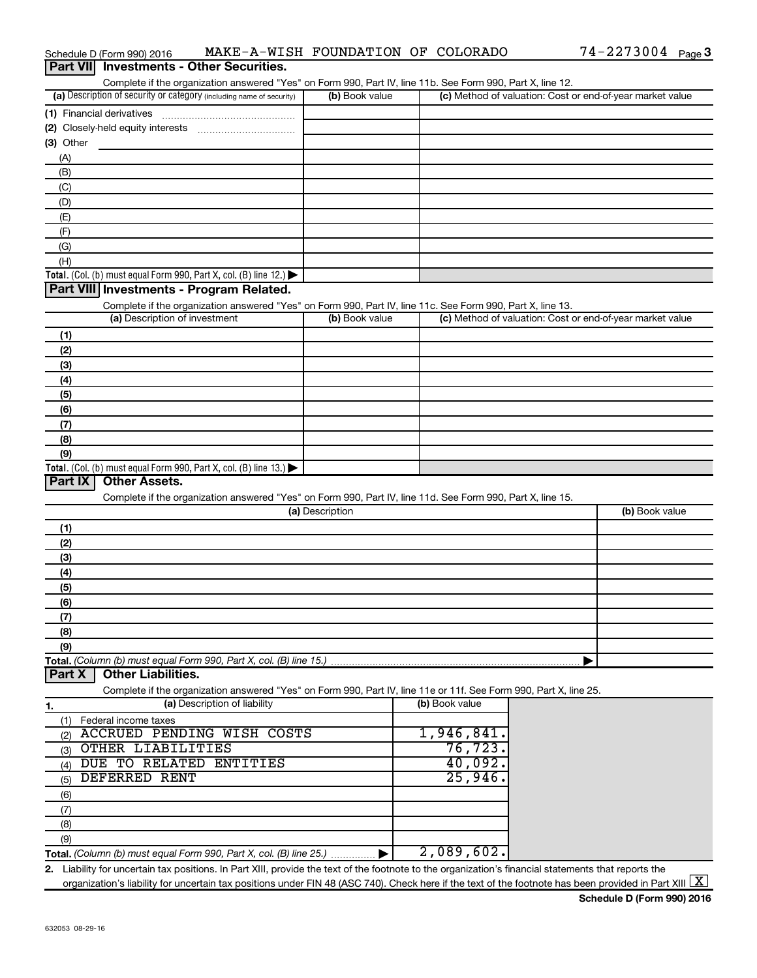| <b>Part VII</b> Investments - Other Securities.                                                                                                                                    |                 |                |                                                           |
|------------------------------------------------------------------------------------------------------------------------------------------------------------------------------------|-----------------|----------------|-----------------------------------------------------------|
| Complete if the organization answered "Yes" on Form 990, Part IV, line 11b. See Form 990, Part X, line 12.<br>(a) Description of security or category (including name of security) | (b) Book value  |                | (c) Method of valuation: Cost or end-of-year market value |
| (1) Financial derivatives                                                                                                                                                          |                 |                |                                                           |
|                                                                                                                                                                                    |                 |                |                                                           |
| $(3)$ Other                                                                                                                                                                        |                 |                |                                                           |
| (A)                                                                                                                                                                                |                 |                |                                                           |
| (B)                                                                                                                                                                                |                 |                |                                                           |
| (C)                                                                                                                                                                                |                 |                |                                                           |
| (D)                                                                                                                                                                                |                 |                |                                                           |
| (E)                                                                                                                                                                                |                 |                |                                                           |
| (F)                                                                                                                                                                                |                 |                |                                                           |
| (G)                                                                                                                                                                                |                 |                |                                                           |
| (H)                                                                                                                                                                                |                 |                |                                                           |
| Total. (Col. (b) must equal Form 990, Part X, col. (B) line 12.) $\blacktriangleright$                                                                                             |                 |                |                                                           |
| Part VIII Investments - Program Related.                                                                                                                                           |                 |                |                                                           |
| Complete if the organization answered "Yes" on Form 990, Part IV, line 11c. See Form 990, Part X, line 13.                                                                         |                 |                |                                                           |
| (a) Description of investment                                                                                                                                                      | (b) Book value  |                | (c) Method of valuation: Cost or end-of-year market value |
| (1)                                                                                                                                                                                |                 |                |                                                           |
| (2)                                                                                                                                                                                |                 |                |                                                           |
| (3)                                                                                                                                                                                |                 |                |                                                           |
| (4)                                                                                                                                                                                |                 |                |                                                           |
| (5)                                                                                                                                                                                |                 |                |                                                           |
| (6)                                                                                                                                                                                |                 |                |                                                           |
| (7)                                                                                                                                                                                |                 |                |                                                           |
| (8)                                                                                                                                                                                |                 |                |                                                           |
| (9)                                                                                                                                                                                |                 |                |                                                           |
| Total. (Col. (b) must equal Form 990, Part X, col. (B) line 13.) $\blacktriangleright$                                                                                             |                 |                |                                                           |
| <b>Part IX</b><br><b>Other Assets.</b>                                                                                                                                             |                 |                |                                                           |
| Complete if the organization answered "Yes" on Form 990, Part IV, line 11d. See Form 990, Part X, line 15.                                                                         | (a) Description |                | (b) Book value                                            |
|                                                                                                                                                                                    |                 |                |                                                           |
| (1)                                                                                                                                                                                |                 |                |                                                           |
| (2)                                                                                                                                                                                |                 |                |                                                           |
| (3)                                                                                                                                                                                |                 |                |                                                           |
| (4)                                                                                                                                                                                |                 |                |                                                           |
| (5)                                                                                                                                                                                |                 |                |                                                           |
| (6)                                                                                                                                                                                |                 |                |                                                           |
| (7)                                                                                                                                                                                |                 |                |                                                           |
| (8)<br>(9)                                                                                                                                                                         |                 |                |                                                           |
| Total. (Column (b) must equal Form 990, Part X, col. (B) line 15.)                                                                                                                 |                 |                |                                                           |
| <b>Part X</b><br><b>Other Liabilities.</b>                                                                                                                                         |                 |                |                                                           |
| Complete if the organization answered "Yes" on Form 990, Part IV, line 11e or 11f. See Form 990, Part X, line 25.                                                                  |                 |                |                                                           |
| (a) Description of liability<br>1.                                                                                                                                                 |                 | (b) Book value |                                                           |
| Federal income taxes<br>(1)                                                                                                                                                        |                 |                |                                                           |
| <b>ACCRUED PENDING WISH COSTS</b><br>(2)                                                                                                                                           |                 | 1,946,841.     |                                                           |
| OTHER LIABILITIES<br>(3)                                                                                                                                                           |                 | 76, 723.       |                                                           |
| DUE TO RELATED ENTITIES<br>(4)                                                                                                                                                     |                 | 40,092.        |                                                           |
| <b>DEFERRED RENT</b><br>(5)                                                                                                                                                        |                 | 25,946.        |                                                           |
| (6)                                                                                                                                                                                |                 |                |                                                           |
| (7)                                                                                                                                                                                |                 |                |                                                           |
| (8)                                                                                                                                                                                |                 |                |                                                           |
| (9)                                                                                                                                                                                |                 |                |                                                           |
| Total. (Column (b) must equal Form 990, Part X, col. (B) line 25.) ▶                                                                                                               |                 | 2,089,602.     |                                                           |
| 2. Liability for uncertain tax positions. In Part XIII, provide the text of the footnote to the organization's financial statements that reports the                               |                 |                |                                                           |

organization's liability for uncertain tax positions under FIN 48 (ASC 740). Check here if the text of the footnote has been provided in Part XIII  $\boxed{\text{X}}$ 

### Schedule D (Form 990) 2016 MAKE-A-WISH FOUNDATION OF COLORADO 74-2273004 Page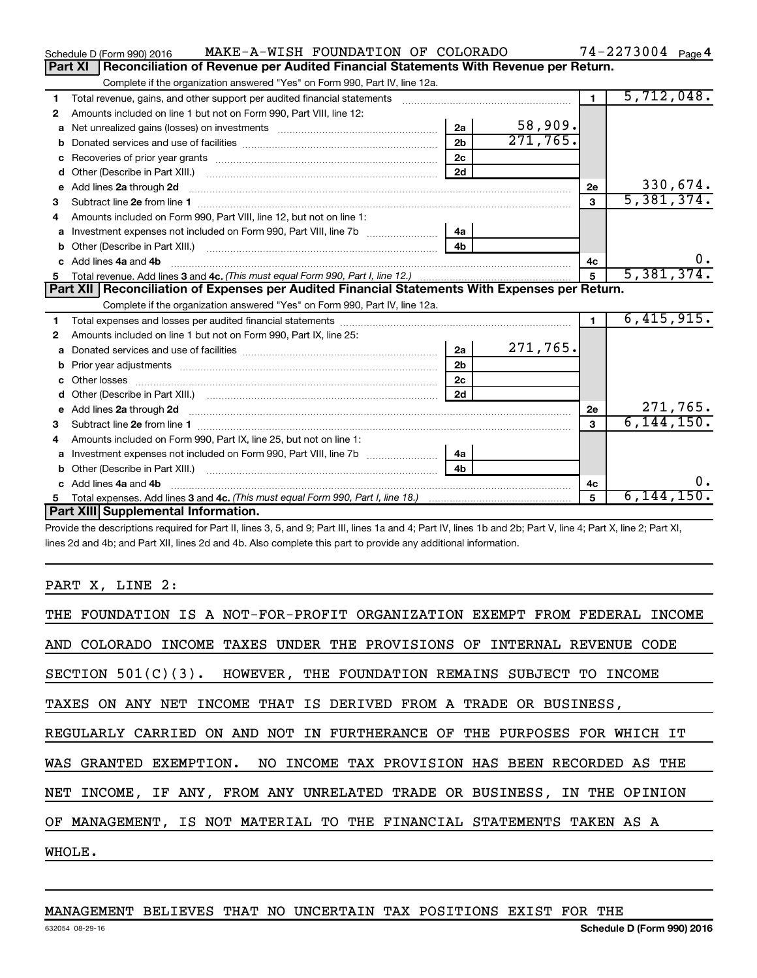|    | MAKE-A-WISH FOUNDATION OF COLORADO<br>Schedule D (Form 990) 2016                                                                                                |                |          |                | $74 - 2273004$ Page 4 |
|----|-----------------------------------------------------------------------------------------------------------------------------------------------------------------|----------------|----------|----------------|-----------------------|
|    | Reconciliation of Revenue per Audited Financial Statements With Revenue per Return.<br><b>Part XI</b>                                                           |                |          |                |                       |
|    | Complete if the organization answered "Yes" on Form 990, Part IV, line 12a.                                                                                     |                |          |                |                       |
| 1  | Total revenue, gains, and other support per audited financial statements [111] [11] Total revenue, gains, and other support per audited financial statements    |                |          | $\mathbf{1}$   | 5,712,048.            |
| 2  | Amounts included on line 1 but not on Form 990, Part VIII, line 12:                                                                                             |                |          |                |                       |
| a  |                                                                                                                                                                 | 2a             | 58,909.  |                |                       |
|    |                                                                                                                                                                 | 2 <sub>b</sub> | 271,765. |                |                       |
| c  |                                                                                                                                                                 | 2 <sub>c</sub> |          |                |                       |
| d  |                                                                                                                                                                 | 2d             |          |                |                       |
| e  | Add lines 2a through 2d <b>must be a constructed as a constructed in the S2a</b> through 2d <b>must be a constructed as a constructed in the S2a</b> through 2d |                |          | 2e             | 330,674.              |
| З. |                                                                                                                                                                 |                |          | 3              | 5,381,374.            |
|    | Amounts included on Form 990, Part VIII, line 12, but not on line 1:                                                                                            |                |          |                |                       |
| a  |                                                                                                                                                                 | 4a             |          |                |                       |
| b  |                                                                                                                                                                 | 4 <sub>h</sub> |          |                |                       |
| c. | Add lines 4a and 4b                                                                                                                                             |                |          | 4с             | υ.                    |
| 5  |                                                                                                                                                                 |                |          | $\overline{5}$ | 5,381,374.            |
|    |                                                                                                                                                                 |                |          |                |                       |
|    | Part XII   Reconciliation of Expenses per Audited Financial Statements With Expenses per Return.                                                                |                |          |                |                       |
|    | Complete if the organization answered "Yes" on Form 990, Part IV, line 12a.                                                                                     |                |          |                |                       |
| 1  |                                                                                                                                                                 |                |          | $\blacksquare$ | 6,415,915.            |
| 2  | Amounts included on line 1 but not on Form 990, Part IX, line 25:                                                                                               |                |          |                |                       |
| a  |                                                                                                                                                                 | 2a             | 271,765. |                |                       |
| b  |                                                                                                                                                                 | 2 <sub>b</sub> |          |                |                       |
| c  |                                                                                                                                                                 | 2c             |          |                |                       |
|    |                                                                                                                                                                 | 2d             |          |                |                       |
| е  |                                                                                                                                                                 |                |          | 2e             | 271,765.              |
| 3  | Add lines 2a through 2d <b>contract and a contract and a contract a</b> contract a contract and a contract a contract a                                         |                |          | $\mathbf{a}$   | 6, 144, 150.          |
| 4  | Amounts included on Form 990, Part IX, line 25, but not on line 1:                                                                                              |                |          |                |                       |
| a  | Investment expenses not included on Form 990, Part VIII, line 7b [100] [100] [100] [100] [100] [100] [100] [10                                                  | 4a             |          |                |                       |
|    |                                                                                                                                                                 | 4b             |          |                |                       |
|    | Add lines 4a and 4b                                                                                                                                             |                |          | 4с             | Ο.                    |
| 5  | Part XIII Supplemental Information.                                                                                                                             |                |          | 5              | $6,144,150$ .         |

Provide the descriptions required for Part II, lines 3, 5, and 9; Part III, lines 1a and 4; Part IV, lines 1b and 2b; Part V, line 4; Part X, line 2; Part XI, lines 2d and 4b; and Part XII, lines 2d and 4b. Also complete this part to provide any additional information.

PART X, LINE 2:

# MANAGEMENT BELIEVES THAT NO UNCERTAIN TAX POSITIONS EXIST FOR THE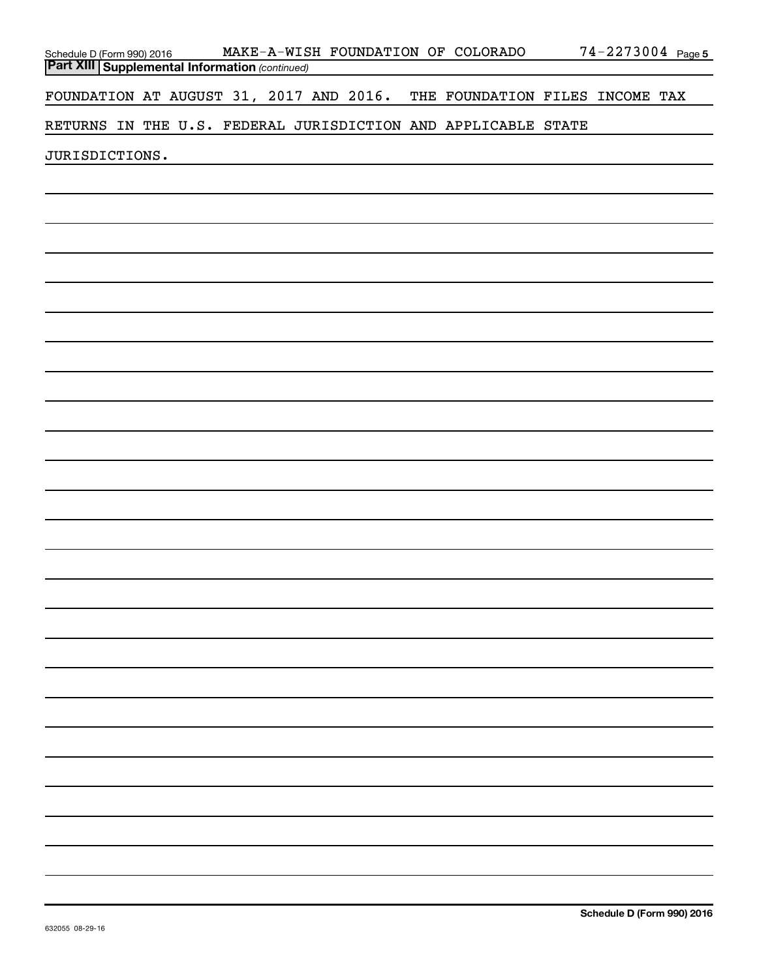| Schedule D (Form 990) 2016                            |  |  |  |  | MAKE-A-WISH FOUNDATION OF COLORADO                            | 74-2273004 Page 5 |  |
|-------------------------------------------------------|--|--|--|--|---------------------------------------------------------------|-------------------|--|
| <b>Part XIII Supplemental Information (continued)</b> |  |  |  |  |                                                               |                   |  |
| FOUNDATION AT AUGUST 31, 2017 AND 2016.               |  |  |  |  | THE FOUNDATION FILES INCOME TAX                               |                   |  |
|                                                       |  |  |  |  | RETURNS IN THE U.S. FEDERAL JURISDICTION AND APPLICABLE STATE |                   |  |
| JURISDICTIONS.                                        |  |  |  |  |                                                               |                   |  |
|                                                       |  |  |  |  |                                                               |                   |  |
|                                                       |  |  |  |  |                                                               |                   |  |
|                                                       |  |  |  |  |                                                               |                   |  |
|                                                       |  |  |  |  |                                                               |                   |  |
|                                                       |  |  |  |  |                                                               |                   |  |
|                                                       |  |  |  |  |                                                               |                   |  |
|                                                       |  |  |  |  |                                                               |                   |  |
|                                                       |  |  |  |  |                                                               |                   |  |
|                                                       |  |  |  |  |                                                               |                   |  |
|                                                       |  |  |  |  |                                                               |                   |  |
|                                                       |  |  |  |  |                                                               |                   |  |
|                                                       |  |  |  |  |                                                               |                   |  |
|                                                       |  |  |  |  |                                                               |                   |  |
|                                                       |  |  |  |  |                                                               |                   |  |
|                                                       |  |  |  |  |                                                               |                   |  |
|                                                       |  |  |  |  |                                                               |                   |  |
|                                                       |  |  |  |  |                                                               |                   |  |
|                                                       |  |  |  |  |                                                               |                   |  |
|                                                       |  |  |  |  |                                                               |                   |  |
|                                                       |  |  |  |  |                                                               |                   |  |
|                                                       |  |  |  |  |                                                               |                   |  |
|                                                       |  |  |  |  |                                                               |                   |  |
|                                                       |  |  |  |  |                                                               |                   |  |
|                                                       |  |  |  |  |                                                               |                   |  |
|                                                       |  |  |  |  |                                                               |                   |  |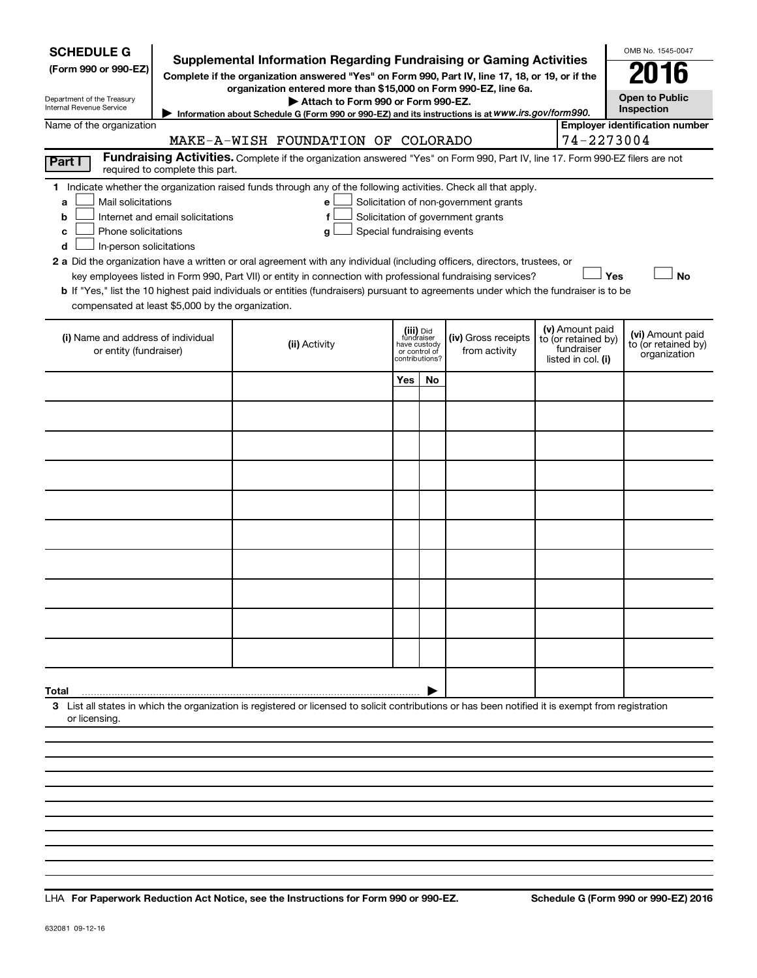| <b>SCHEDULE G</b><br>(Form 990 or 990-EZ)<br>Department of the Treasury<br>Internal Revenue Service                                                                                                                                                                                                                                                                                                                                                                                                                                                                                                                                                                                                                                                                                                                                              | <b>Supplemental Information Regarding Fundraising or Gaming Activities</b><br>Complete if the organization answered "Yes" on Form 990, Part IV, line 17, 18, or 19, or if the<br>organization entered more than \$15,000 on Form 990-EZ, line 6a.<br>Attach to Form 990 or Form 990-EZ.<br>Information about Schedule G (Form 990 or 990-EZ) and its instructions is at WWW.irs.gov/form990. |                                                                                                                                                    |                                                                            |    |                                      |                                                                            |  |                                                         |  |  |  |
|--------------------------------------------------------------------------------------------------------------------------------------------------------------------------------------------------------------------------------------------------------------------------------------------------------------------------------------------------------------------------------------------------------------------------------------------------------------------------------------------------------------------------------------------------------------------------------------------------------------------------------------------------------------------------------------------------------------------------------------------------------------------------------------------------------------------------------------------------|----------------------------------------------------------------------------------------------------------------------------------------------------------------------------------------------------------------------------------------------------------------------------------------------------------------------------------------------------------------------------------------------|----------------------------------------------------------------------------------------------------------------------------------------------------|----------------------------------------------------------------------------|----|--------------------------------------|----------------------------------------------------------------------------|--|---------------------------------------------------------|--|--|--|
| <b>Employer identification number</b><br>Name of the organization                                                                                                                                                                                                                                                                                                                                                                                                                                                                                                                                                                                                                                                                                                                                                                                |                                                                                                                                                                                                                                                                                                                                                                                              |                                                                                                                                                    |                                                                            |    |                                      |                                                                            |  |                                                         |  |  |  |
| 74-2273004<br>MAKE-A-WISH FOUNDATION OF COLORADO<br>Fundraising Activities. Complete if the organization answered "Yes" on Form 990, Part IV, line 17. Form 990-EZ filers are not                                                                                                                                                                                                                                                                                                                                                                                                                                                                                                                                                                                                                                                                |                                                                                                                                                                                                                                                                                                                                                                                              |                                                                                                                                                    |                                                                            |    |                                      |                                                                            |  |                                                         |  |  |  |
| Part I<br>required to complete this part.                                                                                                                                                                                                                                                                                                                                                                                                                                                                                                                                                                                                                                                                                                                                                                                                        |                                                                                                                                                                                                                                                                                                                                                                                              |                                                                                                                                                    |                                                                            |    |                                      |                                                                            |  |                                                         |  |  |  |
| 1 Indicate whether the organization raised funds through any of the following activities. Check all that apply.<br>Mail solicitations<br>Solicitation of non-government grants<br>a<br>е<br>Solicitation of government grants<br>Internet and email solicitations<br>b<br>f<br>Special fundraising events<br>Phone solicitations<br>c<br>g<br>In-person solicitations<br>d<br>2 a Did the organization have a written or oral agreement with any individual (including officers, directors, trustees, or<br>Yes<br><b>No</b><br>key employees listed in Form 990, Part VII) or entity in connection with professional fundraising services?<br><b>b</b> If "Yes," list the 10 highest paid individuals or entities (fundraisers) pursuant to agreements under which the fundraiser is to be<br>compensated at least \$5,000 by the organization. |                                                                                                                                                                                                                                                                                                                                                                                              |                                                                                                                                                    |                                                                            |    |                                      |                                                                            |  |                                                         |  |  |  |
| (i) Name and address of individual<br>or entity (fundraiser)                                                                                                                                                                                                                                                                                                                                                                                                                                                                                                                                                                                                                                                                                                                                                                                     |                                                                                                                                                                                                                                                                                                                                                                                              | (ii) Activity                                                                                                                                      | (iii) Did<br>fundraiser<br>have custody<br>or control of<br>contributions? |    | (iv) Gross receipts<br>from activity | (v) Amount paid<br>to (or retained by)<br>fundraiser<br>listed in col. (i) |  | (vi) Amount paid<br>to (or retained by)<br>organization |  |  |  |
|                                                                                                                                                                                                                                                                                                                                                                                                                                                                                                                                                                                                                                                                                                                                                                                                                                                  |                                                                                                                                                                                                                                                                                                                                                                                              |                                                                                                                                                    | Yes                                                                        | No |                                      |                                                                            |  |                                                         |  |  |  |
|                                                                                                                                                                                                                                                                                                                                                                                                                                                                                                                                                                                                                                                                                                                                                                                                                                                  |                                                                                                                                                                                                                                                                                                                                                                                              |                                                                                                                                                    |                                                                            |    |                                      |                                                                            |  |                                                         |  |  |  |
|                                                                                                                                                                                                                                                                                                                                                                                                                                                                                                                                                                                                                                                                                                                                                                                                                                                  |                                                                                                                                                                                                                                                                                                                                                                                              |                                                                                                                                                    |                                                                            |    |                                      |                                                                            |  |                                                         |  |  |  |
|                                                                                                                                                                                                                                                                                                                                                                                                                                                                                                                                                                                                                                                                                                                                                                                                                                                  |                                                                                                                                                                                                                                                                                                                                                                                              |                                                                                                                                                    |                                                                            |    |                                      |                                                                            |  |                                                         |  |  |  |
|                                                                                                                                                                                                                                                                                                                                                                                                                                                                                                                                                                                                                                                                                                                                                                                                                                                  |                                                                                                                                                                                                                                                                                                                                                                                              |                                                                                                                                                    |                                                                            |    |                                      |                                                                            |  |                                                         |  |  |  |
|                                                                                                                                                                                                                                                                                                                                                                                                                                                                                                                                                                                                                                                                                                                                                                                                                                                  |                                                                                                                                                                                                                                                                                                                                                                                              |                                                                                                                                                    |                                                                            |    |                                      |                                                                            |  |                                                         |  |  |  |
|                                                                                                                                                                                                                                                                                                                                                                                                                                                                                                                                                                                                                                                                                                                                                                                                                                                  |                                                                                                                                                                                                                                                                                                                                                                                              |                                                                                                                                                    |                                                                            |    |                                      |                                                                            |  |                                                         |  |  |  |
|                                                                                                                                                                                                                                                                                                                                                                                                                                                                                                                                                                                                                                                                                                                                                                                                                                                  |                                                                                                                                                                                                                                                                                                                                                                                              |                                                                                                                                                    |                                                                            |    |                                      |                                                                            |  |                                                         |  |  |  |
|                                                                                                                                                                                                                                                                                                                                                                                                                                                                                                                                                                                                                                                                                                                                                                                                                                                  |                                                                                                                                                                                                                                                                                                                                                                                              |                                                                                                                                                    |                                                                            |    |                                      |                                                                            |  |                                                         |  |  |  |
|                                                                                                                                                                                                                                                                                                                                                                                                                                                                                                                                                                                                                                                                                                                                                                                                                                                  |                                                                                                                                                                                                                                                                                                                                                                                              |                                                                                                                                                    |                                                                            |    |                                      |                                                                            |  |                                                         |  |  |  |
|                                                                                                                                                                                                                                                                                                                                                                                                                                                                                                                                                                                                                                                                                                                                                                                                                                                  |                                                                                                                                                                                                                                                                                                                                                                                              |                                                                                                                                                    |                                                                            |    |                                      |                                                                            |  |                                                         |  |  |  |
| Total<br>or licensing                                                                                                                                                                                                                                                                                                                                                                                                                                                                                                                                                                                                                                                                                                                                                                                                                            |                                                                                                                                                                                                                                                                                                                                                                                              | 3 List all states in which the organization is registered or licensed to solicit contributions or has been notified it is exempt from registration |                                                                            |    |                                      |                                                                            |  |                                                         |  |  |  |
|                                                                                                                                                                                                                                                                                                                                                                                                                                                                                                                                                                                                                                                                                                                                                                                                                                                  |                                                                                                                                                                                                                                                                                                                                                                                              |                                                                                                                                                    |                                                                            |    |                                      |                                                                            |  |                                                         |  |  |  |
|                                                                                                                                                                                                                                                                                                                                                                                                                                                                                                                                                                                                                                                                                                                                                                                                                                                  |                                                                                                                                                                                                                                                                                                                                                                                              |                                                                                                                                                    |                                                                            |    |                                      |                                                                            |  |                                                         |  |  |  |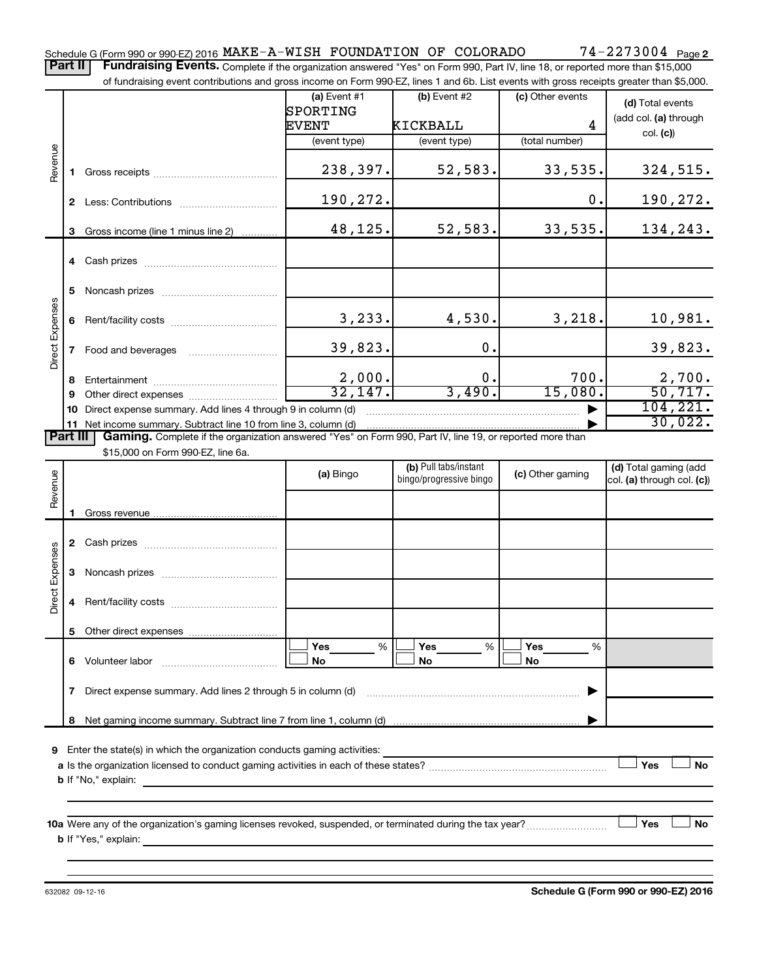Part II | Fundraising Events. Complete if the organization answered "Yes" on Form 990, Part IV, line 18, or reported more than \$15,000

|                 |        | of fundraising event contributions and gross income on Form 990-EZ, lines 1 and 6b. List events with gross receipts greater than \$5,000. |                            |                         |                  |                            |
|-----------------|--------|-------------------------------------------------------------------------------------------------------------------------------------------|----------------------------|-------------------------|------------------|----------------------------|
|                 |        |                                                                                                                                           | (a) Event $#1$<br>SPORTING | $(b)$ Event #2          | (c) Other events | (d) Total events           |
|                 |        |                                                                                                                                           | <b>EVENT</b>               | KICKBALL                | 4                | (add col. (a) through      |
|                 |        |                                                                                                                                           | (event type)               | (event type)            | (total number)   | col. (c)                   |
|                 |        |                                                                                                                                           |                            |                         |                  |                            |
| Revenue         | 1.     |                                                                                                                                           | 238,397.                   | 52,583.                 | 33,535.          | 324,515.                   |
|                 |        |                                                                                                                                           |                            |                         |                  |                            |
|                 |        |                                                                                                                                           | 190,272.                   |                         | $\mathbf 0$ .    | 190,272.                   |
|                 |        |                                                                                                                                           |                            |                         |                  |                            |
|                 | 3      | Gross income (line 1 minus line 2)                                                                                                        | 48,125.                    | 52,583.                 | 33,535.          | 134,243.                   |
|                 |        |                                                                                                                                           |                            |                         |                  |                            |
|                 | 5      |                                                                                                                                           |                            |                         |                  |                            |
|                 | 6      |                                                                                                                                           | 3,233.                     | 4,530.                  | 3,218.           | 10,981.                    |
| Direct Expenses | 7      | Food and beverages                                                                                                                        | 39,823.                    | 0.                      |                  | 39,823.                    |
|                 |        |                                                                                                                                           |                            | 0.                      | 700.             | 2,700.                     |
|                 | 8<br>9 |                                                                                                                                           | $\frac{2,000}{32,147}$     | 3,490.                  | 15,080.          | 50, 717.                   |
|                 | 10     | Direct expense summary. Add lines 4 through 9 in column (d)                                                                               |                            |                         |                  | 104, 221.                  |
|                 |        | 11 Net income summary. Subtract line 10 from line 3, column (d)                                                                           |                            |                         |                  | 30,022.                    |
| <b>Part III</b> |        | Gaming. Complete if the organization answered "Yes" on Form 990, Part IV, line 19, or reported more than                                  |                            |                         |                  |                            |
|                 |        | \$15,000 on Form 990-EZ, line 6a.                                                                                                         |                            |                         |                  |                            |
|                 |        |                                                                                                                                           | (a) Bingo                  | (b) Pull tabs/instant   | (c) Other gaming | (d) Total gaming (add      |
| Revenue         |        |                                                                                                                                           |                            | bingo/progressive bingo |                  | col. (a) through col. (c)) |
|                 |        |                                                                                                                                           |                            |                         |                  |                            |
|                 | 1.     |                                                                                                                                           |                            |                         |                  |                            |
|                 |        |                                                                                                                                           |                            |                         |                  |                            |
| Direct Expenses | 3      |                                                                                                                                           |                            |                         |                  |                            |
|                 | 4      |                                                                                                                                           |                            |                         |                  |                            |
|                 |        | 5 Other direct expenses                                                                                                                   |                            |                         |                  |                            |
|                 | 6      | Volunteer labor                                                                                                                           | %<br>Yes<br>No             | Yes<br>%<br>No          | Yes<br>%<br>No   |                            |
|                 |        |                                                                                                                                           |                            |                         |                  |                            |
|                 | 7      | Direct expense summary. Add lines 2 through 5 in column (d)                                                                               |                            |                         |                  |                            |

**9** Enter the state(s) in which the organization conducts gaming activities:

| a Is the organization licensed to conduct gaming activities in each of these states? |  | No |
|--------------------------------------------------------------------------------------|--|----|
| <b>b</b> If "No," explain:                                                           |  |    |

**10 a Yes No** Were any of the organization's gaming licenses revoked, suspended, or terminated during the tax year? ~~~~~~~~~ † † **b** If "Yes," explain:

632082 09-12-16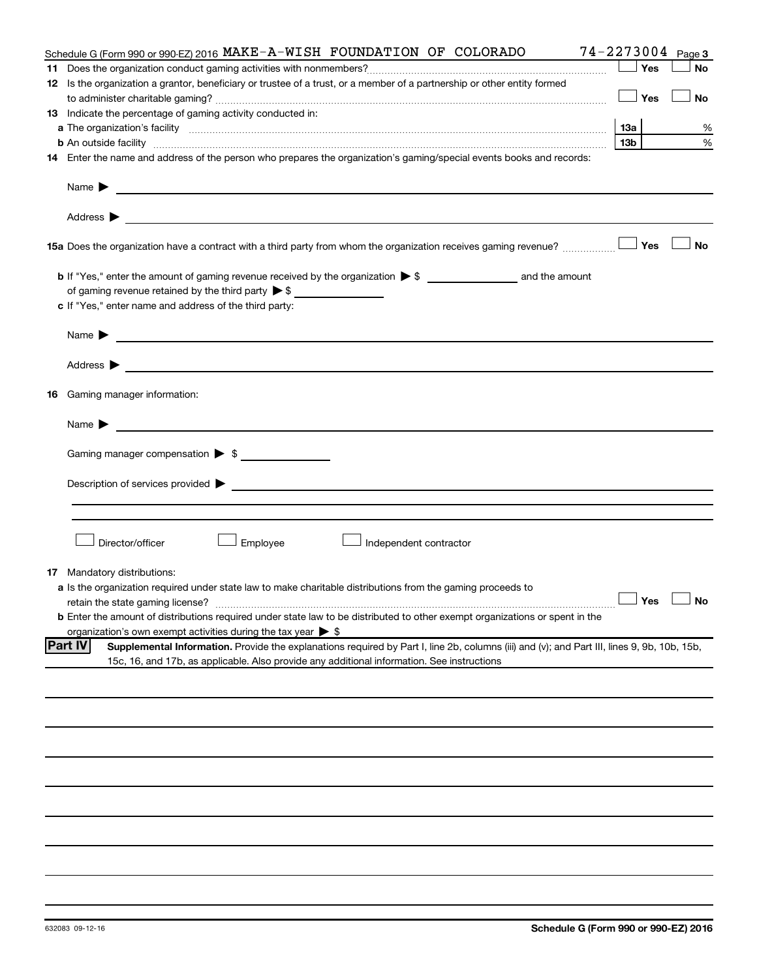|    | Schedule G (Form 990 or 990-EZ) 2016 MAKE-A-WISH FOUNDATION OF COLORADO                                                                                                                                                        | $74 - 2273004$ Page 3 |           |
|----|--------------------------------------------------------------------------------------------------------------------------------------------------------------------------------------------------------------------------------|-----------------------|-----------|
|    |                                                                                                                                                                                                                                | Yes                   | <b>No</b> |
|    | 12 Is the organization a grantor, beneficiary or trustee of a trust, or a member of a partnership or other entity formed                                                                                                       |                       |           |
|    |                                                                                                                                                                                                                                | Yes                   | No        |
|    | 13 Indicate the percentage of gaming activity conducted in:                                                                                                                                                                    |                       |           |
|    |                                                                                                                                                                                                                                | 1За                   | %         |
|    | <b>b</b> An outside facility <i>www.communicality www.communicality.communicality www.communicality www.communicality.communicality www.communicality.com</i>                                                                  | 13b                   | %         |
|    | 14 Enter the name and address of the person who prepares the organization's gaming/special events books and records:                                                                                                           |                       |           |
|    | Name $\blacktriangleright$<br><u>and the control of the control of the control of the control of the control of the control of the control of</u>                                                                              |                       |           |
|    | Address ><br><u> 1990 - Johann John Stoff, amerikansk politiker (d. 1980)</u>                                                                                                                                                  |                       |           |
|    | <b>15a</b> Does the organization have a contract with a third party from whom the organization receives gaming revenue? $\ldots$                                                                                               |                       | <b>No</b> |
|    |                                                                                                                                                                                                                                |                       |           |
|    | of gaming revenue retained by the third party $\triangleright$ \$                                                                                                                                                              |                       |           |
|    | c If "Yes," enter name and address of the third party:                                                                                                                                                                         |                       |           |
|    |                                                                                                                                                                                                                                |                       |           |
|    | <u>and the contract of the contract of the contract of the contract of the contract of the contract of the contract of</u><br>Name $\blacktriangleright$                                                                       |                       |           |
|    | Address $\blacktriangleright$<br><u>and the contract of the contract of the contract of the contract of the contract of the contract of the contract of</u>                                                                    |                       |           |
| 16 | Gaming manager information:                                                                                                                                                                                                    |                       |           |
|    | <u> 1989 - John Harry Harry Harry Harry Harry Harry Harry Harry Harry Harry Harry Harry Harry Harry Harry Harry</u><br>Name $\blacktriangleright$                                                                              |                       |           |
|    | Gaming manager compensation > \$                                                                                                                                                                                               |                       |           |
|    |                                                                                                                                                                                                                                |                       |           |
|    | Description of services provided states and the control of the control of the control of services provided states and the control of the control of the control of the control of the control of the control of the control of |                       |           |
|    |                                                                                                                                                                                                                                |                       |           |
|    |                                                                                                                                                                                                                                |                       |           |
|    | Director/officer<br>Employee<br>Independent contractor                                                                                                                                                                         |                       |           |
| 17 | Mandatory distributions:                                                                                                                                                                                                       |                       |           |
|    | a Is the organization required under state law to make charitable distributions from the gaming proceeds to                                                                                                                    |                       |           |
|    | retain the state gaming license?                                                                                                                                                                                               | $\Box$ Yes $\ \bot$   |           |
|    | <b>b</b> Enter the amount of distributions required under state law to be distributed to other exempt organizations or spent in the                                                                                            |                       |           |
|    | organization's own exempt activities during the tax year $\triangleright$ \$                                                                                                                                                   |                       |           |
|    | <b>Part IV</b><br>Supplemental Information. Provide the explanations required by Part I, line 2b, columns (iii) and (v); and Part III, lines 9, 9b, 10b, 15b,                                                                  |                       |           |
|    | 15c, 16, and 17b, as applicable. Also provide any additional information. See instructions                                                                                                                                     |                       |           |
|    |                                                                                                                                                                                                                                |                       |           |
|    |                                                                                                                                                                                                                                |                       |           |
|    |                                                                                                                                                                                                                                |                       |           |
|    |                                                                                                                                                                                                                                |                       |           |
|    |                                                                                                                                                                                                                                |                       |           |
|    |                                                                                                                                                                                                                                |                       |           |
|    |                                                                                                                                                                                                                                |                       |           |
|    |                                                                                                                                                                                                                                |                       |           |
|    |                                                                                                                                                                                                                                |                       |           |
|    |                                                                                                                                                                                                                                |                       |           |
|    |                                                                                                                                                                                                                                |                       |           |
|    |                                                                                                                                                                                                                                |                       |           |
|    |                                                                                                                                                                                                                                |                       |           |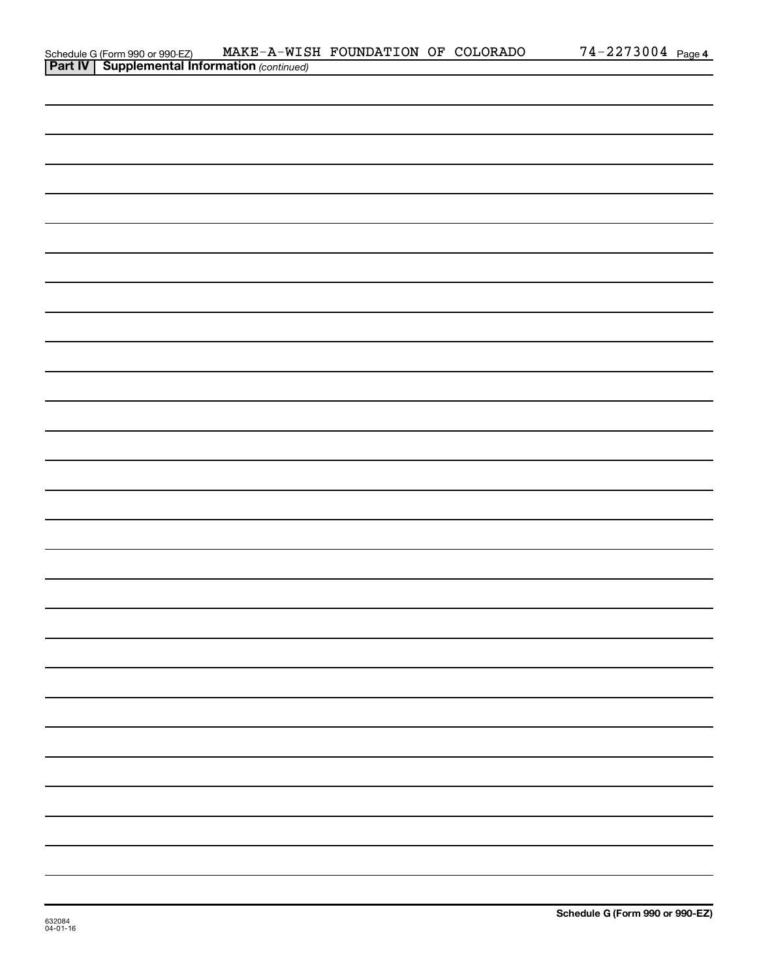|                                                                                                   | MAKE-A-WISH FOUNDATION OF COLORADO |  | $74 - 2273004$ Page 4 |  |
|---------------------------------------------------------------------------------------------------|------------------------------------|--|-----------------------|--|
| Schedule G (Form 990 or 990-EZ) MAKE-A-WIS<br><b>Part IV</b> Supplemental Information (continued) |                                    |  |                       |  |
|                                                                                                   |                                    |  |                       |  |
|                                                                                                   |                                    |  |                       |  |
|                                                                                                   |                                    |  |                       |  |
|                                                                                                   |                                    |  |                       |  |
|                                                                                                   |                                    |  |                       |  |
|                                                                                                   |                                    |  |                       |  |
|                                                                                                   |                                    |  |                       |  |
|                                                                                                   |                                    |  |                       |  |
|                                                                                                   |                                    |  |                       |  |
|                                                                                                   |                                    |  |                       |  |
|                                                                                                   |                                    |  |                       |  |
|                                                                                                   |                                    |  |                       |  |
|                                                                                                   |                                    |  |                       |  |
|                                                                                                   |                                    |  |                       |  |
|                                                                                                   |                                    |  |                       |  |
|                                                                                                   |                                    |  |                       |  |
|                                                                                                   |                                    |  |                       |  |
|                                                                                                   |                                    |  |                       |  |
|                                                                                                   |                                    |  |                       |  |
|                                                                                                   |                                    |  |                       |  |
|                                                                                                   |                                    |  |                       |  |
|                                                                                                   |                                    |  |                       |  |
|                                                                                                   |                                    |  |                       |  |
|                                                                                                   |                                    |  |                       |  |
|                                                                                                   |                                    |  |                       |  |
|                                                                                                   |                                    |  |                       |  |
|                                                                                                   |                                    |  |                       |  |
|                                                                                                   |                                    |  |                       |  |
|                                                                                                   |                                    |  |                       |  |
|                                                                                                   |                                    |  |                       |  |
|                                                                                                   |                                    |  |                       |  |
|                                                                                                   |                                    |  |                       |  |
|                                                                                                   |                                    |  |                       |  |
|                                                                                                   |                                    |  |                       |  |
|                                                                                                   |                                    |  |                       |  |
|                                                                                                   |                                    |  |                       |  |
|                                                                                                   |                                    |  |                       |  |
|                                                                                                   |                                    |  |                       |  |
|                                                                                                   |                                    |  |                       |  |
|                                                                                                   |                                    |  |                       |  |
|                                                                                                   |                                    |  |                       |  |
|                                                                                                   |                                    |  |                       |  |
|                                                                                                   |                                    |  |                       |  |
|                                                                                                   |                                    |  |                       |  |
|                                                                                                   |                                    |  |                       |  |
|                                                                                                   |                                    |  |                       |  |
|                                                                                                   |                                    |  |                       |  |
|                                                                                                   |                                    |  |                       |  |
|                                                                                                   |                                    |  |                       |  |
|                                                                                                   |                                    |  |                       |  |
|                                                                                                   |                                    |  |                       |  |
|                                                                                                   |                                    |  |                       |  |
|                                                                                                   |                                    |  |                       |  |
|                                                                                                   |                                    |  |                       |  |
|                                                                                                   |                                    |  |                       |  |
|                                                                                                   |                                    |  |                       |  |
|                                                                                                   |                                    |  |                       |  |
|                                                                                                   |                                    |  |                       |  |
|                                                                                                   |                                    |  |                       |  |
|                                                                                                   |                                    |  |                       |  |
|                                                                                                   |                                    |  |                       |  |
|                                                                                                   |                                    |  |                       |  |
|                                                                                                   |                                    |  |                       |  |
|                                                                                                   |                                    |  |                       |  |
|                                                                                                   |                                    |  |                       |  |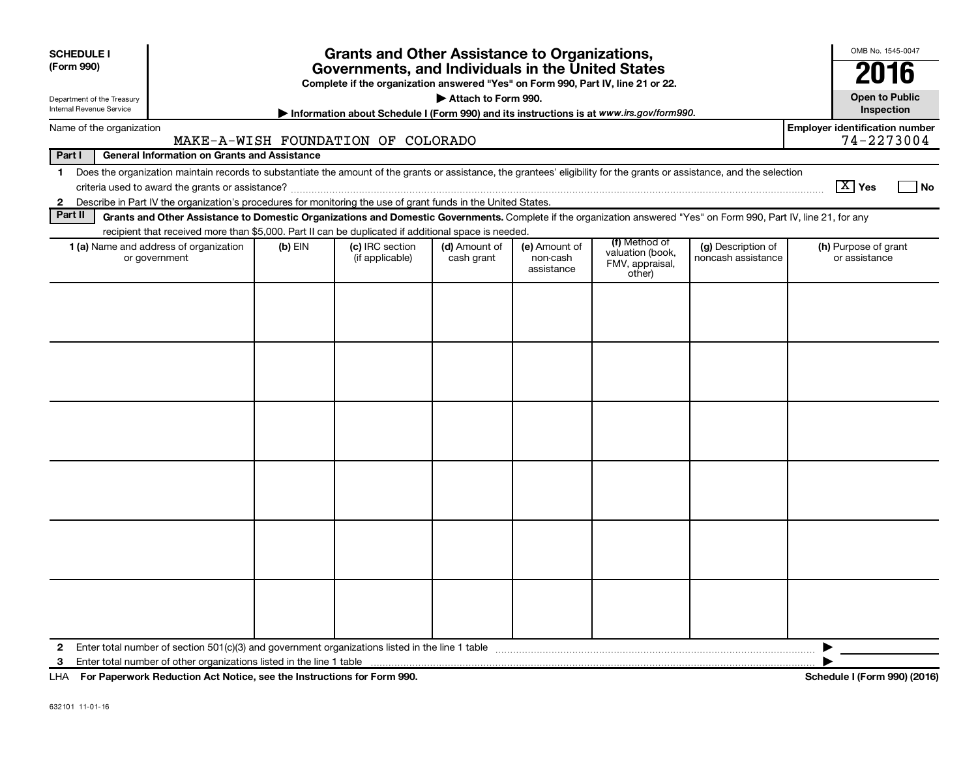| <b>Grants and Other Assistance to Organizations,</b><br><b>SCHEDULE I</b><br>(Form 990)<br>Governments, and Individuals in the United States<br>Complete if the organization answered "Yes" on Form 990, Part IV, line 21 or 22.<br>Attach to Form 990.<br>Department of the Treasury<br>Internal Revenue Service<br>Information about Schedule I (Form 990) and its instructions is at www.irs.gov/form990. |            |                                    |                             |                                         |                                                                |                                          |                                       |  |  |  |  |
|--------------------------------------------------------------------------------------------------------------------------------------------------------------------------------------------------------------------------------------------------------------------------------------------------------------------------------------------------------------------------------------------------------------|------------|------------------------------------|-----------------------------|-----------------------------------------|----------------------------------------------------------------|------------------------------------------|---------------------------------------|--|--|--|--|
| Name of the organization                                                                                                                                                                                                                                                                                                                                                                                     |            |                                    |                             |                                         |                                                                |                                          | <b>Employer identification number</b> |  |  |  |  |
| MAKE-A-WISH FOUNDATION OF COLORADO                                                                                                                                                                                                                                                                                                                                                                           | 74-2273004 |                                    |                             |                                         |                                                                |                                          |                                       |  |  |  |  |
| Part I<br><b>General Information on Grants and Assistance</b><br>Does the organization maintain records to substantiate the amount of the grants or assistance, the grantees' eligibility for the grants or assistance, and the selection                                                                                                                                                                    |            |                                    |                             |                                         |                                                                |                                          |                                       |  |  |  |  |
| $\mathbf 1$<br>Describe in Part IV the organization's procedures for monitoring the use of grant funds in the United States.<br>$\mathbf{2}$                                                                                                                                                                                                                                                                 |            |                                    |                             |                                         |                                                                |                                          | $X$ Yes<br><b>No</b>                  |  |  |  |  |
| Part II<br>Grants and Other Assistance to Domestic Organizations and Domestic Governments. Complete if the organization answered "Yes" on Form 990, Part IV, line 21, for any                                                                                                                                                                                                                                |            |                                    |                             |                                         |                                                                |                                          |                                       |  |  |  |  |
| recipient that received more than \$5,000. Part II can be duplicated if additional space is needed.                                                                                                                                                                                                                                                                                                          |            |                                    |                             |                                         |                                                                |                                          |                                       |  |  |  |  |
| 1 (a) Name and address of organization<br>or government                                                                                                                                                                                                                                                                                                                                                      | $(b)$ EIN  | (c) IRC section<br>(if applicable) | (d) Amount of<br>cash grant | (e) Amount of<br>non-cash<br>assistance | (f) Method of<br>valuation (book,<br>FMV, appraisal,<br>other) | (g) Description of<br>noncash assistance | (h) Purpose of grant<br>or assistance |  |  |  |  |
|                                                                                                                                                                                                                                                                                                                                                                                                              |            |                                    |                             |                                         |                                                                |                                          |                                       |  |  |  |  |
| 2<br>3                                                                                                                                                                                                                                                                                                                                                                                                       |            |                                    |                             |                                         |                                                                |                                          |                                       |  |  |  |  |

**For Paperwork Reduction Act Notice, see the Instructions for Form 990. Schedule I (Form 990) (2016)** LHA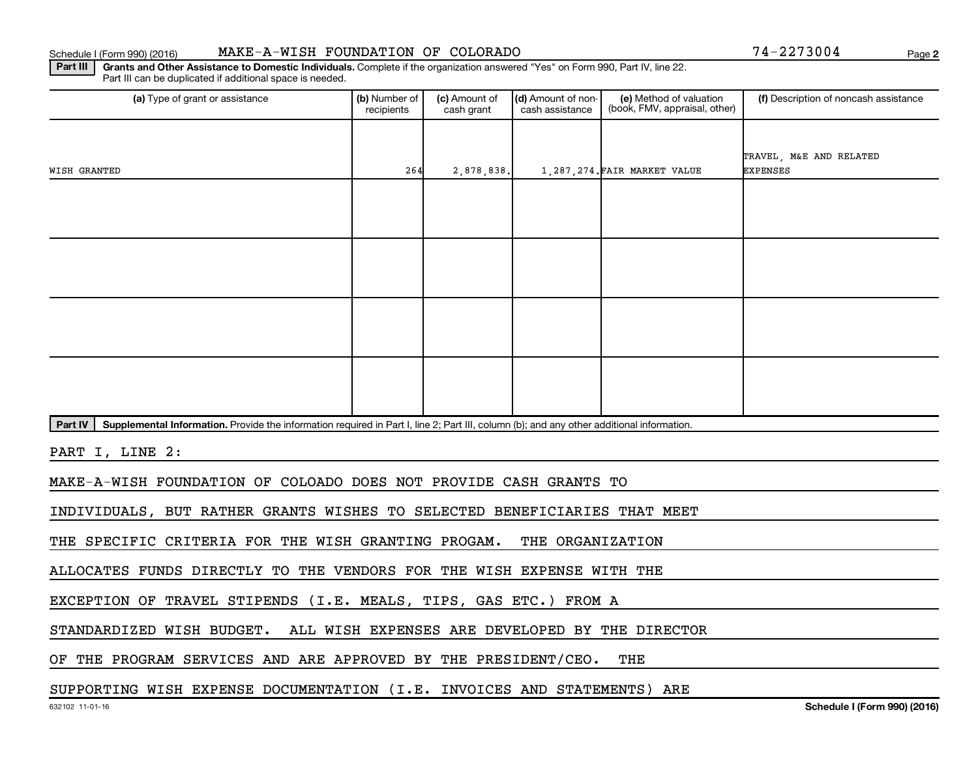#### Schedule I (Form 990) (2016) MAKE-A-WISH FOUNDATION OF COLORADO 74-2273004 Page

Part III | Grants and Other Assistance to Domestic Individuals. Complete if the organization answered "Yes" on Form 990, Part IV, line 22. Part III can be duplicated if additional space is needed.

| (a) Type of grant or assistance                                                                                                                      | (b) Number of<br>recipients | (c) Amount of<br>cash grant | (d) Amount of non-<br>cash assistance | (e) Method of valuation<br>(book, FMV, appraisal, other) | (f) Description of noncash assistance |  |  |
|------------------------------------------------------------------------------------------------------------------------------------------------------|-----------------------------|-----------------------------|---------------------------------------|----------------------------------------------------------|---------------------------------------|--|--|
| WISH GRANTED                                                                                                                                         | 264                         | 2,878,838.                  |                                       | 1,287,274. FAIR MARKET VALUE                             | TRAVEL, M&E AND RELATED<br>EXPENSES   |  |  |
|                                                                                                                                                      |                             |                             |                                       |                                                          |                                       |  |  |
|                                                                                                                                                      |                             |                             |                                       |                                                          |                                       |  |  |
|                                                                                                                                                      |                             |                             |                                       |                                                          |                                       |  |  |
|                                                                                                                                                      |                             |                             |                                       |                                                          |                                       |  |  |
| Part IV<br>Supplemental Information. Provide the information required in Part I, line 2; Part III, column (b); and any other additional information. |                             |                             |                                       |                                                          |                                       |  |  |
| PART I, LINE 2:                                                                                                                                      |                             |                             |                                       |                                                          |                                       |  |  |
| MAKE-A-WISH FOUNDATION OF COLOADO DOES NOT PROVIDE CASH GRANTS TO                                                                                    |                             |                             |                                       |                                                          |                                       |  |  |
| INDIVIDUALS, BUT RATHER GRANTS WISHES TO SELECTED BENEFICIARIES THAT MEET                                                                            |                             |                             |                                       |                                                          |                                       |  |  |
| THE SPECIFIC CRITERIA FOR THE WISH GRANTING PROGAM.<br>THE ORGANIZATION                                                                              |                             |                             |                                       |                                                          |                                       |  |  |
| ALLOCATES FUNDS DIRECTLY TO THE VENDORS FOR THE WISH EXPENSE WITH THE                                                                                |                             |                             |                                       |                                                          |                                       |  |  |
| EXCEPTION OF TRAVEL STIPENDS (I.E. MEALS, TIPS, GAS ETC.) FROM A                                                                                     |                             |                             |                                       |                                                          |                                       |  |  |
| STANDARDIZED WISH BUDGET. ALL WISH EXPENSES ARE DEVELOPED BY THE DIRECTOR                                                                            |                             |                             |                                       |                                                          |                                       |  |  |
|                                                                                                                                                      |                             |                             |                                       | $- - - -$                                                |                                       |  |  |

OF THE PROGRAM SERVICES AND ARE APPROVED BY THE PRESIDENT/CEO. THE

#### SUPPORTING WISH EXPENSE DOCUMENTATION (I.E. INVOICES AND STATEMENTS) ARE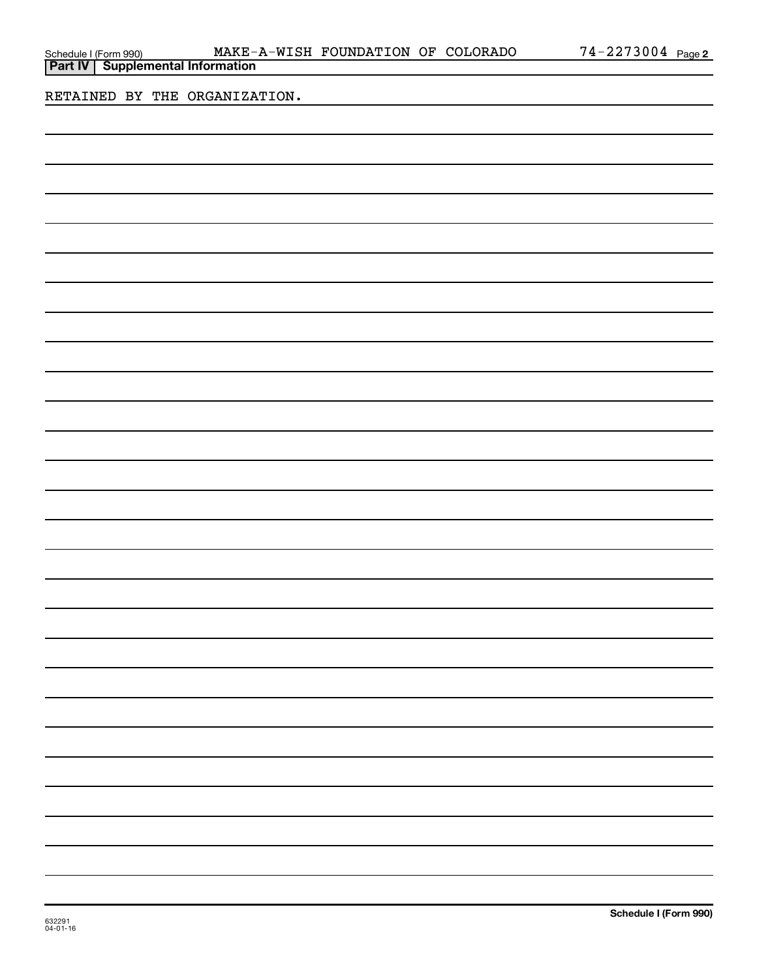| Schedule I (Form 990) |  |
|-----------------------|--|
|                       |  |

RETAINED BY THE ORGANIZATION.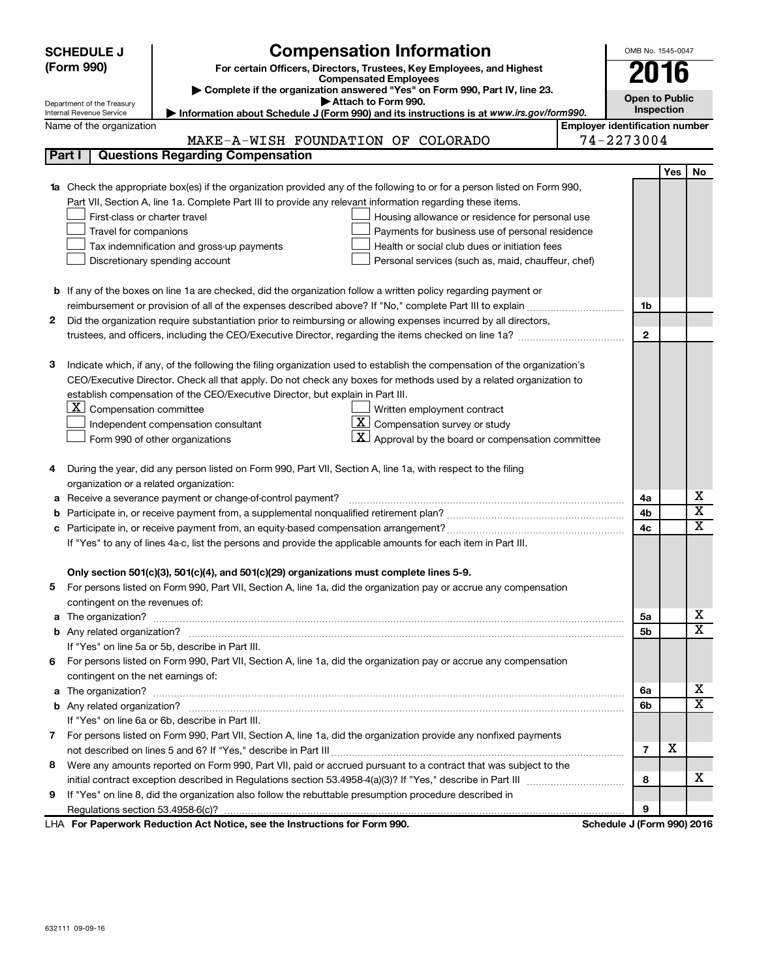|                                                                                                               | <b>SCHEDULE J</b>                                                                                          | <b>Compensation Information</b>                                                                                                                                                                                                         |      | OMB No. 1545-0047                                   |                         |                         |
|---------------------------------------------------------------------------------------------------------------|------------------------------------------------------------------------------------------------------------|-----------------------------------------------------------------------------------------------------------------------------------------------------------------------------------------------------------------------------------------|------|-----------------------------------------------------|-------------------------|-------------------------|
|                                                                                                               | (Form 990)<br>For certain Officers, Directors, Trustees, Key Employees, and Highest                        |                                                                                                                                                                                                                                         | 2016 |                                                     |                         |                         |
|                                                                                                               | <b>Compensated Employees</b><br>Complete if the organization answered "Yes" on Form 990, Part IV, line 23. |                                                                                                                                                                                                                                         |      |                                                     |                         |                         |
|                                                                                                               | Department of the Treasury                                                                                 | Attach to Form 990.                                                                                                                                                                                                                     |      | <b>Open to Public</b>                               |                         |                         |
|                                                                                                               | Internal Revenue Service                                                                                   | Information about Schedule J (Form 990) and its instructions is at www.irs.gov/form990.                                                                                                                                                 |      |                                                     | Inspection              |                         |
|                                                                                                               | Name of the organization                                                                                   |                                                                                                                                                                                                                                         |      | <b>Employer identification number</b><br>74-2273004 |                         |                         |
|                                                                                                               | Part I                                                                                                     | MAKE-A-WISH FOUNDATION OF COLORADO<br><b>Questions Regarding Compensation</b>                                                                                                                                                           |      |                                                     |                         |                         |
|                                                                                                               |                                                                                                            |                                                                                                                                                                                                                                         |      |                                                     |                         |                         |
|                                                                                                               |                                                                                                            |                                                                                                                                                                                                                                         |      |                                                     | Yes                     | No.                     |
|                                                                                                               |                                                                                                            | 1a Check the appropriate box(es) if the organization provided any of the following to or for a person listed on Form 990,<br>Part VII, Section A, line 1a. Complete Part III to provide any relevant information regarding these items. |      |                                                     |                         |                         |
|                                                                                                               | First-class or charter travel                                                                              | Housing allowance or residence for personal use                                                                                                                                                                                         |      |                                                     |                         |                         |
|                                                                                                               | Travel for companions                                                                                      | Payments for business use of personal residence                                                                                                                                                                                         |      |                                                     |                         |                         |
|                                                                                                               |                                                                                                            | Tax indemnification and gross-up payments<br>Health or social club dues or initiation fees                                                                                                                                              |      |                                                     |                         |                         |
|                                                                                                               |                                                                                                            | Discretionary spending account<br>Personal services (such as, maid, chauffeur, chef)                                                                                                                                                    |      |                                                     |                         |                         |
|                                                                                                               |                                                                                                            |                                                                                                                                                                                                                                         |      |                                                     |                         |                         |
|                                                                                                               |                                                                                                            | <b>b</b> If any of the boxes on line 1a are checked, did the organization follow a written policy regarding payment or                                                                                                                  |      |                                                     |                         |                         |
|                                                                                                               |                                                                                                            |                                                                                                                                                                                                                                         |      | 1b                                                  |                         |                         |
| 2                                                                                                             |                                                                                                            | Did the organization require substantiation prior to reimbursing or allowing expenses incurred by all directors,                                                                                                                        |      |                                                     |                         |                         |
|                                                                                                               |                                                                                                            |                                                                                                                                                                                                                                         |      | $\mathbf{2}$                                        |                         |                         |
|                                                                                                               |                                                                                                            |                                                                                                                                                                                                                                         |      |                                                     |                         |                         |
| 3                                                                                                             |                                                                                                            | Indicate which, if any, of the following the filing organization used to establish the compensation of the organization's                                                                                                               |      |                                                     |                         |                         |
|                                                                                                               |                                                                                                            | CEO/Executive Director. Check all that apply. Do not check any boxes for methods used by a related organization to                                                                                                                      |      |                                                     |                         |                         |
|                                                                                                               |                                                                                                            | establish compensation of the CEO/Executive Director, but explain in Part III.                                                                                                                                                          |      |                                                     |                         |                         |
|                                                                                                               | $ \mathbf{X} $ Compensation committee                                                                      | Written employment contract                                                                                                                                                                                                             |      |                                                     |                         |                         |
|                                                                                                               |                                                                                                            | $ \mathbf{X} $ Compensation survey or study<br>Independent compensation consultant                                                                                                                                                      |      |                                                     |                         |                         |
|                                                                                                               |                                                                                                            | $\mathbf{X}$ Approval by the board or compensation committee<br>Form 990 of other organizations                                                                                                                                         |      |                                                     |                         |                         |
|                                                                                                               |                                                                                                            |                                                                                                                                                                                                                                         |      |                                                     |                         |                         |
| 4                                                                                                             |                                                                                                            | During the year, did any person listed on Form 990, Part VII, Section A, line 1a, with respect to the filing                                                                                                                            |      |                                                     |                         |                         |
|                                                                                                               | organization or a related organization:                                                                    |                                                                                                                                                                                                                                         |      |                                                     |                         |                         |
| а                                                                                                             |                                                                                                            | Receive a severance payment or change-of-control payment?                                                                                                                                                                               |      | 4a                                                  |                         | х                       |
| b                                                                                                             |                                                                                                            |                                                                                                                                                                                                                                         | 4b   |                                                     | $\overline{\textbf{x}}$ |                         |
| с                                                                                                             |                                                                                                            |                                                                                                                                                                                                                                         |      |                                                     |                         | $\overline{\text{x}}$   |
| If "Yes" to any of lines 4a-c, list the persons and provide the applicable amounts for each item in Part III. |                                                                                                            |                                                                                                                                                                                                                                         |      |                                                     |                         |                         |
|                                                                                                               |                                                                                                            |                                                                                                                                                                                                                                         |      |                                                     |                         |                         |
|                                                                                                               |                                                                                                            | Only section 501(c)(3), 501(c)(4), and 501(c)(29) organizations must complete lines 5-9.                                                                                                                                                |      |                                                     |                         |                         |
|                                                                                                               |                                                                                                            | For persons listed on Form 990, Part VII, Section A, line 1a, did the organization pay or accrue any compensation                                                                                                                       |      |                                                     |                         |                         |
|                                                                                                               | contingent on the revenues of:                                                                             |                                                                                                                                                                                                                                         |      |                                                     |                         | X.                      |
|                                                                                                               |                                                                                                            |                                                                                                                                                                                                                                         |      | 5a                                                  |                         | X                       |
|                                                                                                               |                                                                                                            |                                                                                                                                                                                                                                         |      | 5b                                                  |                         |                         |
| 6                                                                                                             |                                                                                                            | If "Yes" on line 5a or 5b, describe in Part III.<br>For persons listed on Form 990, Part VII, Section A, line 1a, did the organization pay or accrue any compensation                                                                   |      |                                                     |                         |                         |
|                                                                                                               | contingent on the net earnings of:                                                                         |                                                                                                                                                                                                                                         |      |                                                     |                         |                         |
|                                                                                                               |                                                                                                            |                                                                                                                                                                                                                                         |      | 6a                                                  |                         | x                       |
|                                                                                                               |                                                                                                            |                                                                                                                                                                                                                                         |      | 6b                                                  |                         | $\overline{\textbf{x}}$ |
|                                                                                                               |                                                                                                            | If "Yes" on line 6a or 6b, describe in Part III.                                                                                                                                                                                        |      |                                                     |                         |                         |
|                                                                                                               |                                                                                                            | 7 For persons listed on Form 990, Part VII, Section A, line 1a, did the organization provide any nonfixed payments                                                                                                                      |      |                                                     |                         |                         |
|                                                                                                               |                                                                                                            |                                                                                                                                                                                                                                         |      | $\overline{7}$                                      | х                       |                         |
| 8                                                                                                             |                                                                                                            | Were any amounts reported on Form 990, Part VII, paid or accrued pursuant to a contract that was subject to the                                                                                                                         |      |                                                     |                         |                         |
|                                                                                                               |                                                                                                            |                                                                                                                                                                                                                                         |      | 8                                                   |                         | x.                      |
| 9                                                                                                             |                                                                                                            | If "Yes" on line 8, did the organization also follow the rebuttable presumption procedure described in                                                                                                                                  |      |                                                     |                         |                         |
|                                                                                                               |                                                                                                            |                                                                                                                                                                                                                                         |      | 9                                                   |                         |                         |
|                                                                                                               |                                                                                                            | Reduction Act Notice, and the Instructions for Form 000                                                                                                                                                                                 |      |                                                     |                         |                         |

**For Paperwork Reduction Act Notice, see the Instructions for Form 990. Schedule J (Form 990) 2016** LHA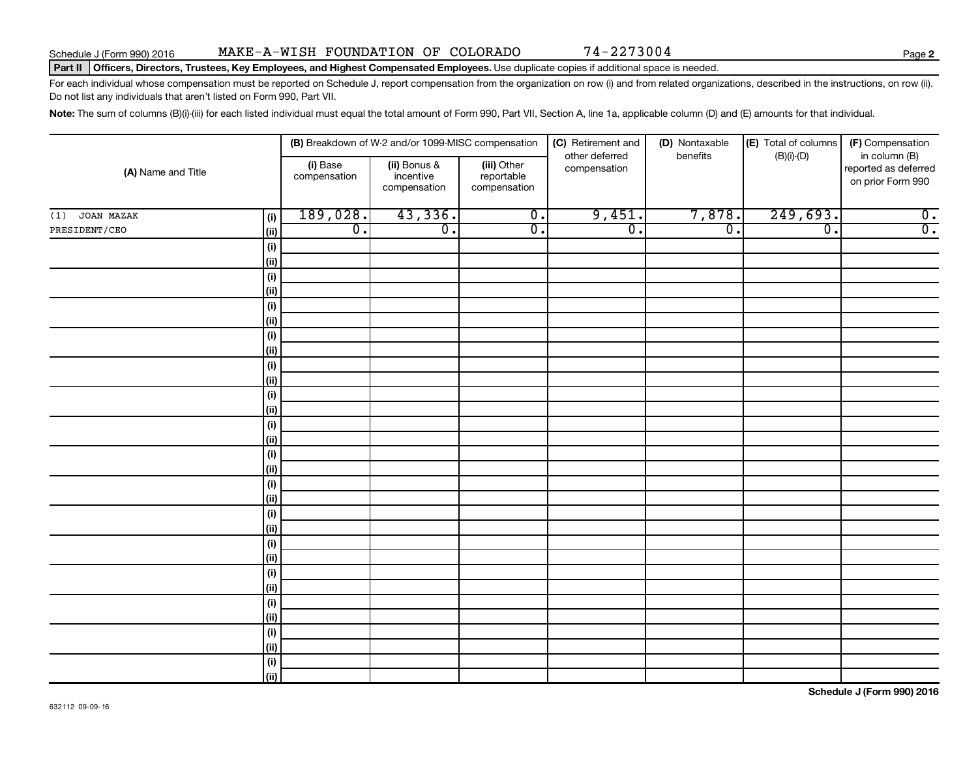#### Part II | Officers, Directors, Trustees, Key Employees, and Highest Compensated Employees. Use duplicate copies if additional space is needed.

For each individual whose compensation must be reported on Schedule J, report compensation from the organization on row (i) and from related organizations, described in the instructions, on row (ii). Do not list any individuals that aren't listed on Form 990, Part VII.

Note: The sum of columns (B)(i)-(iii) for each listed individual must equal the total amount of Form 990, Part VII, Section A, line 1a, applicable column (D) and (E) amounts for that individual.

| (A) Name and Title |                              |                                                                                                    | (B) Breakdown of W-2 and/or 1099-MISC compensation |                  | (C) Retirement and             | (D) Nontaxable   | (E) Total of columns        | (F) Compensation                                           |  |
|--------------------|------------------------------|----------------------------------------------------------------------------------------------------|----------------------------------------------------|------------------|--------------------------------|------------------|-----------------------------|------------------------------------------------------------|--|
|                    |                              | (iii) Other<br>(i) Base<br>(ii) Bonus &<br>incentive<br>reportable<br>compensation<br>compensation |                                                    | compensation     | other deferred<br>compensation | benefits         | $(B)(i)-(D)$                | in column (B)<br>reported as deferred<br>on prior Form 990 |  |
| JOAN MAZAK<br>(1)  | (i)                          | 189,028.                                                                                           | 43,336.                                            | $\overline{0}$ . | 9,451.                         | 7,878.           | 249,693.                    | $\overline{\mathbf{0}}$ .                                  |  |
| PRESIDENT/CEO      | (ii)                         | $\overline{0}$ .                                                                                   | $\overline{0}$ .                                   | $\overline{0}$ . | $\overline{\mathfrak{o}}$ .    | $\overline{0}$ . | $\overline{\mathfrak{o}}$ . | $\overline{0}$ .                                           |  |
|                    | (i)                          |                                                                                                    |                                                    |                  |                                |                  |                             |                                                            |  |
|                    | (ii)                         |                                                                                                    |                                                    |                  |                                |                  |                             |                                                            |  |
|                    | (i)                          |                                                                                                    |                                                    |                  |                                |                  |                             |                                                            |  |
|                    | (ii)                         |                                                                                                    |                                                    |                  |                                |                  |                             |                                                            |  |
|                    | (i)                          |                                                                                                    |                                                    |                  |                                |                  |                             |                                                            |  |
|                    | (ii)                         |                                                                                                    |                                                    |                  |                                |                  |                             |                                                            |  |
|                    | (i)                          |                                                                                                    |                                                    |                  |                                |                  |                             |                                                            |  |
|                    | (ii)                         |                                                                                                    |                                                    |                  |                                |                  |                             |                                                            |  |
|                    | (i)                          |                                                                                                    |                                                    |                  |                                |                  |                             |                                                            |  |
|                    | (ii)                         |                                                                                                    |                                                    |                  |                                |                  |                             |                                                            |  |
|                    | (i)<br>(ii)                  |                                                                                                    |                                                    |                  |                                |                  |                             |                                                            |  |
|                    | (i)                          |                                                                                                    |                                                    |                  |                                |                  |                             |                                                            |  |
|                    | (ii)                         |                                                                                                    |                                                    |                  |                                |                  |                             |                                                            |  |
|                    | (i)                          |                                                                                                    |                                                    |                  |                                |                  |                             |                                                            |  |
|                    | (ii)                         |                                                                                                    |                                                    |                  |                                |                  |                             |                                                            |  |
|                    | (i)                          |                                                                                                    |                                                    |                  |                                |                  |                             |                                                            |  |
|                    | (ii)                         |                                                                                                    |                                                    |                  |                                |                  |                             |                                                            |  |
|                    | (i)                          |                                                                                                    |                                                    |                  |                                |                  |                             |                                                            |  |
|                    | (ii)                         |                                                                                                    |                                                    |                  |                                |                  |                             |                                                            |  |
|                    | (i)                          |                                                                                                    |                                                    |                  |                                |                  |                             |                                                            |  |
|                    | (ii)                         |                                                                                                    |                                                    |                  |                                |                  |                             |                                                            |  |
|                    | (i)                          |                                                                                                    |                                                    |                  |                                |                  |                             |                                                            |  |
|                    | (ii)                         |                                                                                                    |                                                    |                  |                                |                  |                             |                                                            |  |
|                    | (i)                          |                                                                                                    |                                                    |                  |                                |                  |                             |                                                            |  |
|                    | (ii)                         |                                                                                                    |                                                    |                  |                                |                  |                             |                                                            |  |
|                    | (i)                          |                                                                                                    |                                                    |                  |                                |                  |                             |                                                            |  |
|                    | (ii)                         |                                                                                                    |                                                    |                  |                                |                  |                             |                                                            |  |
|                    | $\qquad \qquad \textbf{(i)}$ |                                                                                                    |                                                    |                  |                                |                  |                             |                                                            |  |
|                    | (ii)                         |                                                                                                    |                                                    |                  |                                |                  |                             |                                                            |  |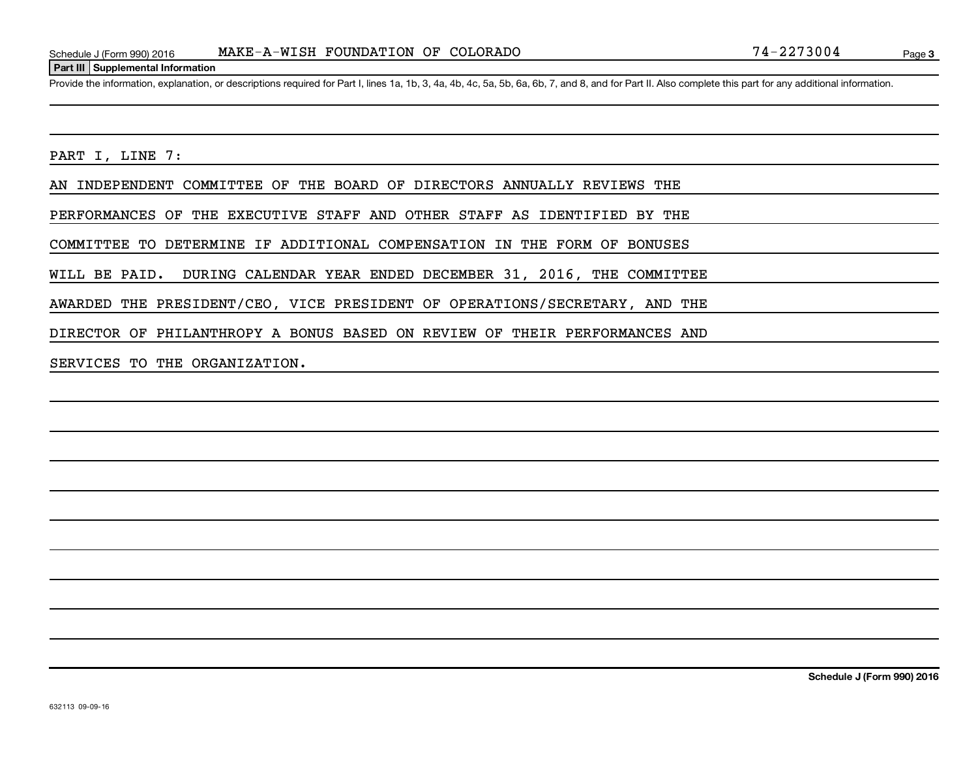#### **Part III Supplemental Information**

Provide the information, explanation, or descriptions required for Part I, lines 1a, 1b, 3, 4a, 4b, 4c, 5a, 5b, 6a, 6b, 7, and 8, and for Part II. Also complete this part for any additional information.

PART I, LINE 7:

AN INDEPENDENT COMMITTEE OF THE BOARD OF DIRECTORS ANNUALLY REVIEWS THE

PERFORMANCES OF THE EXECUTIVE STAFF AND OTHER STAFF AS IDENTIFIED BY THE

COMMITTEE TO DETERMINE IF ADDITIONAL COMPENSATION IN THE FORM OF BONUSES

WILL BE PAID. DURING CALENDAR YEAR ENDED DECEMBER 31, 2016, THE COMMITTEE

AWARDED THE PRESIDENT/CEO, VICE PRESIDENT OF OPERATIONS/SECRETARY, AND THE

DIRECTOR OF PHILANTHROPY A BONUS BASED ON REVIEW OF THEIR PERFORMANCES AND

SERVICES TO THE ORGANIZATION.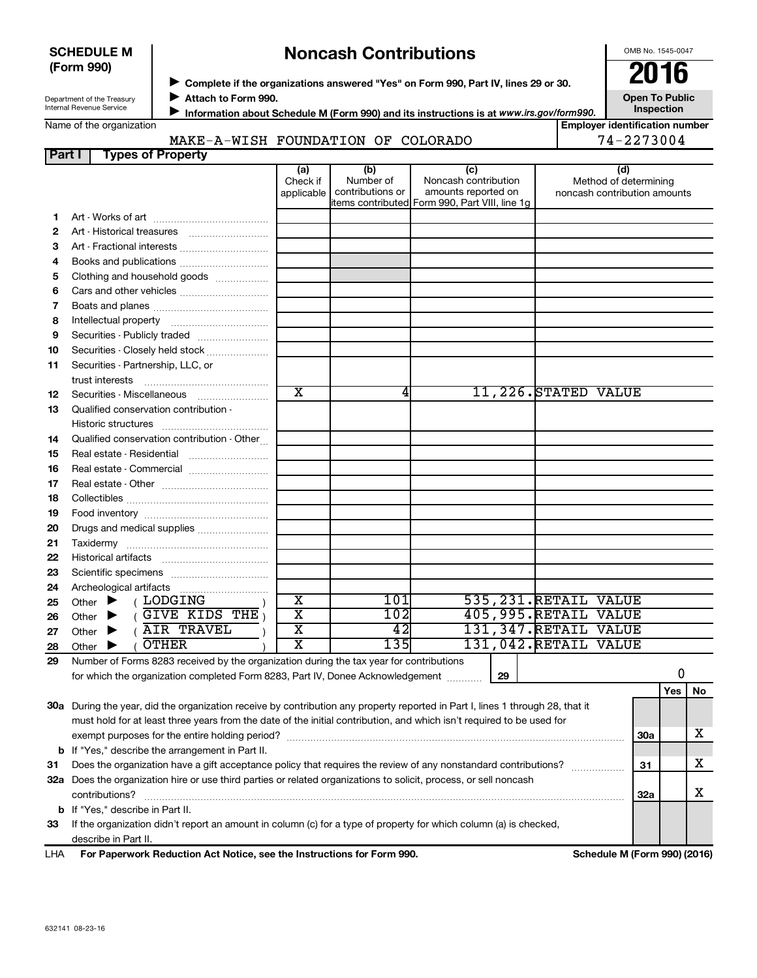632141 08-23-16

# **Noncash Contributions**

◆ Complete if the organizations answered "Yes" on Form 990, Part IV, lines 29 or 30.<br>● Complete if the organizations answered "Yes" on Form 990, Part IV, lines 29 or 30.

**Attach to Form 990.** J

**Information about Schedule M (Form 990) and its instructions is at www.irs.gov/form990.** 

#### Name of the organization

Department of the Treasury Internal Revenue Service

**SCHEDULE M (Form 990)**

**Employer identification number**

#### **Part I Types of Property** MAKE-A-WISH FOUNDATION OF COLORADO 74-2273004

|     |                                                                                                                                | (a)<br>Check if         | (b)<br>Number of | (c)<br>Noncash contribution                                           |    |                        | (d)<br>Method of determining |            |     |    |
|-----|--------------------------------------------------------------------------------------------------------------------------------|-------------------------|------------------|-----------------------------------------------------------------------|----|------------------------|------------------------------|------------|-----|----|
|     |                                                                                                                                | applicable              | contributions or | amounts reported on<br>items contributed Form 990, Part VIII, line 1g |    |                        | noncash contribution amounts |            |     |    |
| 1.  |                                                                                                                                |                         |                  |                                                                       |    |                        |                              |            |     |    |
| 2   |                                                                                                                                |                         |                  |                                                                       |    |                        |                              |            |     |    |
| З   | Art - Fractional interests                                                                                                     |                         |                  |                                                                       |    |                        |                              |            |     |    |
| 4   | Books and publications                                                                                                         |                         |                  |                                                                       |    |                        |                              |            |     |    |
| 5   | Clothing and household goods                                                                                                   |                         |                  |                                                                       |    |                        |                              |            |     |    |
| 6   |                                                                                                                                |                         |                  |                                                                       |    |                        |                              |            |     |    |
| 7   |                                                                                                                                |                         |                  |                                                                       |    |                        |                              |            |     |    |
| 8   |                                                                                                                                |                         |                  |                                                                       |    |                        |                              |            |     |    |
| 9   | Securities - Publicly traded                                                                                                   |                         |                  |                                                                       |    |                        |                              |            |     |    |
| 10  | Securities - Closely held stock                                                                                                |                         |                  |                                                                       |    |                        |                              |            |     |    |
| 11  | Securities - Partnership, LLC, or                                                                                              |                         |                  |                                                                       |    |                        |                              |            |     |    |
|     |                                                                                                                                |                         |                  |                                                                       |    |                        |                              |            |     |    |
| 12  | Securities - Miscellaneous                                                                                                     | $\overline{\text{x}}$   | 4                |                                                                       |    | 11,226. STATED VALUE   |                              |            |     |    |
| 13  | Qualified conservation contribution -                                                                                          |                         |                  |                                                                       |    |                        |                              |            |     |    |
|     |                                                                                                                                |                         |                  |                                                                       |    |                        |                              |            |     |    |
| 14  | Qualified conservation contribution - Other                                                                                    |                         |                  |                                                                       |    |                        |                              |            |     |    |
| 15  |                                                                                                                                |                         |                  |                                                                       |    |                        |                              |            |     |    |
| 16  | Real estate - Commercial                                                                                                       |                         |                  |                                                                       |    |                        |                              |            |     |    |
| 17  |                                                                                                                                |                         |                  |                                                                       |    |                        |                              |            |     |    |
| 18  |                                                                                                                                |                         |                  |                                                                       |    |                        |                              |            |     |    |
| 19  |                                                                                                                                |                         |                  |                                                                       |    |                        |                              |            |     |    |
| 20  | Drugs and medical supplies                                                                                                     |                         |                  |                                                                       |    |                        |                              |            |     |    |
| 21  |                                                                                                                                |                         |                  |                                                                       |    |                        |                              |            |     |    |
| 22  |                                                                                                                                |                         |                  |                                                                       |    |                        |                              |            |     |    |
| 23  |                                                                                                                                |                         |                  |                                                                       |    |                        |                              |            |     |    |
| 24  |                                                                                                                                |                         |                  |                                                                       |    |                        |                              |            |     |    |
| 25  | (LODGING<br>Other $\blacktriangleright$                                                                                        | $\overline{\textbf{x}}$ | 101              |                                                                       |    | 535, 231. RETAIL VALUE |                              |            |     |    |
| 26  | $GIVE$ KIDS THE<br>Other<br>▶                                                                                                  | $\overline{\mathtt{x}}$ | 102              |                                                                       |    | 405,995.RETAIL VALUE   |                              |            |     |    |
| 27  | AIR TRAVEL<br>Other                                                                                                            | $\overline{\texttt{x}}$ | 42               |                                                                       |    | 131, 347. RETAIL VALUE |                              |            |     |    |
| 28  | <b>OTHER</b><br>Other $\blacktriangleright$                                                                                    | $\overline{\text{x}}$   | 135              |                                                                       |    | 131,042. RETAIL VALUE  |                              |            |     |    |
| 29  | Number of Forms 8283 received by the organization during the tax year for contributions                                        |                         |                  |                                                                       |    |                        |                              |            |     |    |
|     | for which the organization completed Form 8283, Part IV, Donee Acknowledgement                                                 |                         |                  |                                                                       | 29 |                        |                              |            | 0   |    |
|     |                                                                                                                                |                         |                  |                                                                       |    |                        |                              |            | Yes | No |
|     | 30a During the year, did the organization receive by contribution any property reported in Part I, lines 1 through 28, that it |                         |                  |                                                                       |    |                        |                              |            |     |    |
|     | must hold for at least three years from the date of the initial contribution, and which isn't required to be used for          |                         |                  |                                                                       |    |                        |                              |            |     |    |
|     |                                                                                                                                |                         |                  |                                                                       |    |                        |                              | <b>30a</b> |     | х  |
|     | <b>b</b> If "Yes," describe the arrangement in Part II.                                                                        |                         |                  |                                                                       |    |                        |                              |            |     | x  |
| 31  | Does the organization have a gift acceptance policy that requires the review of any nonstandard contributions?                 |                         |                  |                                                                       |    |                        |                              | 31         |     |    |
|     | 32a Does the organization hire or use third parties or related organizations to solicit, process, or sell noncash              |                         |                  |                                                                       |    |                        |                              |            |     |    |
|     | contributions?                                                                                                                 |                         |                  |                                                                       |    |                        |                              | 32a        |     | х  |
|     | b If "Yes," describe in Part II.                                                                                               |                         |                  |                                                                       |    |                        |                              |            |     |    |
| 33  | If the organization didn't report an amount in column (c) for a type of property for which column (a) is checked,              |                         |                  |                                                                       |    |                        |                              |            |     |    |
|     | describe in Part II.<br>For Paperwork Reduction Act Notice, see the Instructions for Form 990.                                 |                         |                  |                                                                       |    |                        |                              |            |     |    |
| LHA |                                                                                                                                |                         |                  |                                                                       |    |                        | Schedule M (Form 990) (2016) |            |     |    |

OMB No. 1545-0047

| <b>Open To Public</b> |                   |  |
|-----------------------|-------------------|--|
|                       | <b>Inspection</b> |  |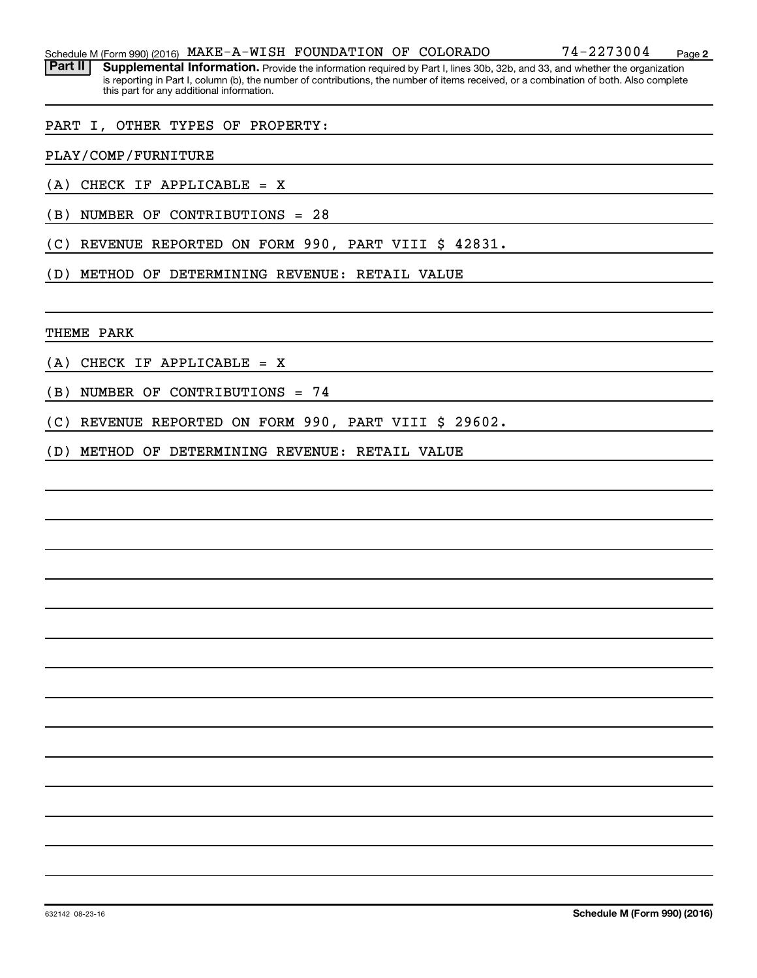Part II | Supplemental Information. Provide the information required by Part I, lines 30b, 32b, and 33, and whether the organization is reporting in Part I, column (b), the number of contributions, the number of items received, or a combination of both. Also complete this part for any additional information.

#### PART I, OTHER TYPES OF PROPERTY:

PLAY/COMP/FURNITURE

- (A) CHECK IF APPLICABLE = X
- (B) NUMBER OF CONTRIBUTIONS = 28
- (C) REVENUE REPORTED ON FORM 990, PART VIII \$ 42831.
- (D) METHOD OF DETERMINING REVENUE: RETAIL VALUE

THEME PARK

- (A) CHECK IF APPLICABLE = X
- (B) NUMBER OF CONTRIBUTIONS = 74
- (C) REVENUE REPORTED ON FORM 990, PART VIII \$ 29602.
- (D) METHOD OF DETERMINING REVENUE: RETAIL VALUE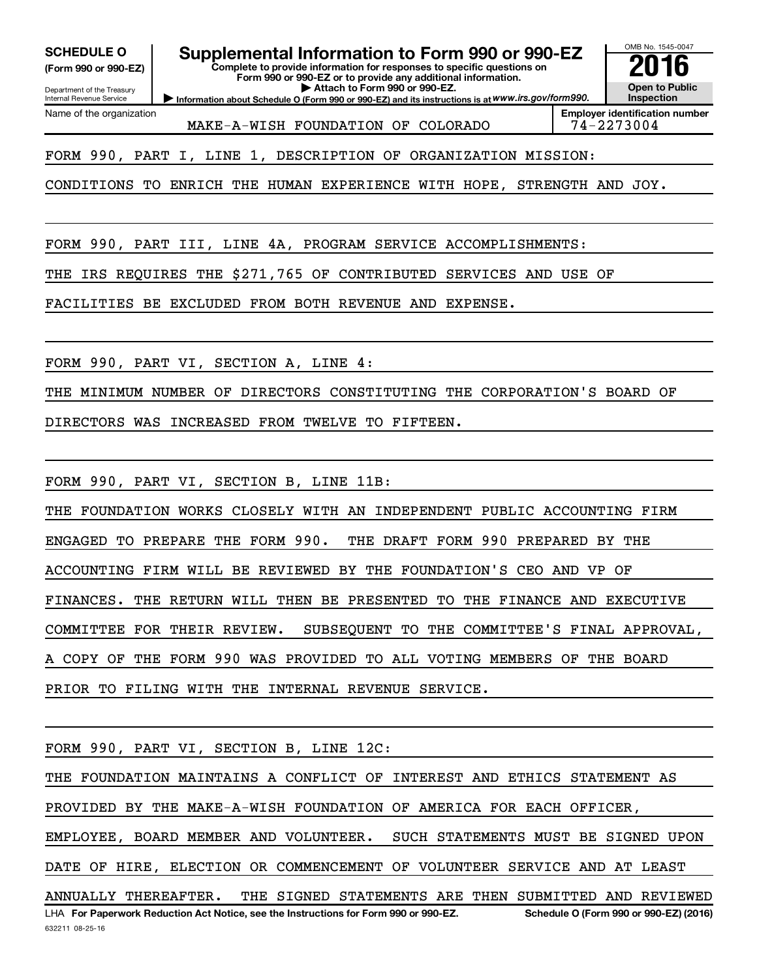**(Form 990 or 990-EZ)**

Department of the Treasury Internal Revenue Service

Name of the organization

# SCHEDULE O **Supplemental Information to Form 990 or 990-EZ** 2016<br>(Form 990 or 990-EZ) **2016**

**Complete to provide information for responses to specific questions on Form 990 or 990-EZ or to provide any additional information. | Attach to Form 990 or 990-EZ.**

**Information about Schedule O (Form 990 or 990-EZ) and its instructions is at WWW.irs.gov/form990.** 

OMB No. 1545-0047 **Open to Public Inspection**

MAKE-A-WISH FOUNDATION OF COLORADO | 74-2273004

**Employer identification number**

FORM 990, PART I, LINE 1, DESCRIPTION OF ORGANIZATION MISSION:

CONDITIONS TO ENRICH THE HUMAN EXPERIENCE WITH HOPE, STRENGTH AND JOY.

FORM 990, PART III, LINE 4A, PROGRAM SERVICE ACCOMPLISHMENTS:

THE IRS REQUIRES THE \$271,765 OF CONTRIBUTED SERVICES AND USE OF

FACILITIES BE EXCLUDED FROM BOTH REVENUE AND EXPENSE.

FORM 990, PART VI, SECTION A, LINE 4:

THE MINIMUM NUMBER OF DIRECTORS CONSTITUTING THE CORPORATION'S BOARD OF

DIRECTORS WAS INCREASED FROM TWELVE TO FIFTEEN.

FORM 990, PART VI, SECTION B, LINE 11B:

THE FOUNDATION WORKS CLOSELY WITH AN INDEPENDENT PUBLIC ACCOUNTING FIRM ENGAGED TO PREPARE THE FORM 990. THE DRAFT FORM 990 PREPARED BY THE ACCOUNTING FIRM WILL BE REVIEWED BY THE FOUNDATION'S CEO AND VP OF FINANCES. THE RETURN WILL THEN BE PRESENTED TO THE FINANCE AND EXECUTIVE COMMITTEE FOR THEIR REVIEW. SUBSEQUENT TO THE COMMITTEE'S FINAL APPROVAL, A COPY OF THE FORM 990 WAS PROVIDED TO ALL VOTING MEMBERS OF THE BOARD PRIOR TO FILING WITH THE INTERNAL REVENUE SERVICE.

FORM 990, PART VI, SECTION B, LINE 12C:

THE FOUNDATION MAINTAINS A CONFLICT OF INTEREST AND ETHICS STATEMENT AS

PROVIDED BY THE MAKE-A-WISH FOUNDATION OF AMERICA FOR EACH OFFICER,

EMPLOYEE, BOARD MEMBER AND VOLUNTEER. SUCH STATEMENTS MUST BE SIGNED UPON

DATE OF HIRE, ELECTION OR COMMENCEMENT OF VOLUNTEER SERVICE AND AT LEAST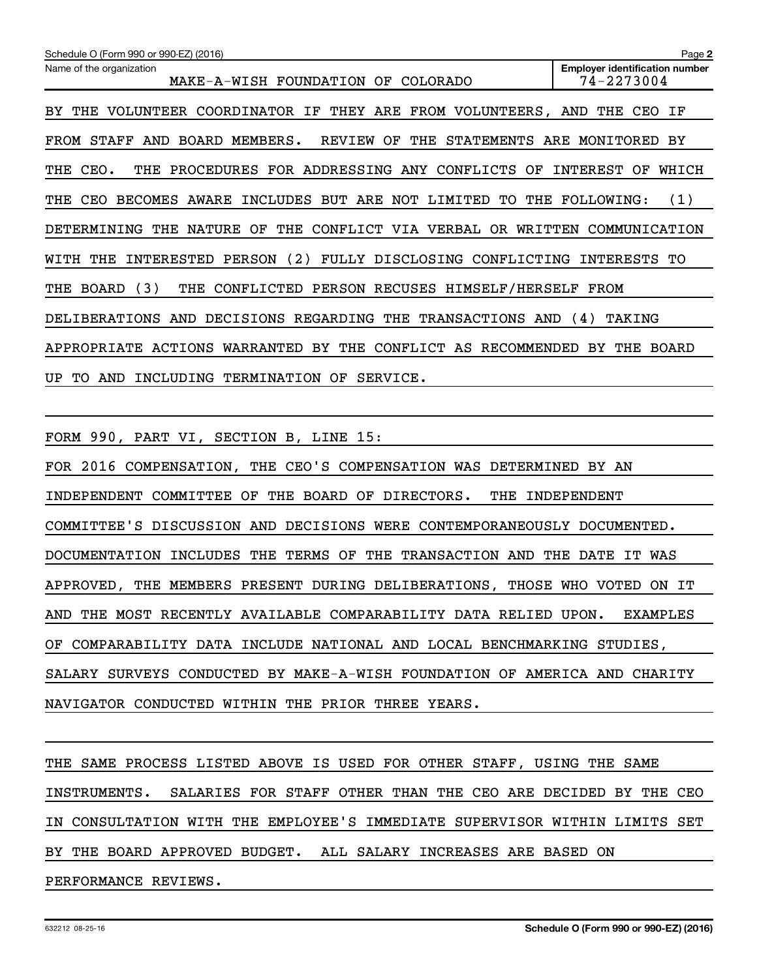| Schedule O (Form 990 or 990-EZ) (2016)                                                       | Page 2                                              |
|----------------------------------------------------------------------------------------------|-----------------------------------------------------|
| Name of the organization<br>MAKE-A-WISH FOUNDATION<br>OF<br>COLORADO                         | <b>Employer identification number</b><br>74-2273004 |
| VOLUNTEER<br>COORDINATOR IF THEY ARE<br>FROM VOLUNTEERS, AND THE<br>THE<br>BY.               | IF<br>CEO                                           |
| MEMBERS.<br>REVIEW<br>STAFF<br>AND<br>BOARD<br>OF<br>THE<br><b>STATEMENTS</b><br>FROM        | ARE<br>MONITORED<br>BY                              |
| THE PROCEDURES FOR ADDRESSING ANY CONFLICTS<br>CEO.<br>OF<br>THE                             | INTEREST<br>WHICH<br>OF                             |
| INCLUDES BUT ARE NOT<br>LIMITED<br>TО<br><b>BECOMES</b><br>AWARE<br>THE<br><b>CEO</b><br>THE | (1)<br><b>FOLLOWING:</b>                            |
| NATURE<br>OF<br>THE<br>CONFLICT VIA VERBAL<br>DETERMINING<br>THE<br>OR.<br>WRITTEN           | COMMUNICATION                                       |
| (2)<br>PERSON<br>FULLY DISCLOSING<br>INTERESTED<br>CONFLICTING<br>WITH<br>THE                | INTERESTS<br>TО                                     |
| (3)<br>CONFLICTED PERSON RECUSES HIMSELF/HERSELF<br>BOARD<br>THE<br>THE                      | FROM                                                |
| DECISIONS<br>REGARDING<br>THE<br><b>TRANSACTIONS</b><br><b>DELIBERATIONS</b><br>AND<br>AND   | (4)<br>TAKING                                       |
| <b>ACTIONS</b><br>WARRANTED<br>BY THE<br>CONFLICT AS<br>RECOMMENDED<br>APPROPRIATE           | BY<br>THE<br>BOARD                                  |
| OF<br>UP.<br>TO.<br>AND<br>INCLUDING<br>TERMINATION<br>SERVICE.                              |                                                     |

FORM 990, PART VI, SECTION B, LINE 15:

FOR 2016 COMPENSATION, THE CEO'S COMPENSATION WAS DETERMINED BY AN INDEPENDENT COMMITTEE OF THE BOARD OF DIRECTORS. THE INDEPENDENT COMMITTEE'S DISCUSSION AND DECISIONS WERE CONTEMPORANEOUSLY DOCUMENTED. DOCUMENTATION INCLUDES THE TERMS OF THE TRANSACTION AND THE DATE IT WAS APPROVED, THE MEMBERS PRESENT DURING DELIBERATIONS, THOSE WHO VOTED ON IT AND THE MOST RECENTLY AVAILABLE COMPARABILITY DATA RELIED UPON. EXAMPLES OF COMPARABILITY DATA INCLUDE NATIONAL AND LOCAL BENCHMARKING STUDIES, SALARY SURVEYS CONDUCTED BY MAKE-A-WISH FOUNDATION OF AMERICA AND CHARITY NAVIGATOR CONDUCTED WITHIN THE PRIOR THREE YEARS.

THE SAME PROCESS LISTED ABOVE IS USED FOR OTHER STAFF, USING THE SAME INSTRUMENTS. SALARIES FOR STAFF OTHER THAN THE CEO ARE DECIDED BY THE CEO IN CONSULTATION WITH THE EMPLOYEE'S IMMEDIATE SUPERVISOR WITHIN LIMITS SET BY THE BOARD APPROVED BUDGET. ALL SALARY INCREASES ARE BASED ON PERFORMANCE REVIEWS.